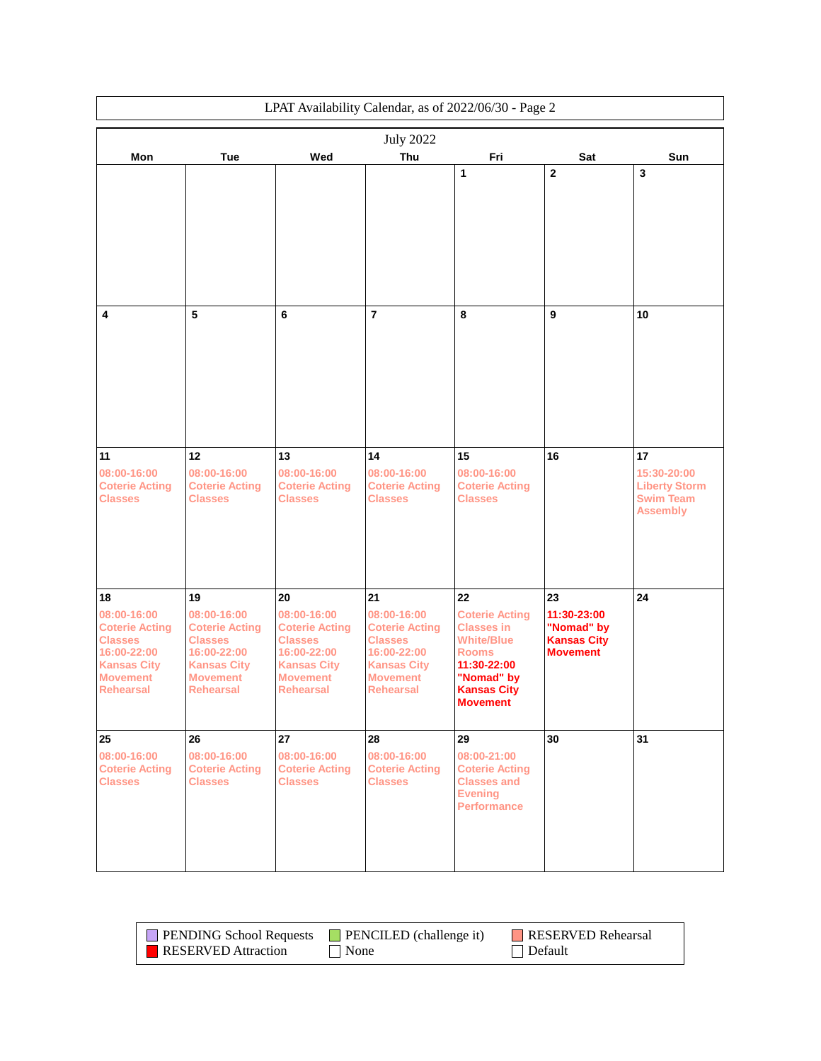|                                                                                                                                          |                                                                                                                                          |                                                                                                                                          |                                                                                                                                          | LPAT Availability Calendar, as of 2022/06/30 - Page 2                                                                                                       |                                                                          |                                                                                  |
|------------------------------------------------------------------------------------------------------------------------------------------|------------------------------------------------------------------------------------------------------------------------------------------|------------------------------------------------------------------------------------------------------------------------------------------|------------------------------------------------------------------------------------------------------------------------------------------|-------------------------------------------------------------------------------------------------------------------------------------------------------------|--------------------------------------------------------------------------|----------------------------------------------------------------------------------|
|                                                                                                                                          |                                                                                                                                          |                                                                                                                                          | <b>July 2022</b>                                                                                                                         |                                                                                                                                                             |                                                                          |                                                                                  |
| Mon                                                                                                                                      | Tue                                                                                                                                      | Wed                                                                                                                                      | Thu                                                                                                                                      | Fri                                                                                                                                                         | Sat                                                                      | Sun                                                                              |
|                                                                                                                                          |                                                                                                                                          |                                                                                                                                          |                                                                                                                                          | 1                                                                                                                                                           | $\mathbf{2}$                                                             | 3                                                                                |
| 4                                                                                                                                        | 5                                                                                                                                        | $\bf 6$                                                                                                                                  | $\overline{7}$                                                                                                                           | 8                                                                                                                                                           | 9                                                                        | 10                                                                               |
| 11<br>08:00-16:00<br><b>Coterie Acting</b><br><b>Classes</b>                                                                             | 12<br>08:00-16:00<br><b>Coterie Acting</b><br><b>Classes</b>                                                                             | 13<br>08:00-16:00<br><b>Coterie Acting</b><br><b>Classes</b>                                                                             | 14<br>08:00-16:00<br><b>Coterie Acting</b><br><b>Classes</b>                                                                             | 15<br>08:00-16:00<br><b>Coterie Acting</b><br><b>Classes</b>                                                                                                | 16                                                                       | 17<br>15:30-20:00<br><b>Liberty Storm</b><br><b>Swim Team</b><br><b>Assembly</b> |
| 18<br>08:00-16:00<br><b>Coterie Acting</b><br><b>Classes</b><br>16:00-22:00<br><b>Kansas City</b><br><b>Movement</b><br><b>Rehearsal</b> | 19<br>08:00-16:00<br><b>Coterie Acting</b><br><b>Classes</b><br>16:00-22:00<br><b>Kansas City</b><br><b>Movement</b><br><b>Rehearsal</b> | 20<br>08:00-16:00<br><b>Coterie Acting</b><br><b>Classes</b><br>16:00-22:00<br><b>Kansas City</b><br><b>Movement</b><br><b>Rehearsal</b> | 21<br>08:00-16:00<br><b>Coterie Acting</b><br><b>Classes</b><br>16:00-22:00<br><b>Kansas City</b><br><b>Movement</b><br><b>Rehearsal</b> | 22<br><b>Coterie Acting</b><br><b>Classes in</b><br><b>White/Blue</b><br><b>Rooms</b><br>11:30-22:00<br>"Nomad" by<br><b>Kansas City</b><br><b>Movement</b> | 23<br>11:30-23:00<br>"Nomad" by<br><b>Kansas City</b><br><b>Movement</b> | 24                                                                               |
| 25<br>08:00-16:00<br><b>Coterie Acting</b><br><b>Classes</b>                                                                             | 26<br>08:00-16:00<br><b>Coterie Acting</b><br><b>Classes</b>                                                                             | 27<br>08:00-16:00<br><b>Coterie Acting</b><br><b>Classes</b>                                                                             | 28<br>08:00-16:00<br><b>Coterie Acting</b><br><b>Classes</b>                                                                             | 29<br>08:00-21:00<br><b>Coterie Acting</b><br><b>Classes and</b><br><b>Evening</b><br><b>Performance</b>                                                    | 30                                                                       | 31                                                                               |

| <b>PENDING School Requests</b> | $\blacksquare$ PENCILED (challenge it) | RESERVED Rehearsal |
|--------------------------------|----------------------------------------|--------------------|
| RESERVED Attraction            | $\blacksquare$ None                    | $\vert$ Default    |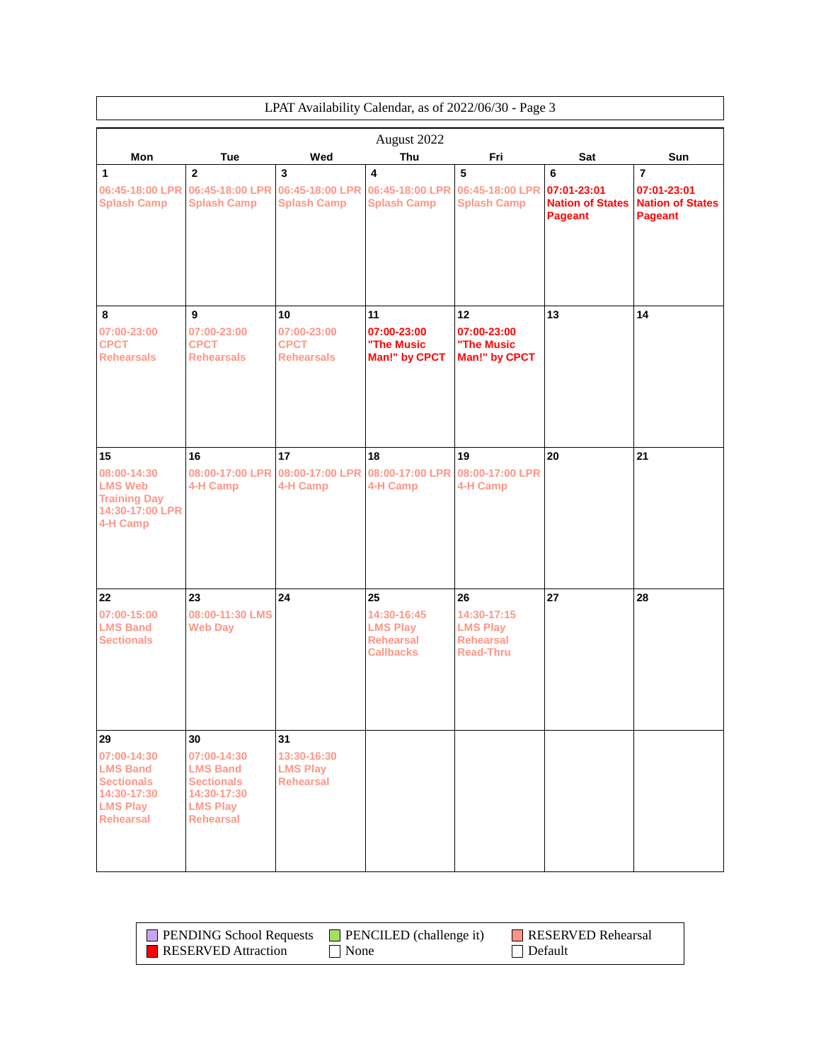|                                                                                                                 | LPAT Availability Calendar, as of 2022/06/30 - Page 3                                                           |                                                          |                                                                              |                                                                              |                                                        |                                                                     |  |
|-----------------------------------------------------------------------------------------------------------------|-----------------------------------------------------------------------------------------------------------------|----------------------------------------------------------|------------------------------------------------------------------------------|------------------------------------------------------------------------------|--------------------------------------------------------|---------------------------------------------------------------------|--|
| August 2022                                                                                                     |                                                                                                                 |                                                          |                                                                              |                                                                              |                                                        |                                                                     |  |
| Mon                                                                                                             | Tue                                                                                                             | Wed                                                      | Thu                                                                          | Fri                                                                          | Sat                                                    | Sun                                                                 |  |
| 1<br>06:45-18:00 LPR<br><b>Splash Camp</b>                                                                      | $\overline{2}$<br>06:45-18:00 LPR<br><b>Splash Camp</b>                                                         | 3<br>06:45-18:00 LPR<br><b>Splash Camp</b>               | 4<br>06:45-18:00 LPR<br><b>Splash Camp</b>                                   | 5<br>06:45-18:00 LPR<br><b>Splash Camp</b>                                   | 6<br>07:01-23:01<br><b>Nation of States</b><br>Pageant | $\overline{7}$<br>07:01-23:01<br><b>Nation of States</b><br>Pageant |  |
| 8<br>07:00-23:00<br><b>CPCT</b><br><b>Rehearsals</b>                                                            | 9<br>07:00-23:00<br><b>CPCT</b><br><b>Rehearsals</b>                                                            | 10<br>07:00-23:00<br><b>CPCT</b><br><b>Rehearsals</b>    | 11<br>07:00-23:00<br>"The Music<br>Man!" by CPCT                             | 12<br>07:00-23:00<br>"The Music<br>Man!" by CPCT                             | 13                                                     | 14                                                                  |  |
| 15<br>08:00-14:30<br><b>LMS Web</b><br><b>Training Day</b><br>14:30-17:00 LPR<br>4-H Camp                       | 16<br>08:00-17:00 LPR<br>4-H Camp                                                                               | 17<br>08:00-17:00 LPR<br>4-H Camp                        | 18<br>08:00-17:00 LPR<br>4-H Camp                                            | 19<br>08:00-17:00 LPR<br>4-H Camp                                            | 20                                                     | 21                                                                  |  |
| 22<br>07:00-15:00<br><b>LMS Band</b><br><b>Sectionals</b>                                                       | 23<br>08:00-11:30 LMS<br><b>Web Day</b>                                                                         | 24                                                       | 25<br>14:30-16:45<br><b>LMS Play</b><br><b>Rehearsal</b><br><b>Callbacks</b> | 26<br>14:30-17:15<br><b>LMS Play</b><br><b>Rehearsal</b><br><b>Read-Thru</b> | 27                                                     | 28                                                                  |  |
| 29<br>07:00-14:30<br><b>LMS Band</b><br><b>Sectionals</b><br>14:30-17:30<br><b>LMS Play</b><br><b>Rehearsal</b> | 30<br>07:00-14:30<br><b>LMS Band</b><br><b>Sectionals</b><br>14:30-17:30<br><b>LMS Play</b><br><b>Rehearsal</b> | 31<br>13:30-16:30<br><b>LMS Play</b><br><b>Rehearsal</b> |                                                                              |                                                                              |                                                        |                                                                     |  |

| <b>PENDING School Requests</b> | $\blacksquare$ PENCILED (challenge it) | RESERVED Rehearsal |
|--------------------------------|----------------------------------------|--------------------|
| <b>RESERVED</b> Attraction     | $\blacksquare$ None                    | Default            |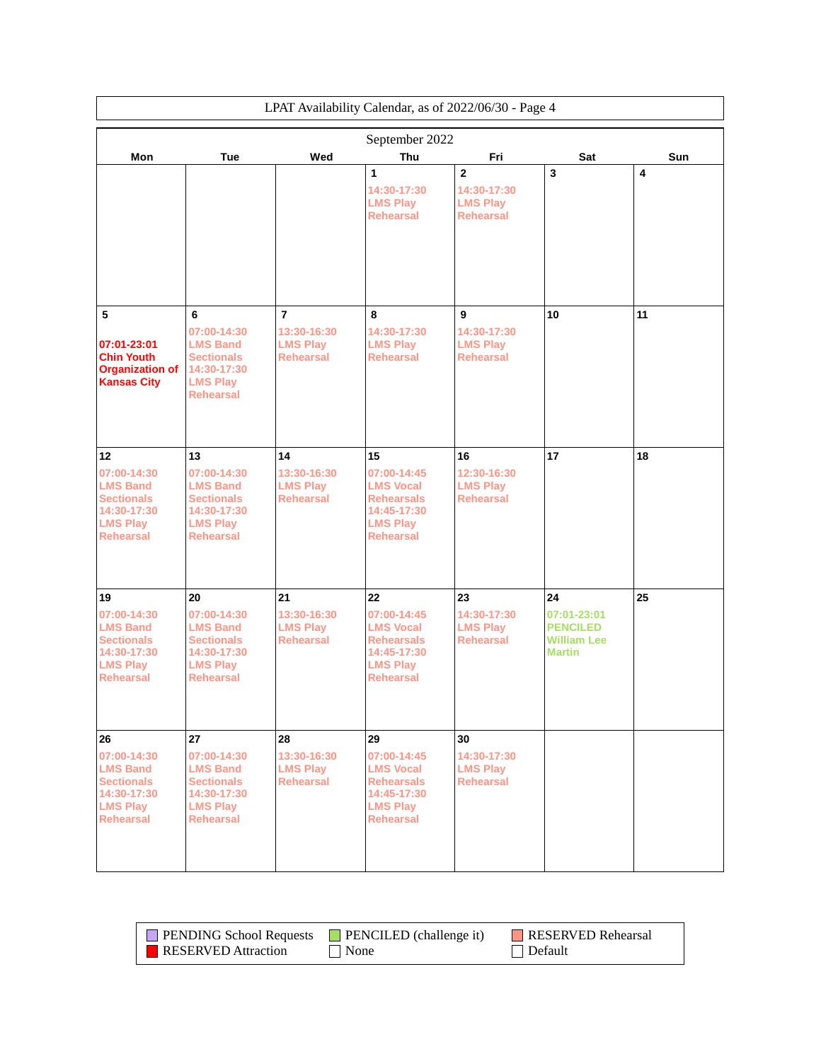| LPAT Availability Calendar, as of 2022/06/30 - Page 4                                                     |                                                                                                           |                                                    |                                                                                                            |                                                                      |                                                                       |     |
|-----------------------------------------------------------------------------------------------------------|-----------------------------------------------------------------------------------------------------------|----------------------------------------------------|------------------------------------------------------------------------------------------------------------|----------------------------------------------------------------------|-----------------------------------------------------------------------|-----|
|                                                                                                           |                                                                                                           |                                                    | September 2022                                                                                             |                                                                      |                                                                       |     |
| Mon                                                                                                       | Tue                                                                                                       | Wed                                                | Thu                                                                                                        | Fri                                                                  | Sat                                                                   | Sun |
|                                                                                                           |                                                                                                           |                                                    | 1<br>14:30-17:30<br><b>LMS Play</b><br><b>Rehearsal</b>                                                    | $\overline{2}$<br>14:30-17:30<br><b>LMS Play</b><br><b>Rehearsal</b> | 3                                                                     | 4   |
| 5                                                                                                         | 6<br>07:00-14:30                                                                                          | $\overline{7}$<br>13:30-16:30                      | 8<br>14:30-17:30                                                                                           | 9<br>14:30-17:30                                                     | 10                                                                    | 11  |
| 07:01-23:01<br><b>Chin Youth</b><br><b>Organization of</b><br><b>Kansas City</b>                          | <b>LMS Band</b><br><b>Sectionals</b><br>14:30-17:30<br><b>LMS Play</b><br><b>Rehearsal</b>                | <b>LMS Play</b><br><b>Rehearsal</b>                | <b>LMS Play</b><br><b>Rehearsal</b>                                                                        | <b>LMS Play</b><br><b>Rehearsal</b>                                  |                                                                       |     |
| 12                                                                                                        | 13                                                                                                        | 14                                                 | 15                                                                                                         | 16                                                                   | 17                                                                    | 18  |
| 07:00-14:30<br><b>LMS Band</b><br><b>Sectionals</b><br>14:30-17:30<br><b>LMS Play</b><br><b>Rehearsal</b> | 07:00-14:30<br><b>LMS Band</b><br><b>Sectionals</b><br>14:30-17:30<br><b>LMS Play</b><br><b>Rehearsal</b> | 13:30-16:30<br><b>LMS Play</b><br><b>Rehearsal</b> | 07:00-14:45<br><b>LMS Vocal</b><br><b>Rehearsals</b><br>14:45-17:30<br><b>LMS Play</b><br><b>Rehearsal</b> | 12:30-16:30<br><b>LMS Play</b><br><b>Rehearsal</b>                   |                                                                       |     |
| 19                                                                                                        | 20                                                                                                        | 21                                                 | 22                                                                                                         | 23                                                                   | 24                                                                    | 25  |
| 07:00-14:30<br><b>LMS Band</b><br><b>Sectionals</b><br>14:30-17:30<br><b>LMS Play</b><br><b>Rehearsal</b> | 07:00-14:30<br><b>LMS Band</b><br><b>Sectionals</b><br>14:30-17:30<br><b>LMS Play</b><br><b>Rehearsal</b> | 13:30-16:30<br><b>LMS Play</b><br><b>Rehearsal</b> | 07:00-14:45<br><b>LMS Vocal</b><br><b>Rehearsals</b><br>14:45-17:30<br><b>LMS Play</b><br><b>Rehearsal</b> | 14:30-17:30<br><b>LMS Play</b><br><b>Rehearsal</b>                   | 07:01-23:01<br><b>PENCILED</b><br><b>William Lee</b><br><b>Martin</b> |     |
| 26                                                                                                        | 27                                                                                                        | 28                                                 | 29                                                                                                         | 30                                                                   |                                                                       |     |
| 07:00-14:30<br><b>LMS Band</b><br><b>Sectionals</b><br>14:30-17:30<br><b>LMS Play</b><br><b>Rehearsal</b> | 07:00-14:30<br><b>LMS Band</b><br><b>Sectionals</b><br>14:30-17:30<br><b>LMS Play</b><br><b>Rehearsal</b> | 13:30-16:30<br><b>LMS Play</b><br><b>Rehearsal</b> | 07:00-14:45<br><b>LMS Vocal</b><br><b>Rehearsals</b><br>14:45-17:30<br><b>LMS Play</b><br><b>Rehearsal</b> | 14:30-17:30<br><b>LMS Play</b><br><b>Rehearsal</b>                   |                                                                       |     |

| <b>PENDING School Requests</b> | $\blacksquare$ PENCILED (challenge it) | <b>RESERVED Rehearsal</b> |
|--------------------------------|----------------------------------------|---------------------------|
| <b>RESERVED</b> Attraction     | $\blacksquare$ None                    | Default                   |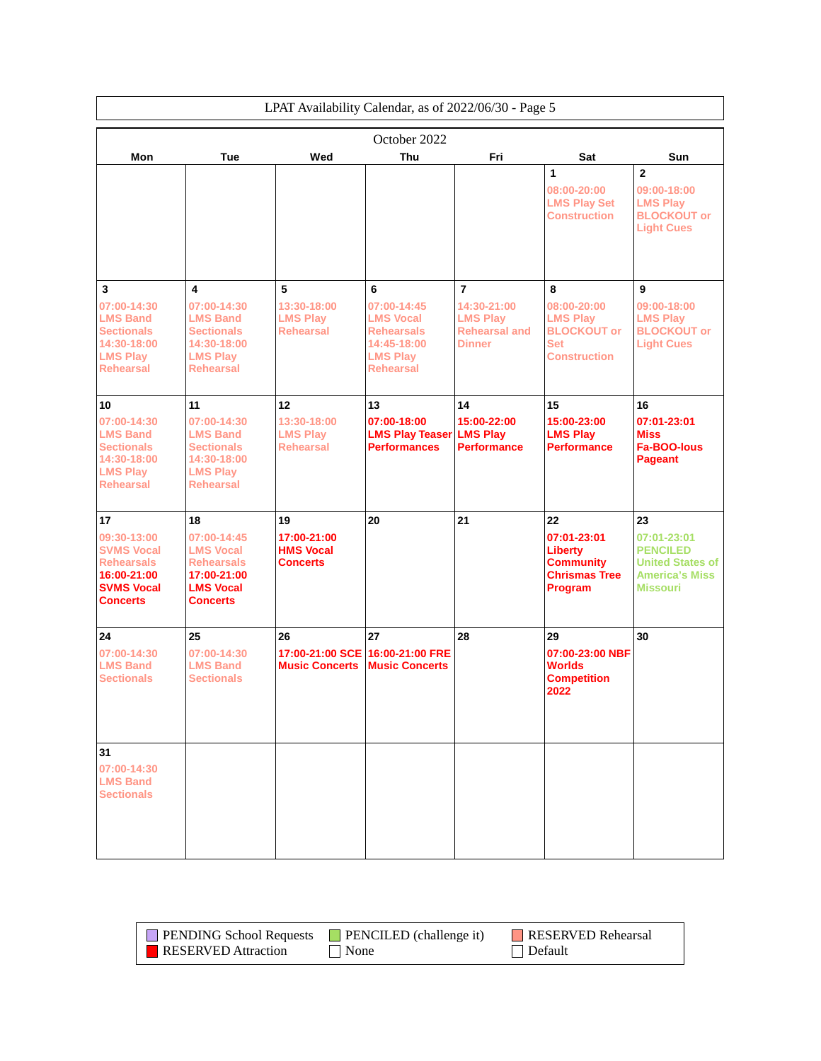|                                                                                                                |                                                                                                                | LPAT Availability Calendar, as of 2022/06/30 - Page 5   |                                                                                                                 |                                                                              |                                                                                                |                                                                                                       |
|----------------------------------------------------------------------------------------------------------------|----------------------------------------------------------------------------------------------------------------|---------------------------------------------------------|-----------------------------------------------------------------------------------------------------------------|------------------------------------------------------------------------------|------------------------------------------------------------------------------------------------|-------------------------------------------------------------------------------------------------------|
| October 2022                                                                                                   |                                                                                                                |                                                         |                                                                                                                 |                                                                              |                                                                                                |                                                                                                       |
| Mon                                                                                                            | Tue                                                                                                            | Wed                                                     | <b>Thu</b>                                                                                                      | Fri                                                                          | Sat                                                                                            | Sun                                                                                                   |
|                                                                                                                |                                                                                                                |                                                         |                                                                                                                 |                                                                              | 1<br>08:00-20:00<br><b>LMS Play Set</b><br><b>Construction</b>                                 | $\mathbf{2}$<br>09:00-18:00<br><b>LMS Play</b><br><b>BLOCKOUT or</b><br><b>Light Cues</b>             |
|                                                                                                                |                                                                                                                |                                                         |                                                                                                                 |                                                                              |                                                                                                |                                                                                                       |
| 3<br>07:00-14:30<br><b>LMS Band</b><br><b>Sectionals</b><br>14:30-18:00<br><b>LMS Play</b><br><b>Rehearsal</b> | 4<br>07:00-14:30<br><b>LMS Band</b><br><b>Sectionals</b><br>14:30-18:00<br><b>LMS Play</b><br><b>Rehearsal</b> | 5<br>13:30-18:00<br><b>LMS Play</b><br><b>Rehearsal</b> | 6<br>07:00-14:45<br><b>LMS Vocal</b><br><b>Rehearsals</b><br>14:45-18:00<br><b>LMS Play</b><br><b>Rehearsal</b> | 7<br>14:30-21:00<br><b>LMS Play</b><br><b>Rehearsal and</b><br><b>Dinner</b> | 8<br>08:00-20:00<br><b>LMS Play</b><br><b>BLOCKOUT or</b><br><b>Set</b><br><b>Construction</b> | 9<br>09:00-18:00<br><b>LMS Play</b><br><b>BLOCKOUT or</b><br><b>Light Cues</b>                        |
| 10                                                                                                             | 11                                                                                                             | 12                                                      | 13                                                                                                              | 14                                                                           | 15                                                                                             | 16                                                                                                    |
| 07:00-14:30<br><b>LMS Band</b><br><b>Sectionals</b><br>14:30-18:00<br><b>LMS Play</b><br><b>Rehearsal</b>      | 07:00-14:30<br><b>LMS Band</b><br><b>Sectionals</b><br>14:30-18:00<br><b>LMS Play</b><br><b>Rehearsal</b>      | 13:30-18:00<br><b>LMS Play</b><br><b>Rehearsal</b>      | 07:00-18:00<br><b>LMS Play Teaser</b><br><b>Performances</b>                                                    | 15:00-22:00<br><b>LMS Play</b><br><b>Performance</b>                         | 15:00-23:00<br><b>LMS Play</b><br><b>Performance</b>                                           | 07:01-23:01<br><b>Miss</b><br><b>Fa-BOO-lous</b><br>Pageant                                           |
| 17                                                                                                             | 18                                                                                                             | 19                                                      | 20                                                                                                              | 21                                                                           | 22                                                                                             | 23                                                                                                    |
| 09:30-13:00<br><b>SVMS Vocal</b><br><b>Rehearsals</b><br>16:00-21:00<br><b>SVMS Vocal</b><br><b>Concerts</b>   | 07:00-14:45<br><b>LMS Vocal</b><br><b>Rehearsals</b><br>17:00-21:00<br><b>LMS Vocal</b><br><b>Concerts</b>     | 17:00-21:00<br><b>HMS Vocal</b><br><b>Concerts</b>      |                                                                                                                 |                                                                              | 07:01-23:01<br><b>Liberty</b><br><b>Community</b><br><b>Chrismas Tree</b><br>Program           | 07:01-23:01<br><b>PENCILED</b><br><b>United States of</b><br><b>America's Miss</b><br><b>Missouri</b> |
| 24                                                                                                             | 25                                                                                                             | 26                                                      | 27                                                                                                              | 28                                                                           | 29                                                                                             | 30                                                                                                    |
| 07:00-14:30<br><b>LMS Band</b><br><b>Sectionals</b>                                                            | 07:00-14:30<br><b>LMS Band</b><br><b>Sectionals</b>                                                            | 17:00-21:00 SCE<br><b>Music Concerts</b>                | 16:00-21:00 FRE<br><b>Music Concerts</b>                                                                        |                                                                              | 07:00-23:00 NBF<br>Worlds<br><b>Competition</b><br>2022                                        |                                                                                                       |
| 31<br>07:00-14:30<br><b>LMS Band</b><br><b>Sectionals</b>                                                      |                                                                                                                |                                                         |                                                                                                                 |                                                                              |                                                                                                |                                                                                                       |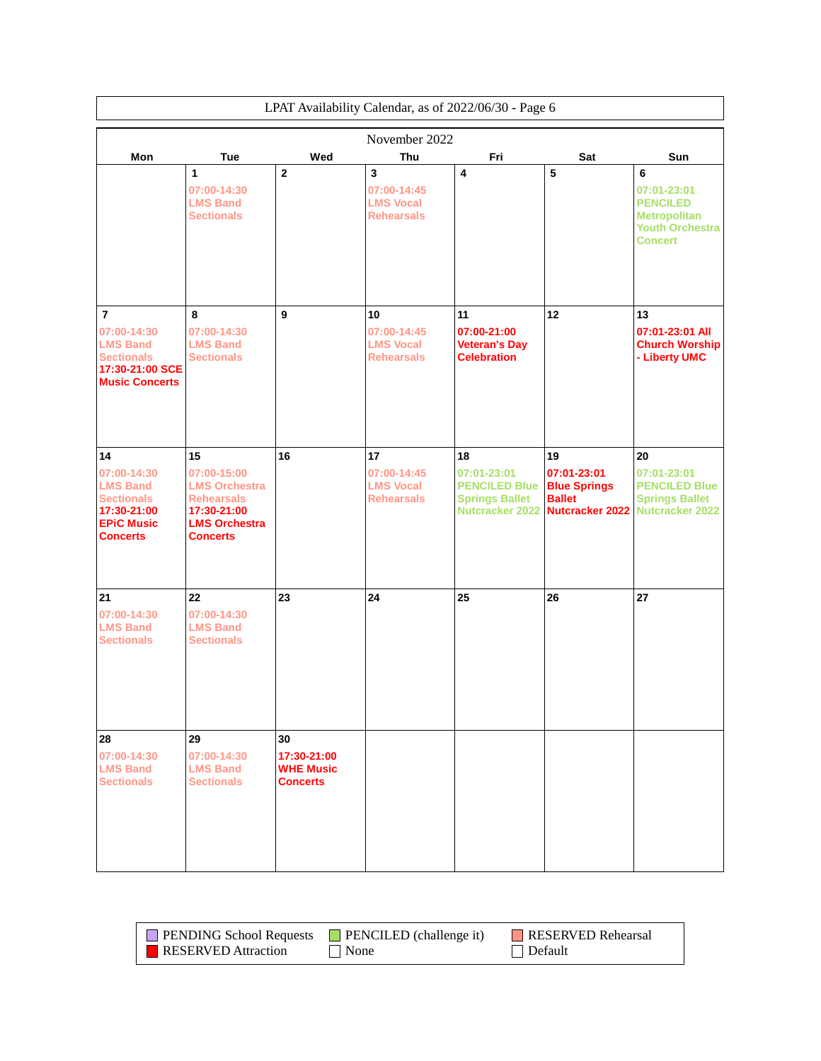|                                                                                                                            | LPAT Availability Calendar, as of 2022/06/30 - Page 6                                                                    |                                                          |                                                            |                                                                                              |                                                                                     |                                                                                                        |  |
|----------------------------------------------------------------------------------------------------------------------------|--------------------------------------------------------------------------------------------------------------------------|----------------------------------------------------------|------------------------------------------------------------|----------------------------------------------------------------------------------------------|-------------------------------------------------------------------------------------|--------------------------------------------------------------------------------------------------------|--|
|                                                                                                                            | November 2022                                                                                                            |                                                          |                                                            |                                                                                              |                                                                                     |                                                                                                        |  |
| Mon                                                                                                                        | Tue                                                                                                                      | Wed                                                      | Thu                                                        | Fri                                                                                          | Sat                                                                                 | Sun                                                                                                    |  |
|                                                                                                                            | 1<br>07:00-14:30<br><b>LMS Band</b><br><b>Sectionals</b>                                                                 | $\overline{2}$                                           | 3<br>07:00-14:45<br><b>LMS Vocal</b><br><b>Rehearsals</b>  | 4                                                                                            | 5                                                                                   | 6<br>07:01-23:01<br><b>PENCILED</b><br><b>Metropolitan</b><br><b>Youth Orchestra</b><br><b>Concert</b> |  |
| $\overline{\mathbf{r}}$<br>07:00-14:30<br><b>LMS Band</b><br><b>Sectionals</b><br>17:30-21:00 SCE<br><b>Music Concerts</b> | 8<br>07:00-14:30<br><b>LMS Band</b><br><b>Sectionals</b>                                                                 | 9                                                        | 10<br>07:00-14:45<br><b>LMS Vocal</b><br><b>Rehearsals</b> | 11<br>07:00-21:00<br><b>Veteran's Day</b><br><b>Celebration</b>                              | 12                                                                                  | 13<br>07:01-23:01 All<br><b>Church Worship</b><br>- Liberty UMC                                        |  |
| 14<br>07:00-14:30<br><b>LMS Band</b><br><b>Sectionals</b><br>17:30-21:00<br><b>EPIC Music</b><br><b>Concerts</b>           | 15<br>07:00-15:00<br><b>LMS Orchestra</b><br><b>Rehearsals</b><br>17:30-21:00<br><b>LMS Orchestra</b><br><b>Concerts</b> | 16                                                       | 17<br>07:00-14:45<br><b>LMS Vocal</b><br><b>Rehearsals</b> | 18<br>07:01-23:01<br><b>PENCILED Blue</b><br><b>Springs Ballet</b><br><b>Nutcracker 2022</b> | 19<br>07:01-23:01<br><b>Blue Springs</b><br><b>Ballet</b><br><b>Nutcracker 2022</b> | 20<br>07:01-23:01<br><b>PENCILED Blue</b><br><b>Springs Ballet</b><br>Nutcracker 2022                  |  |
| 21<br>07:00-14:30<br><b>LMS Band</b><br><b>Sectionals</b>                                                                  | 22<br>07:00-14:30<br><b>LMS Band</b><br><b>Sectionals</b>                                                                | 23                                                       | 24                                                         | 25                                                                                           | 26                                                                                  | 27                                                                                                     |  |
| 28<br>07:00-14:30<br><b>LMS Band</b><br><b>Sectionals</b>                                                                  | 29<br>07:00-14:30<br><b>LMS Band</b><br><b>Sectionals</b>                                                                | 30<br>17:30-21:00<br><b>WHE Music</b><br><b>Concerts</b> |                                                            |                                                                                              |                                                                                     |                                                                                                        |  |

| <b>PENDING School Requests</b> | $\blacksquare$ PENCILED (challenge it) | RESERVED Rehearsal |
|--------------------------------|----------------------------------------|--------------------|
| RESERVED Attraction            | None                                   | $\Box$ Default     |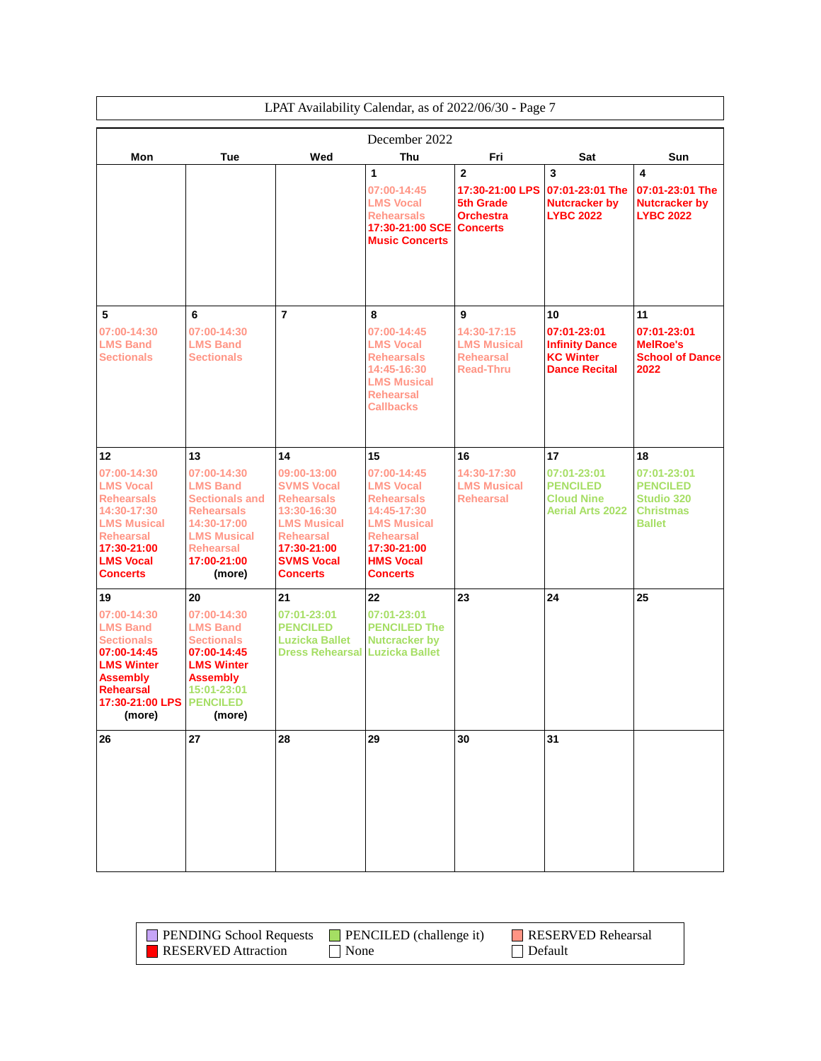| LPAT Availability Calendar, as of 2022/06/30 - Page 7                                                                                                                  |                                                                                                                                                                |                                                                                                                                                                       |                                                                                                                                                                     |                                                                                     |                                                                                |                                                                                          |
|------------------------------------------------------------------------------------------------------------------------------------------------------------------------|----------------------------------------------------------------------------------------------------------------------------------------------------------------|-----------------------------------------------------------------------------------------------------------------------------------------------------------------------|---------------------------------------------------------------------------------------------------------------------------------------------------------------------|-------------------------------------------------------------------------------------|--------------------------------------------------------------------------------|------------------------------------------------------------------------------------------|
|                                                                                                                                                                        |                                                                                                                                                                |                                                                                                                                                                       | December 2022                                                                                                                                                       |                                                                                     |                                                                                |                                                                                          |
| Mon                                                                                                                                                                    | Tue                                                                                                                                                            | Wed                                                                                                                                                                   | Thu                                                                                                                                                                 | Fri                                                                                 | Sat                                                                            | Sun                                                                                      |
|                                                                                                                                                                        |                                                                                                                                                                |                                                                                                                                                                       | 1<br>07:00-14:45<br><b>LMS Vocal</b><br><b>Rehearsals</b><br>17:30-21:00 SCE<br><b>Music Concerts</b>                                                               | $\mathbf{2}$<br>17:30-21:00 LPS<br>5th Grade<br><b>Orchestra</b><br><b>Concerts</b> | 3<br>07:01-23:01 The<br><b>Nutcracker by</b><br><b>LYBC 2022</b>               | 4<br>07:01-23:01 The<br><b>Nutcracker by</b><br><b>LYBC 2022</b>                         |
| 5<br>07:00-14:30<br><b>LMS Band</b><br><b>Sectionals</b>                                                                                                               | 6<br>07:00-14:30<br><b>LMS Band</b><br><b>Sectionals</b>                                                                                                       | $\overline{7}$                                                                                                                                                        | 8<br>07:00-14:45<br><b>LMS Vocal</b><br><b>Rehearsals</b>                                                                                                           | 9<br>14:30-17:15<br><b>LMS Musical</b><br><b>Rehearsal</b>                          | 10<br>07:01-23:01<br><b>Infinity Dance</b><br><b>KC Winter</b>                 | 11<br>07:01-23:01<br><b>MelRoe's</b><br><b>School of Dance</b>                           |
|                                                                                                                                                                        |                                                                                                                                                                |                                                                                                                                                                       | <b>LMS Musical</b><br><b>Rehearsal</b><br><b>Callbacks</b>                                                                                                          |                                                                                     |                                                                                |                                                                                          |
| 12                                                                                                                                                                     | 13                                                                                                                                                             | 14                                                                                                                                                                    | 15                                                                                                                                                                  | 16                                                                                  | 17                                                                             | 18                                                                                       |
| 07:00-14:30<br><b>LMS Vocal</b><br><b>Rehearsals</b><br>14:30-17:30<br><b>LMS Musical</b><br><b>Rehearsal</b><br>17:30-21:00<br><b>LMS Vocal</b><br><b>Concerts</b>    | 07:00-14:30<br><b>LMS Band</b><br><b>Sectionals and</b><br><b>Rehearsals</b><br>14:30-17:00<br><b>LMS Musical</b><br><b>Rehearsal</b><br>17:00-21:00<br>(more) | 09:00-13:00<br><b>SVMS Vocal</b><br><b>Rehearsals</b><br>13:30-16:30<br><b>LMS Musical</b><br><b>Rehearsal</b><br>17:30-21:00<br><b>SVMS Vocal</b><br><b>Concerts</b> | 07:00-14:45<br><b>LMS Vocal</b><br><b>Rehearsals</b><br>14:45-17:30<br><b>LMS Musical</b><br><b>Rehearsal</b><br>17:30-21:00<br><b>HMS Vocal</b><br><b>Concerts</b> | 14:30-17:30<br><b>LMS Musical</b><br><b>Rehearsal</b>                               | 07:01-23:01<br><b>PENCILED</b><br><b>Cloud Nine</b><br><b>Aerial Arts 2022</b> | 07:01-23:01<br><b>PENCILED</b><br><b>Studio 320</b><br><b>Christmas</b><br><b>Ballet</b> |
| 19                                                                                                                                                                     | 20                                                                                                                                                             | 21                                                                                                                                                                    | 22                                                                                                                                                                  | 23                                                                                  | 24                                                                             | 25                                                                                       |
| 07:00-14:30<br><b>LMS Band</b><br><b>Sectionals</b><br>07:00-14:45<br><b>LMS Winter</b><br><b>Assembly</b><br><b>Rehearsal</b><br>17:30-21:00 LPS   PENCILED<br>(more) | 07:00-14:30<br><b>LMS Band</b><br><b>Sectionals</b><br>07:00-14:45<br><b>LMS Winter</b><br><b>Assembly</b><br>15:01-23:01<br>(more)                            | 07:01-23:01<br><b>PENCILED</b><br><b>Luzicka Ballet</b><br><b>Dress Rehearsal Luzicka Ballet</b>                                                                      | 07:01-23:01<br><b>PENCILED The</b><br><b>Nutcracker by</b>                                                                                                          |                                                                                     |                                                                                |                                                                                          |
| 26                                                                                                                                                                     | 27                                                                                                                                                             | 28                                                                                                                                                                    | 29                                                                                                                                                                  | 30                                                                                  | 31                                                                             |                                                                                          |
|                                                                                                                                                                        |                                                                                                                                                                |                                                                                                                                                                       | 14:45-16:30                                                                                                                                                         | <b>Read-Thru</b>                                                                    | <b>Dance Recital</b>                                                           | 2022                                                                                     |

| <b>PENDING School Requests</b> | $\blacksquare$ PENCILED (challenge it) | RESERVED Rehearsal |
|--------------------------------|----------------------------------------|--------------------|
| <b>RESERVED</b> Attraction     | None                                   | $\Box$ Default     |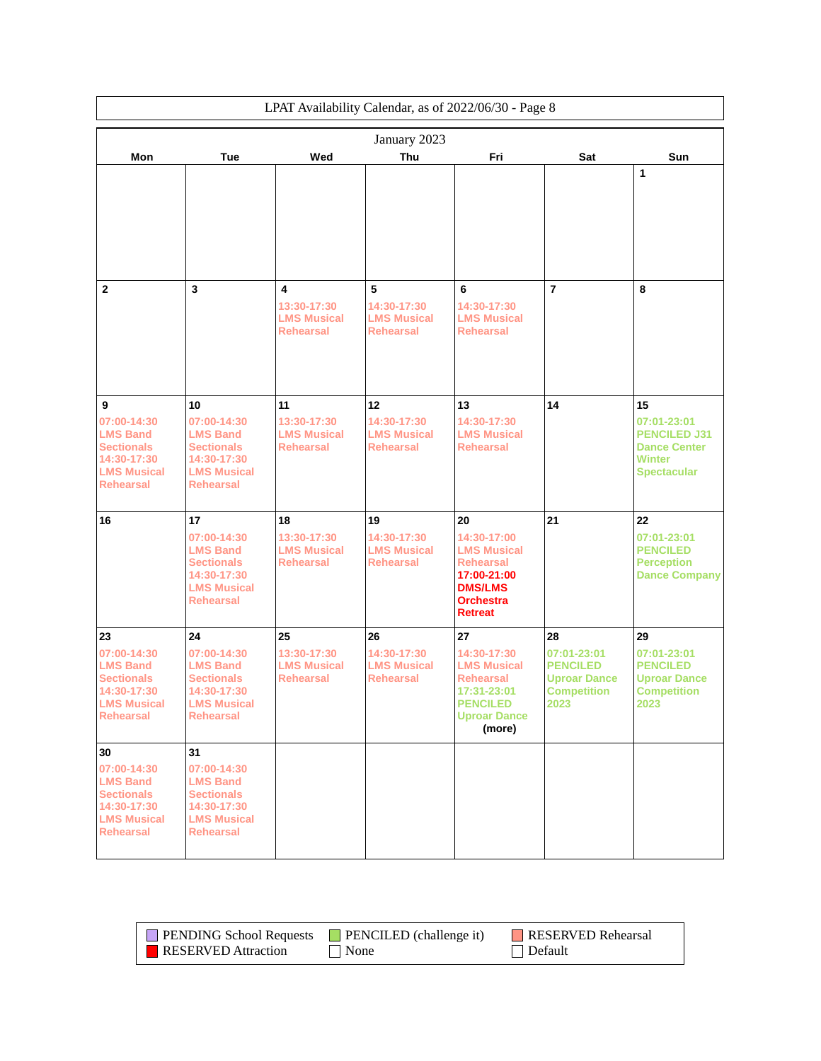|                                                                                                                   |                                                                                                                    |                                                             | LPAT Availability Calendar, as of 2022/06/30 - Page 8       |                                                                                                                                    |                                                                                     |                                                                                                        |
|-------------------------------------------------------------------------------------------------------------------|--------------------------------------------------------------------------------------------------------------------|-------------------------------------------------------------|-------------------------------------------------------------|------------------------------------------------------------------------------------------------------------------------------------|-------------------------------------------------------------------------------------|--------------------------------------------------------------------------------------------------------|
|                                                                                                                   |                                                                                                                    |                                                             | January 2023                                                |                                                                                                                                    |                                                                                     |                                                                                                        |
| Mon                                                                                                               | Tue                                                                                                                | Wed                                                         | Thu                                                         | Fri                                                                                                                                | Sat                                                                                 | Sun                                                                                                    |
|                                                                                                                   |                                                                                                                    |                                                             |                                                             |                                                                                                                                    |                                                                                     | 1                                                                                                      |
| $\mathbf{2}$                                                                                                      | $\overline{\mathbf{3}}$                                                                                            | 4<br>13:30-17:30<br><b>LMS Musical</b><br><b>Rehearsal</b>  | 5<br>14:30-17:30<br><b>LMS Musical</b><br><b>Rehearsal</b>  | 6<br>14:30-17:30<br><b>LMS Musical</b><br><b>Rehearsal</b>                                                                         | $\overline{7}$                                                                      | 8                                                                                                      |
| 9<br>07:00-14:30<br><b>LMS Band</b><br><b>Sectionals</b><br>14:30-17:30<br><b>LMS Musical</b><br><b>Rehearsal</b> | 10<br>07:00-14:30<br><b>LMS Band</b><br><b>Sectionals</b><br>14:30-17:30<br><b>LMS Musical</b><br><b>Rehearsal</b> | 11<br>13:30-17:30<br><b>LMS Musical</b><br><b>Rehearsal</b> | 12<br>14:30-17:30<br><b>LMS Musical</b><br><b>Rehearsal</b> | 13<br>14:30-17:30<br><b>LMS Musical</b><br><b>Rehearsal</b>                                                                        | 14                                                                                  | 15<br>07:01-23:01<br><b>PENCILED J31</b><br><b>Dance Center</b><br><b>Winter</b><br><b>Spectacular</b> |
| 16                                                                                                                | 17<br>07:00-14:30<br><b>LMS Band</b><br><b>Sectionals</b><br>14:30-17:30<br><b>LMS Musical</b><br><b>Rehearsal</b> | 18<br>13:30-17:30<br><b>LMS Musical</b><br><b>Rehearsal</b> | 19<br>14:30-17:30<br><b>LMS Musical</b><br><b>Rehearsal</b> | 20<br>14:30-17:00<br><b>LMS Musical</b><br><b>Rehearsal</b><br>17:00-21:00<br><b>DMS/LMS</b><br><b>Orchestra</b><br><b>Retreat</b> | 21                                                                                  | 22<br>07:01-23:01<br><b>PENCILED</b><br><b>Perception</b><br><b>Dance Company</b>                      |
| 23                                                                                                                | 24                                                                                                                 | 25                                                          | 26                                                          | 27                                                                                                                                 | 28                                                                                  | 29                                                                                                     |
| 07:00-14:30<br><b>LMS Band</b><br><b>Sectionals</b><br>14:30-17:30<br><b>LMS Musical</b><br><b>Rehearsal</b>      | 07:00-14:30<br><b>LMS Band</b><br><b>Sectionals</b><br>14:30-17:30<br><b>LMS Musical</b><br><b>Rehearsal</b>       | 13:30-17:30<br><b>LMS Musical</b><br><b>Rehearsal</b>       | 14:30-17:30<br><b>LMS Musical</b><br><b>Rehearsal</b>       | 14:30-17:30<br><b>LMS Musical</b><br><b>Rehearsal</b><br>17:31-23:01<br><b>PENCILED</b><br><b>Uproar Dance</b><br>(more)           | 07:01-23:01<br><b>PENCILED</b><br><b>Uproar Dance</b><br><b>Competition</b><br>2023 | 07:01-23:01<br><b>PENCILED</b><br><b>Uproar Dance</b><br><b>Competition</b><br>2023                    |
| 30                                                                                                                | 31                                                                                                                 |                                                             |                                                             |                                                                                                                                    |                                                                                     |                                                                                                        |
| 07:00-14:30<br><b>LMS Band</b><br><b>Sectionals</b><br>14:30-17:30<br><b>LMS Musical</b><br><b>Rehearsal</b>      | 07:00-14:30<br><b>LMS Band</b><br><b>Sectionals</b><br>14:30-17:30<br><b>LMS Musical</b><br><b>Rehearsal</b>       |                                                             |                                                             |                                                                                                                                    |                                                                                     |                                                                                                        |

| <b>PENDING School Requests</b> | <b>PENCILED</b> (challenge it) | <b>RESERVED Rehearsal</b> |
|--------------------------------|--------------------------------|---------------------------|
| RESERVED Attraction            | None                           | Default                   |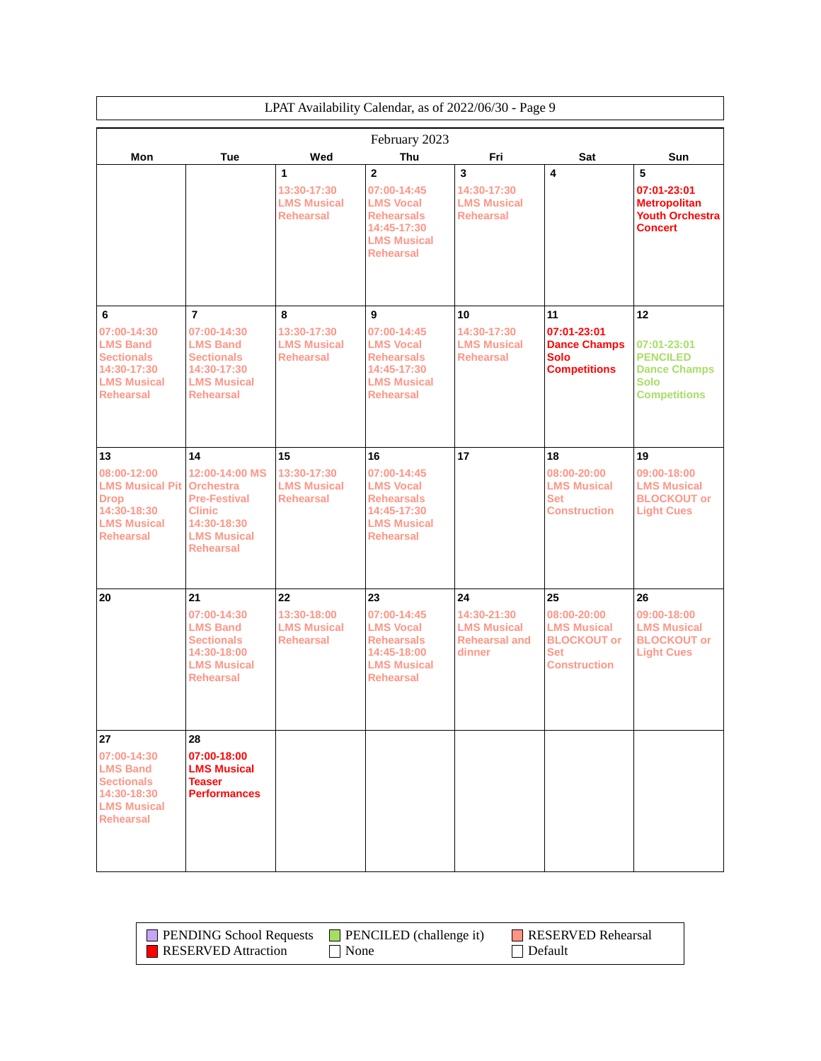|                                                                                                               | LPAT Availability Calendar, as of 2022/06/30 - Page 9                                                                               |                                                             |                                                                                                                                 |                                                                           |                                                                                                    |                                                                                             |  |
|---------------------------------------------------------------------------------------------------------------|-------------------------------------------------------------------------------------------------------------------------------------|-------------------------------------------------------------|---------------------------------------------------------------------------------------------------------------------------------|---------------------------------------------------------------------------|----------------------------------------------------------------------------------------------------|---------------------------------------------------------------------------------------------|--|
|                                                                                                               |                                                                                                                                     |                                                             | February 2023                                                                                                                   |                                                                           |                                                                                                    |                                                                                             |  |
| Mon                                                                                                           | <b>Tue</b>                                                                                                                          | Wed                                                         | <b>Thu</b>                                                                                                                      | Fri                                                                       | Sat                                                                                                | <b>Sun</b>                                                                                  |  |
|                                                                                                               |                                                                                                                                     | 1<br>13:30-17:30<br><b>LMS Musical</b><br><b>Rehearsal</b>  | $\overline{2}$<br>07:00-14:45<br><b>LMS Vocal</b><br><b>Rehearsals</b><br>14:45-17:30<br><b>LMS Musical</b><br><b>Rehearsal</b> | 3<br>14:30-17:30<br><b>LMS Musical</b><br><b>Rehearsal</b>                | 4                                                                                                  | 5<br>07:01-23:01<br><b>Metropolitan</b><br><b>Youth Orchestra</b><br><b>Concert</b>         |  |
| 6                                                                                                             | $\overline{7}$                                                                                                                      | 8                                                           | 9                                                                                                                               | 10                                                                        | 11                                                                                                 | 12                                                                                          |  |
| 07:00-14:30<br><b>LMS Band</b><br><b>Sectionals</b><br>14:30-17:30<br><b>LMS Musical</b><br><b>Rehearsal</b>  | 07:00-14:30<br><b>LMS Band</b><br><b>Sectionals</b><br>14:30-17:30<br><b>LMS Musical</b><br><b>Rehearsal</b>                        | 13:30-17:30<br><b>LMS Musical</b><br><b>Rehearsal</b>       | 07:00-14:45<br><b>LMS Vocal</b><br><b>Rehearsals</b><br>14:45-17:30<br><b>LMS Musical</b><br><b>Rehearsal</b>                   | 14:30-17:30<br><b>LMS Musical</b><br><b>Rehearsal</b>                     | 07:01-23:01<br><b>Dance Champs</b><br><b>Solo</b><br><b>Competitions</b>                           | 07:01-23:01<br><b>PENCILED</b><br><b>Dance Champs</b><br><b>Solo</b><br><b>Competitions</b> |  |
| 13                                                                                                            | 14                                                                                                                                  | 15                                                          | 16                                                                                                                              | 17                                                                        | 18                                                                                                 | 19                                                                                          |  |
| 08:00-12:00<br><b>LMS Musical Pit</b><br><b>Drop</b><br>14:30-18:30<br><b>LMS Musical</b><br><b>Rehearsal</b> | 12:00-14:00 MS<br><b>Orchestra</b><br><b>Pre-Festival</b><br><b>Clinic</b><br>14:30-18:30<br><b>LMS Musical</b><br><b>Rehearsal</b> | 13:30-17:30<br><b>LMS Musical</b><br><b>Rehearsal</b>       | 07:00-14:45<br><b>LMS Vocal</b><br><b>Rehearsals</b><br>14:45-17:30<br><b>LMS Musical</b><br><b>Rehearsal</b>                   |                                                                           | 08:00-20:00<br><b>LMS Musical</b><br><b>Set</b><br><b>Construction</b>                             | 09:00-18:00<br><b>LMS Musical</b><br><b>BLOCKOUT or</b><br><b>Light Cues</b>                |  |
|                                                                                                               |                                                                                                                                     |                                                             |                                                                                                                                 |                                                                           |                                                                                                    |                                                                                             |  |
| 20                                                                                                            | 21<br>07:00-14:30<br><b>LMS Band</b><br><b>Sectionals</b><br>14:30-18:00<br><b>LMS Musical</b><br><b>Rehearsal</b>                  | 22<br>13:30-18:00<br><b>LMS Musical</b><br><b>Rehearsal</b> | 23<br>07:00-14:45<br><b>LMS Vocal</b><br><b>Rehearsals</b><br>14:45-18:00<br><b>LMS Musical</b><br><b>Rehearsal</b>             | 24<br>14:30-21:30<br><b>LMS Musical</b><br><b>Rehearsal and</b><br>dinner | 25<br>08:00-20:00<br><b>LMS Musical</b><br><b>BLOCKOUT or</b><br><b>Set</b><br><b>Construction</b> | 26<br>09:00-18:00<br><b>LMS Musical</b><br><b>BLOCKOUT or</b><br><b>Light Cues</b>          |  |
| 27                                                                                                            | 28                                                                                                                                  |                                                             |                                                                                                                                 |                                                                           |                                                                                                    |                                                                                             |  |
| 07:00-14:30<br><b>LMS Band</b><br><b>Sectionals</b><br>14:30-18:30<br><b>LMS Musical</b><br><b>Rehearsal</b>  | 07:00-18:00<br><b>LMS Musical</b><br><b>Teaser</b><br><b>Performances</b>                                                           |                                                             |                                                                                                                                 |                                                                           |                                                                                                    |                                                                                             |  |

| <b>PENDING School Requests</b> | <b>PENCILED</b> (challenge it) | RESERVED Rehearsal |
|--------------------------------|--------------------------------|--------------------|
| <b>RESERVED</b> Attraction     | None                           | $\Box$ Default     |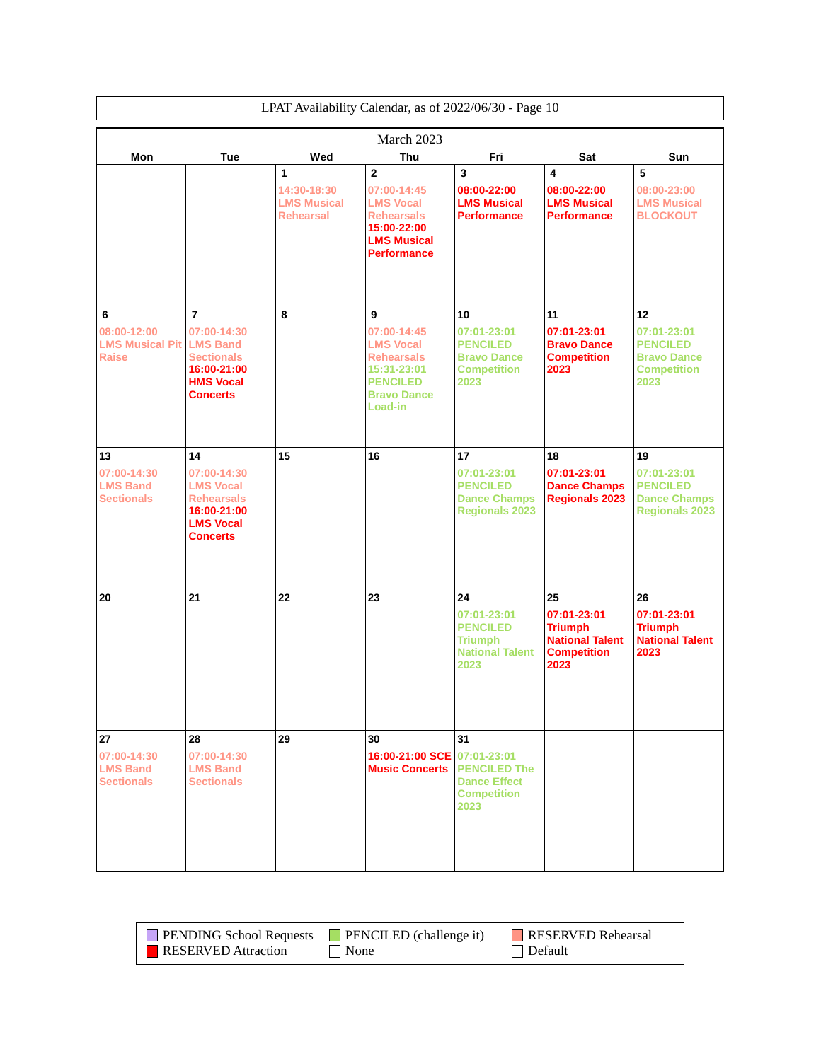|                                                            | LPAT Availability Calendar, as of 2022/06/30 - Page 10                                                                      |                                                            |                                                                                                                                 |                                                                                          |                                                                                             |                                                                                          |  |
|------------------------------------------------------------|-----------------------------------------------------------------------------------------------------------------------------|------------------------------------------------------------|---------------------------------------------------------------------------------------------------------------------------------|------------------------------------------------------------------------------------------|---------------------------------------------------------------------------------------------|------------------------------------------------------------------------------------------|--|
|                                                            |                                                                                                                             |                                                            | March 2023                                                                                                                      |                                                                                          |                                                                                             |                                                                                          |  |
| Mon                                                        | <b>Tue</b>                                                                                                                  | Wed                                                        | <b>Thu</b>                                                                                                                      | Fri                                                                                      | Sat                                                                                         | Sun                                                                                      |  |
|                                                            |                                                                                                                             | 1<br>14:30-18:30<br><b>LMS Musical</b><br><b>Rehearsal</b> | $\mathbf{2}$<br>07:00-14:45<br><b>LMS Vocal</b><br><b>Rehearsals</b><br>15:00-22:00<br><b>LMS Musical</b><br><b>Performance</b> | 3<br>08:00-22:00<br><b>LMS Musical</b><br><b>Performance</b>                             | $\overline{\mathbf{4}}$<br>08:00-22:00<br><b>LMS Musical</b><br><b>Performance</b>          | 5<br>08:00-23:00<br><b>LMS Musical</b><br><b>BLOCKOUT</b>                                |  |
| 6<br>08:00-12:00<br><b>LMS Musical Pit</b><br><b>Raise</b> | $\overline{7}$<br>07:00-14:30<br><b>LMS Band</b><br><b>Sectionals</b><br>16:00-21:00<br><b>HMS Vocal</b><br><b>Concerts</b> | 8                                                          | 9<br>07:00-14:45<br><b>LMS Vocal</b><br><b>Rehearsals</b><br>15:31-23:01<br><b>PENCILED</b><br><b>Bravo Dance</b>               | 10<br>07:01-23:01<br><b>PENCILED</b><br><b>Bravo Dance</b><br><b>Competition</b><br>2023 | 11<br>07:01-23:01<br><b>Bravo Dance</b><br><b>Competition</b><br>2023                       | 12<br>07:01-23:01<br><b>PENCILED</b><br><b>Bravo Dance</b><br><b>Competition</b><br>2023 |  |
| 13<br>07:00-14:30<br><b>LMS Band</b><br><b>Sectionals</b>  | 14<br>07:00-14:30<br><b>LMS Vocal</b><br><b>Rehearsals</b><br>16:00-21:00<br><b>LMS Vocal</b><br><b>Concerts</b>            | 15                                                         | Load-in<br>16                                                                                                                   | 17<br>07:01-23:01<br><b>PENCILED</b><br><b>Dance Champs</b><br><b>Regionals 2023</b>     | 18<br>07:01-23:01<br><b>Dance Champs</b><br><b>Regionals 2023</b>                           | 19<br>07:01-23:01<br><b>PENCILED</b><br><b>Dance Champs</b><br><b>Regionals 2023</b>     |  |
| 20                                                         | 21                                                                                                                          | 22                                                         | 23                                                                                                                              | 24<br>07:01-23:01<br><b>PENCILED</b><br><b>Triumph</b><br><b>National Talent</b><br>2023 | 25<br>07:01-23:01<br><b>Triumph</b><br><b>National Talent</b><br><b>Competition</b><br>2023 | 26<br>07:01-23:01<br><b>Triumph</b><br><b>National Talent</b><br>2023                    |  |
| 27<br>07:00-14:30<br><b>LMS Band</b><br><b>Sectionals</b>  | 28<br>07:00-14:30<br><b>LMS Band</b><br><b>Sectionals</b>                                                                   | 29                                                         | 30<br>16:00-21:00 SCE 07:01-23:01<br><b>Music Concerts</b>                                                                      | 31<br><b>PENCILED The</b><br><b>Dance Effect</b><br><b>Competition</b><br>2023           |                                                                                             |                                                                                          |  |

|                     | <b>PENDING School Requests</b> PENCILED (challenge it) | RESERVED Rehearsal |
|---------------------|--------------------------------------------------------|--------------------|
| RESERVED Attraction | $\blacksquare$ None                                    | Default            |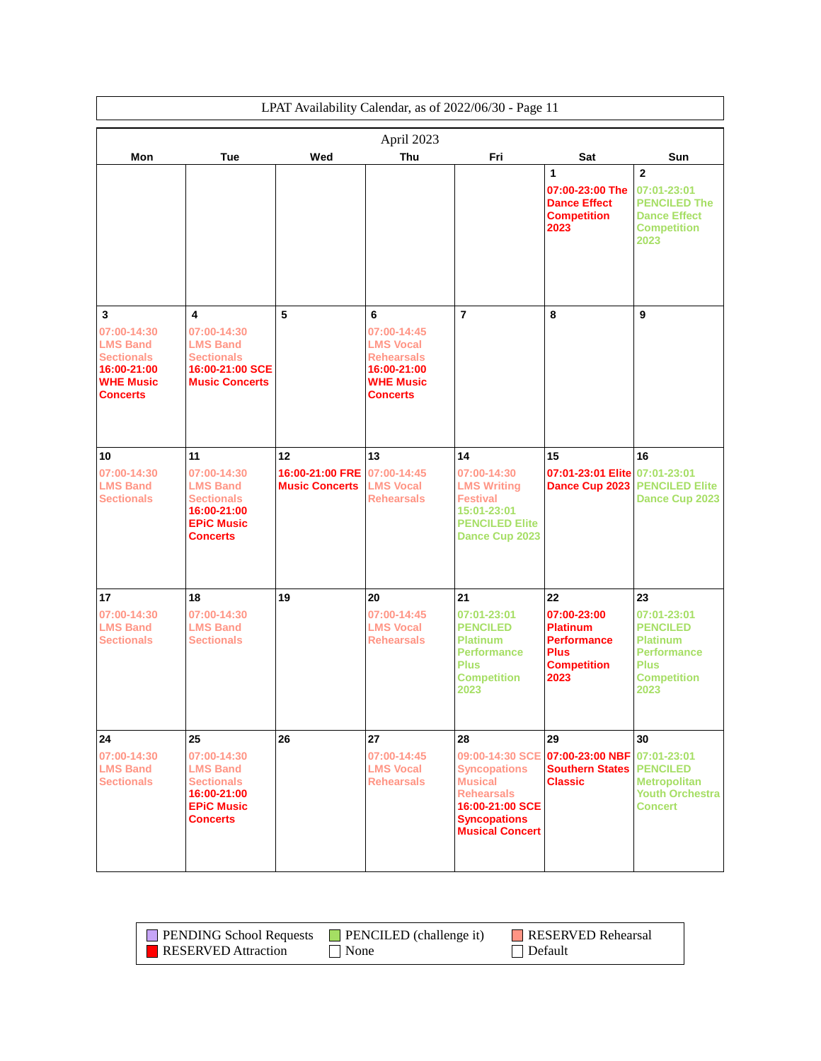| LPAT Availability Calendar, as of 2022/06/30 - Page 11                                                         |                                                                                                                  |                                                |                                                                                                                 |                                                                                                                                                         |                                                                                                         |                                                                                                                            |
|----------------------------------------------------------------------------------------------------------------|------------------------------------------------------------------------------------------------------------------|------------------------------------------------|-----------------------------------------------------------------------------------------------------------------|---------------------------------------------------------------------------------------------------------------------------------------------------------|---------------------------------------------------------------------------------------------------------|----------------------------------------------------------------------------------------------------------------------------|
|                                                                                                                |                                                                                                                  |                                                | April 2023                                                                                                      |                                                                                                                                                         |                                                                                                         |                                                                                                                            |
| Mon                                                                                                            | Tue                                                                                                              | Wed                                            | Thu                                                                                                             | Fri                                                                                                                                                     | Sat                                                                                                     | Sun                                                                                                                        |
|                                                                                                                |                                                                                                                  |                                                |                                                                                                                 |                                                                                                                                                         | 1<br>07:00-23:00 The<br><b>Dance Effect</b><br><b>Competition</b><br>2023                               | $\mathbf{2}$<br>07:01-23:01<br><b>PENCILED The</b><br><b>Dance Effect</b><br><b>Competition</b><br>2023                    |
| 3<br>07:00-14:30<br><b>LMS Band</b><br><b>Sectionals</b><br>16:00-21:00<br><b>WHE Music</b><br><b>Concerts</b> | 4<br>07:00-14:30<br><b>LMS Band</b><br><b>Sectionals</b><br>16:00-21:00 SCE<br><b>Music Concerts</b>             | 5                                              | 6<br>07:00-14:45<br><b>LMS Vocal</b><br><b>Rehearsals</b><br>16:00-21:00<br><b>WHE Music</b><br><b>Concerts</b> | $\overline{7}$                                                                                                                                          | 8                                                                                                       | 9                                                                                                                          |
| 10<br>07:00-14:30<br><b>LMS Band</b><br><b>Sectionals</b>                                                      | 11<br>07:00-14:30<br><b>LMS Band</b><br><b>Sectionals</b><br>16:00-21:00<br><b>EPiC Music</b><br><b>Concerts</b> | 12<br>16:00-21:00 FRE<br><b>Music Concerts</b> | 13<br>07:00-14:45<br><b>LMS Vocal</b><br><b>Rehearsals</b>                                                      | 14<br>07:00-14:30<br><b>LMS Writing</b><br><b>Festival</b><br>15:01-23:01<br><b>PENCILED Elite</b><br>Dance Cup 2023                                    | 15<br>07:01-23:01 Elite 07:01-23:01<br>Dance Cup 2023                                                   | 16<br><b>PENCILED Elite</b><br>Dance Cup 2023                                                                              |
| 17<br>07:00-14:30<br><b>LMS Band</b><br><b>Sectionals</b>                                                      | 18<br>07:00-14:30<br><b>LMS Band</b><br><b>Sectionals</b>                                                        | 19                                             | 20<br>07:00-14:45<br><b>LMS Vocal</b><br><b>Rehearsals</b>                                                      | 21<br>07:01-23:01<br><b>PENCILED</b><br><b>Platinum</b><br><b>Performance</b><br><b>Plus</b><br><b>Competition</b><br>2023                              | 22<br>07:00-23:00<br><b>Platinum</b><br><b>Performance</b><br><b>Plus</b><br><b>Competition</b><br>2023 | 23<br>07:01-23:01<br><b>PENCILED</b><br><b>Platinum</b><br><b>Performance</b><br><b>Plus</b><br><b>Competition</b><br>2023 |
| 24<br>07:00-14:30<br><b>LMS Band</b><br><b>Sectionals</b>                                                      | 25<br>07:00-14:30<br><b>LMS Band</b><br><b>Sectionals</b><br>16:00-21:00<br><b>EPIC Music</b><br><b>Concerts</b> | 26                                             | 27<br>07:00-14:45<br><b>LMS Vocal</b><br><b>Rehearsals</b>                                                      | 28<br>09:00-14:30 SCE<br><b>Syncopations</b><br><b>Musical</b><br><b>Rehearsals</b><br>16:00-21:00 SCE<br><b>Syncopations</b><br><b>Musical Concert</b> | 29<br>07:00-23:00 NBF<br><b>Southern States</b><br><b>Classic</b>                                       | 30<br>07:01-23:01<br><b>PENCILED</b><br><b>Metropolitan</b><br><b>Youth Orchestra</b><br><b>Concert</b>                    |

| <b>PENDING School Requests</b> | $\blacksquare$ PENCILED (challenge it) | RESERVED Rehearsal |
|--------------------------------|----------------------------------------|--------------------|
| <b>RESERVED</b> Attraction     | None                                   | $\Box$ Default     |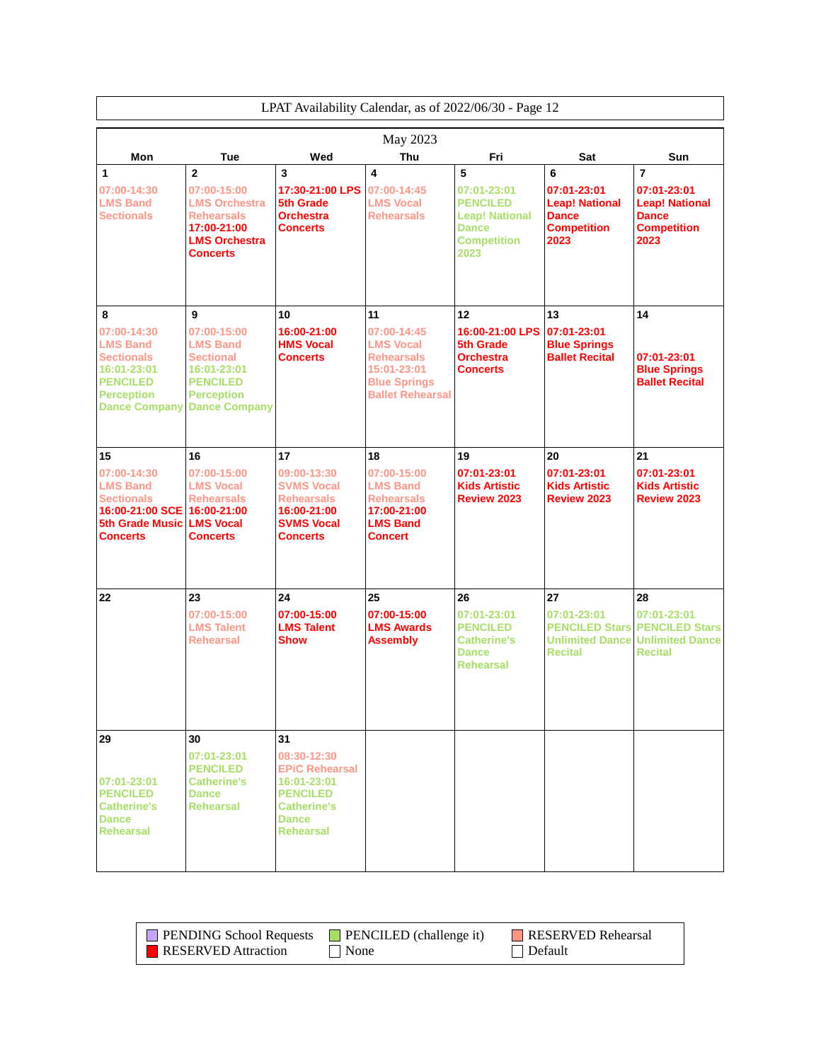|                                                                                                                                         | LPAT Availability Calendar, as of 2022/06/30 - Page 12                                                                                 |                                                                                                                                        |                                                                                                                             |                                                                                                            |                                                                                         |                                                                                                      |
|-----------------------------------------------------------------------------------------------------------------------------------------|----------------------------------------------------------------------------------------------------------------------------------------|----------------------------------------------------------------------------------------------------------------------------------------|-----------------------------------------------------------------------------------------------------------------------------|------------------------------------------------------------------------------------------------------------|-----------------------------------------------------------------------------------------|------------------------------------------------------------------------------------------------------|
|                                                                                                                                         |                                                                                                                                        |                                                                                                                                        | May 2023                                                                                                                    |                                                                                                            |                                                                                         |                                                                                                      |
| Mon                                                                                                                                     | Tue                                                                                                                                    | Wed                                                                                                                                    | Thu                                                                                                                         | Fri                                                                                                        | Sat                                                                                     | Sun                                                                                                  |
| 1<br>07:00-14:30<br><b>LMS Band</b><br><b>Sectionals</b>                                                                                | $\overline{2}$<br>07:00-15:00<br><b>LMS Orchestra</b><br><b>Rehearsals</b><br>17:00-21:00<br><b>LMS Orchestra</b><br><b>Concerts</b>   | 3<br>17:30-21:00 LPS<br>5th Grade<br><b>Orchestra</b><br><b>Concerts</b>                                                               | 4<br>07:00-14:45<br><b>LMS Vocal</b><br><b>Rehearsals</b>                                                                   | 5<br>07:01-23:01<br><b>PENCILED</b><br><b>Leap! National</b><br><b>Dance</b><br><b>Competition</b><br>2023 | 6<br>07:01-23:01<br><b>Leap! National</b><br><b>Dance</b><br><b>Competition</b><br>2023 | $\overline{7}$<br>07:01-23:01<br><b>Leap! National</b><br><b>Dance</b><br><b>Competition</b><br>2023 |
| 8<br>07:00-14:30<br><b>LMS Band</b><br><b>Sectionals</b><br>16:01-23:01<br><b>PENCILED</b><br><b>Perception</b><br><b>Dance Company</b> | 9<br>07:00-15:00<br><b>LMS Band</b><br><b>Sectional</b><br>16:01-23:01<br><b>PENCILED</b><br><b>Perception</b><br><b>Dance Company</b> | 10<br>16:00-21:00<br><b>HMS Vocal</b><br><b>Concerts</b>                                                                               | 11<br>07:00-14:45<br><b>LMS Vocal</b><br><b>Rehearsals</b><br>15:01-23:01<br><b>Blue Springs</b><br><b>Ballet Rehearsal</b> | 12<br>16:00-21:00 LPS<br><b>5th Grade</b><br><b>Orchestra</b><br><b>Concerts</b>                           | 13<br>07:01-23:01<br><b>Blue Springs</b><br><b>Ballet Recital</b>                       | 14<br>07:01-23:01<br><b>Blue Springs</b><br><b>Ballet Recital</b>                                    |
| 15<br>07:00-14:30<br><b>LMS Band</b><br><b>Sectionals</b><br>16:00-21:00 SCE 16:00-21:00<br><b>5th Grade Music</b><br><b>Concerts</b>   | 16<br>07:00-15:00<br><b>LMS Vocal</b><br><b>Rehearsals</b><br><b>LMS Vocal</b><br><b>Concerts</b>                                      | 17<br>09:00-13:30<br><b>SVMS Vocal</b><br><b>Rehearsals</b><br>16:00-21:00<br><b>SVMS Vocal</b><br><b>Concerts</b>                     | 18<br>07:00-15:00<br><b>LMS Band</b><br><b>Rehearsals</b><br>17:00-21:00<br><b>LMS Band</b><br><b>Concert</b>               | 19<br>07:01-23:01<br><b>Kids Artistic</b><br><b>Review 2023</b>                                            | 20<br>07:01-23:01<br><b>Kids Artistic</b><br><b>Review 2023</b>                         | 21<br>07:01-23:01<br><b>Kids Artistic</b><br><b>Review 2023</b>                                      |
| 22                                                                                                                                      | 23<br>$07:00-15:00$<br><b>LMS Talent</b><br><b>Rehearsal</b>                                                                           | 24<br>07:00-15:00<br><b>LMS Talent</b><br><b>Show</b>                                                                                  | 25<br>07:00-15:00<br><b>LMS Awards</b><br><b>Assembly</b>                                                                   | 26<br>07:01-23:01<br><b>PENCILED</b><br><b>Catherine's</b><br><b>Dance</b><br><b>Rehearsal</b>             | 27<br>07:01-23:01<br><b>PENCILED Stars</b><br><b>Unlimited Dance</b><br><b>Recital</b>  | 28<br>07:01-23:01<br><b>PENCILED Stars</b><br><b>Unlimited Dance</b><br><b>Recital</b>               |
| 29<br>07:01-23:01<br><b>PENCILED</b><br><b>Catherine's</b><br><b>Dance</b><br><b>Rehearsal</b>                                          | 30<br>07:01-23:01<br><b>PENCILED</b><br><b>Catherine's</b><br><b>Dance</b><br><b>Rehearsal</b>                                         | 31<br>08:30-12:30<br><b>EPIC Rehearsal</b><br>16:01-23:01<br><b>PENCILED</b><br><b>Catherine's</b><br><b>Dance</b><br><b>Rehearsal</b> |                                                                                                                             |                                                                                                            |                                                                                         |                                                                                                      |

| <b>PENDING School Requests</b> | <b>PENCILED</b> (challenge it) | RESERVED Rehearsal |
|--------------------------------|--------------------------------|--------------------|
| <b>RESERVED</b> Attraction     | None                           | Default            |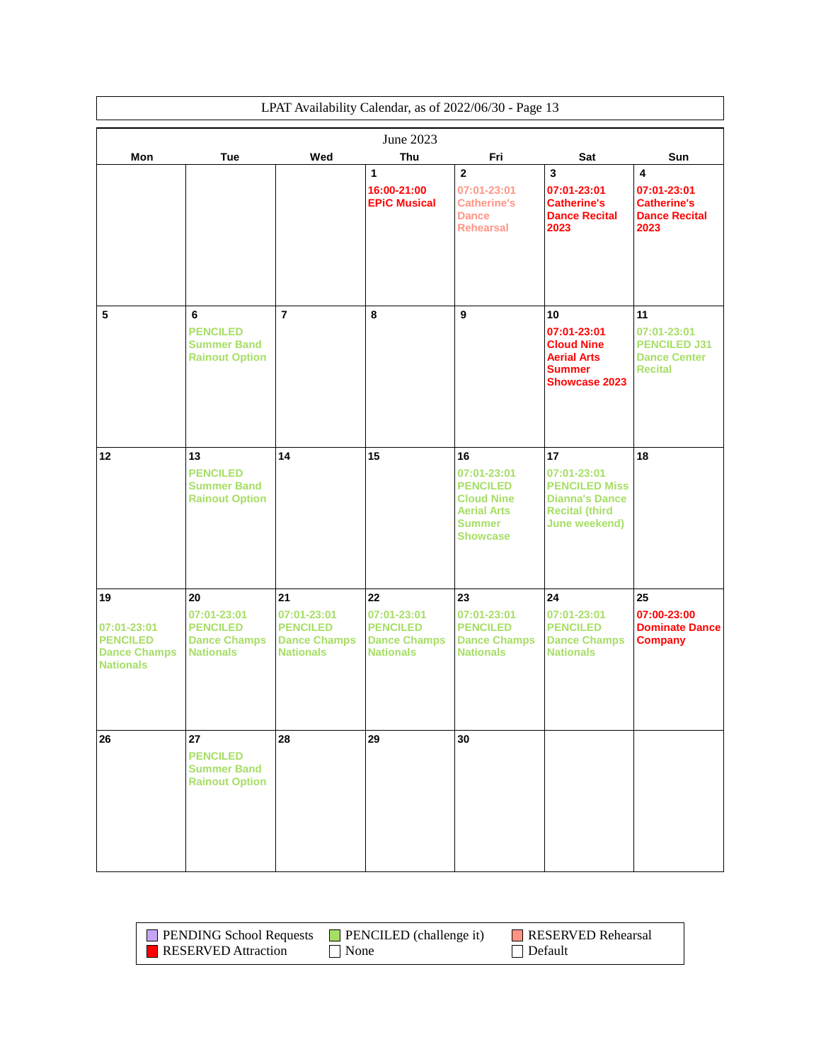|                                                                                 |                                                                                 |                                                                                 |                                                                                 | LPAT Availability Calendar, as of 2022/06/30 - Page 13                                                              |                                                                                                              |                                                                                              |
|---------------------------------------------------------------------------------|---------------------------------------------------------------------------------|---------------------------------------------------------------------------------|---------------------------------------------------------------------------------|---------------------------------------------------------------------------------------------------------------------|--------------------------------------------------------------------------------------------------------------|----------------------------------------------------------------------------------------------|
|                                                                                 |                                                                                 |                                                                                 | June 2023                                                                       |                                                                                                                     |                                                                                                              |                                                                                              |
| Mon                                                                             | <b>Tue</b>                                                                      | Wed                                                                             | Thu                                                                             | Fri                                                                                                                 | Sat                                                                                                          | Sun                                                                                          |
|                                                                                 |                                                                                 |                                                                                 | 1<br>16:00-21:00<br><b>EPiC Musical</b>                                         | $\overline{2}$<br>07:01-23:01<br><b>Catherine's</b><br><b>Dance</b><br><b>Rehearsal</b>                             | $\overline{\mathbf{3}}$<br>07:01-23:01<br><b>Catherine's</b><br><b>Dance Recital</b><br>2023                 | $\overline{\mathbf{4}}$<br>07:01-23:01<br><b>Catherine's</b><br><b>Dance Recital</b><br>2023 |
| 5                                                                               | 6<br><b>PENCILED</b><br><b>Summer Band</b><br><b>Rainout Option</b>             | $\overline{7}$                                                                  | 8                                                                               | 9                                                                                                                   | 10<br>07:01-23:01<br><b>Cloud Nine</b><br><b>Aerial Arts</b><br><b>Summer</b><br><b>Showcase 2023</b>        | 11<br>07:01-23:01<br><b>PENCILED J31</b><br><b>Dance Center</b><br><b>Recital</b>            |
| 12                                                                              | 13<br><b>PENCILED</b><br><b>Summer Band</b><br><b>Rainout Option</b>            | 14                                                                              | 15                                                                              | 16<br>07:01-23:01<br><b>PENCILED</b><br><b>Cloud Nine</b><br><b>Aerial Arts</b><br><b>Summer</b><br><b>Showcase</b> | 17<br>07:01-23:01<br><b>PENCILED Miss</b><br><b>Dianna's Dance</b><br><b>Recital (third</b><br>June weekend) | 18                                                                                           |
| 19<br>07:01-23:01<br><b>PENCILED</b><br><b>Dance Champs</b><br><b>Nationals</b> | 20<br>07:01-23:01<br><b>PENCILED</b><br><b>Dance Champs</b><br><b>Nationals</b> | 21<br>07:01-23:01<br><b>PENCILED</b><br><b>Dance Champs</b><br><b>Nationals</b> | 22<br>07:01-23:01<br><b>PENCILED</b><br><b>Dance Champs</b><br><b>Nationals</b> | 23<br>07:01-23:01<br><b>PENCILED</b><br><b>Dance Champs</b><br><b>Nationals</b>                                     | 24<br>07:01-23:01<br><b>PENCILED</b><br><b>Dance Champs</b><br><b>Nationals</b>                              | 25<br>07:00-23:00<br><b>Dominate Dance</b><br><b>Company</b>                                 |
| 26                                                                              | 27<br><b>PENCILED</b><br><b>Summer Band</b><br><b>Rainout Option</b>            | 28                                                                              | 29                                                                              | 30                                                                                                                  |                                                                                                              |                                                                                              |

| <b>PENDING School Requests</b> | $\blacksquare$ PENCILED (challenge it) | RESERVED Rehearsal |
|--------------------------------|----------------------------------------|--------------------|
| <b>RESERVED</b> Attraction     | None                                   | $\Box$ Default     |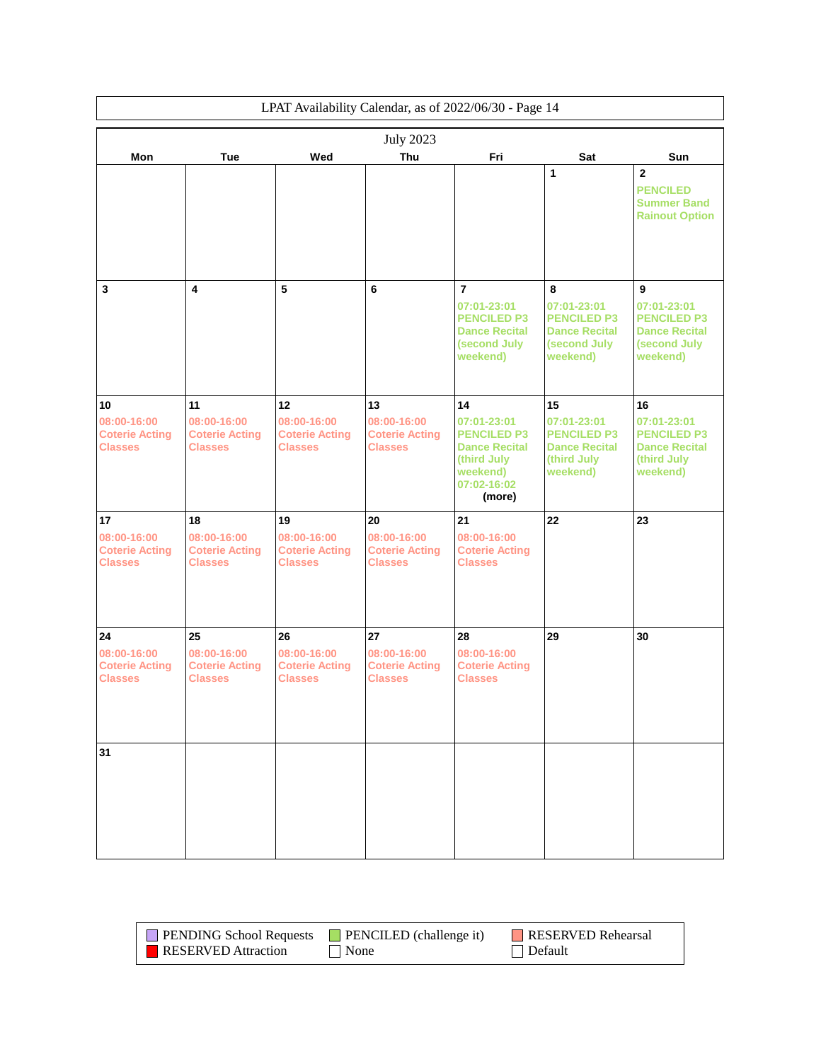|                                                              | LPAT Availability Calendar, as of 2022/06/30 - Page 14 |                                                              |                                                        |                                                                                                               |                                                                                            |                                                                                            |  |
|--------------------------------------------------------------|--------------------------------------------------------|--------------------------------------------------------------|--------------------------------------------------------|---------------------------------------------------------------------------------------------------------------|--------------------------------------------------------------------------------------------|--------------------------------------------------------------------------------------------|--|
|                                                              |                                                        |                                                              | <b>July 2023</b>                                       |                                                                                                               |                                                                                            |                                                                                            |  |
| Mon                                                          | <b>Tue</b>                                             | Wed                                                          | Thu                                                    | Fri                                                                                                           | Sat                                                                                        | Sun                                                                                        |  |
|                                                              |                                                        |                                                              |                                                        |                                                                                                               | 1                                                                                          | $\overline{2}$<br><b>PENCILED</b><br><b>Summer Band</b><br><b>Rainout Option</b>           |  |
| 3                                                            | 4                                                      | 5                                                            | 6                                                      | $\overline{7}$<br>07:01-23:01<br><b>PENCILED P3</b><br><b>Dance Recital</b><br>(second July<br>weekend)       | 8<br>07:01-23:01<br><b>PENCILED P3</b><br><b>Dance Recital</b><br>(second July<br>weekend) | 9<br>07:01-23:01<br><b>PENCILED P3</b><br><b>Dance Recital</b><br>(second July<br>weekend) |  |
|                                                              | 11                                                     |                                                              | 13                                                     | 14                                                                                                            | 15                                                                                         | 16                                                                                         |  |
| 10<br>08:00-16:00<br><b>Coterie Acting</b><br><b>Classes</b> | 08:00-16:00<br><b>Coterie Acting</b><br><b>Classes</b> | 12<br>08:00-16:00<br><b>Coterie Acting</b><br><b>Classes</b> | 08:00-16:00<br><b>Coterie Acting</b><br><b>Classes</b> | 07:01-23:01<br><b>PENCILED P3</b><br><b>Dance Recital</b><br>(third July<br>weekend)<br>07:02-16:02<br>(more) | 07:01-23:01<br><b>PENCILED P3</b><br><b>Dance Recital</b><br>(third July<br>weekend)       | 07:01-23:01<br><b>PENCILED P3</b><br><b>Dance Recital</b><br>(third July<br>weekend)       |  |
| 17                                                           | 18                                                     | 19                                                           | 20                                                     | 21                                                                                                            | 22                                                                                         | 23                                                                                         |  |
| 08:00-16:00<br><b>Coterie Acting</b><br><b>Classes</b>       | 08:00-16:00<br><b>Coterie Acting</b><br><b>Classes</b> | 08:00-16:00<br><b>Coterie Acting</b><br><b>Classes</b>       | 08:00-16:00<br><b>Coterie Acting</b><br><b>Classes</b> | 08:00-16:00<br><b>Coterie Acting</b><br><b>Classes</b>                                                        |                                                                                            |                                                                                            |  |
| 24                                                           | 25                                                     | 26                                                           | 27                                                     | 28                                                                                                            | 29                                                                                         | 30                                                                                         |  |
| 08:00-16:00<br><b>Coterie Acting</b><br><b>Classes</b>       | 08:00-16:00<br><b>Coterie Acting</b><br><b>Classes</b> | 08:00-16:00<br><b>Coterie Acting</b><br><b>Classes</b>       | 08:00-16:00<br><b>Coterie Acting</b><br><b>Classes</b> | 08:00-16:00<br><b>Coterie Acting</b><br><b>Classes</b>                                                        |                                                                                            |                                                                                            |  |
| 31                                                           |                                                        |                                                              |                                                        |                                                                                                               |                                                                                            |                                                                                            |  |

| <b>PENDING School Requests</b> | $\Box$ PENCILED (challenge it) | <b>RESERVED Rehearsal</b> |
|--------------------------------|--------------------------------|---------------------------|
| <b>RESERVED</b> Attraction     | None                           | Default                   |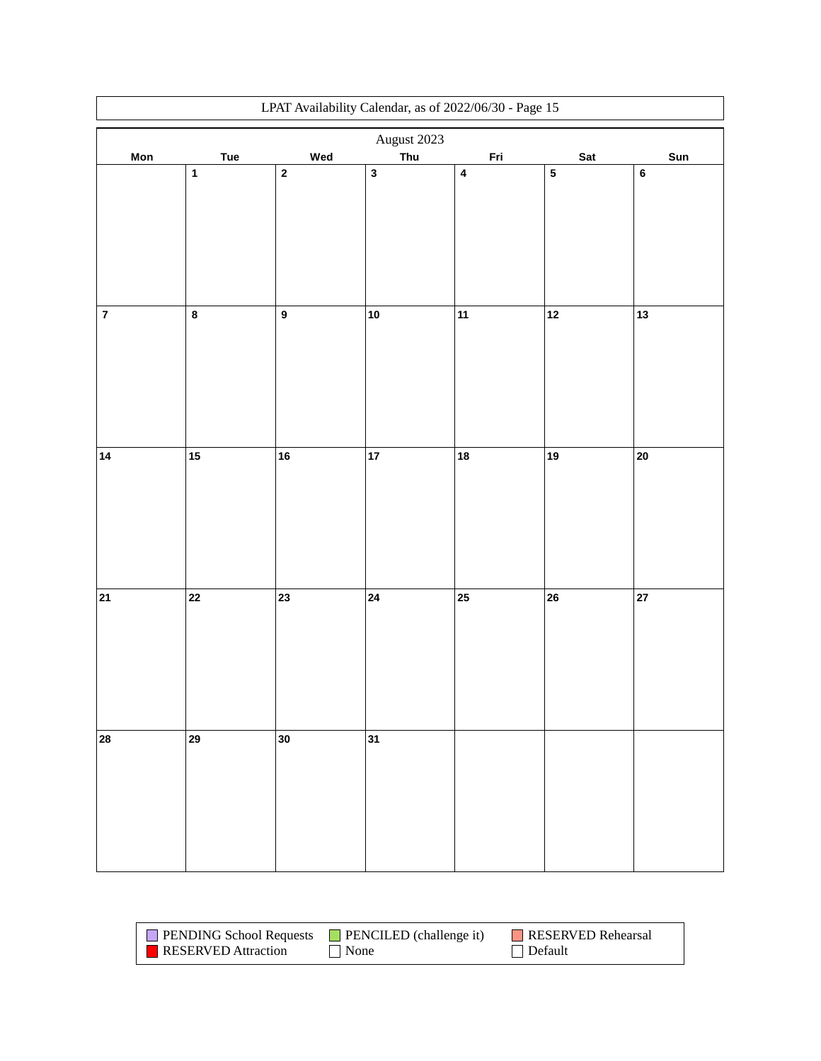|           | LPAT Availability Calendar, as of $2022/06/30$ - Page $15\,$ |                  |              |            |           |            |  |
|-----------|--------------------------------------------------------------|------------------|--------------|------------|-----------|------------|--|
|           |                                                              |                  | August 2023  |            |           |            |  |
| Mon       | Tue                                                          | Wed              | Thu          | <u>Fri</u> | Sat       | Sun        |  |
|           | $\mathbf 1$                                                  | $\mathbf{2}$     | $\mathbf{3}$ | $\pmb{4}$  | ${\bf 5}$ | $\bf 6$    |  |
|           |                                                              |                  |              |            |           |            |  |
|           |                                                              |                  |              |            |           |            |  |
|           |                                                              |                  |              |            |           |            |  |
|           |                                                              |                  |              |            |           |            |  |
|           |                                                              |                  |              |            |           |            |  |
|           |                                                              |                  |              |            |           |            |  |
|           |                                                              |                  |              |            |           |            |  |
| $\pmb{7}$ | $\bf 8$                                                      | $\boldsymbol{9}$ | ${\bf 10}$   | 11         | $12$      | $13$       |  |
|           |                                                              |                  |              |            |           |            |  |
|           |                                                              |                  |              |            |           |            |  |
|           |                                                              |                  |              |            |           |            |  |
|           |                                                              |                  |              |            |           |            |  |
|           |                                                              |                  |              |            |           |            |  |
|           |                                                              |                  |              |            |           |            |  |
|           |                                                              |                  |              |            |           |            |  |
| 14        | $15$                                                         | 16               | 17           | 18         | 19        | $20\,$     |  |
|           |                                                              |                  |              |            |           |            |  |
|           |                                                              |                  |              |            |           |            |  |
|           |                                                              |                  |              |            |           |            |  |
|           |                                                              |                  |              |            |           |            |  |
|           |                                                              |                  |              |            |           |            |  |
|           |                                                              |                  |              |            |           |            |  |
|           |                                                              |                  |              |            |           |            |  |
| $21$      | 22                                                           | 23               | 24           | 25         | 26        | ${\bf 27}$ |  |
|           |                                                              |                  |              |            |           |            |  |
|           |                                                              |                  |              |            |           |            |  |
|           |                                                              |                  |              |            |           |            |  |
|           |                                                              |                  |              |            |           |            |  |
|           |                                                              |                  |              |            |           |            |  |
|           |                                                              |                  |              |            |           |            |  |
| 28        | 29                                                           | 30               | 31           |            |           |            |  |
|           |                                                              |                  |              |            |           |            |  |
|           |                                                              |                  |              |            |           |            |  |
|           |                                                              |                  |              |            |           |            |  |
|           |                                                              |                  |              |            |           |            |  |
|           |                                                              |                  |              |            |           |            |  |
|           |                                                              |                  |              |            |           |            |  |
|           |                                                              |                  |              |            |           |            |  |

| <b>PENDING School Requests</b> | $\blacksquare$ PENCILED (challenge it) | RESERVED Rehearsal |
|--------------------------------|----------------------------------------|--------------------|
| RESERVED Attraction            | l None                                 | $\Box$ Default     |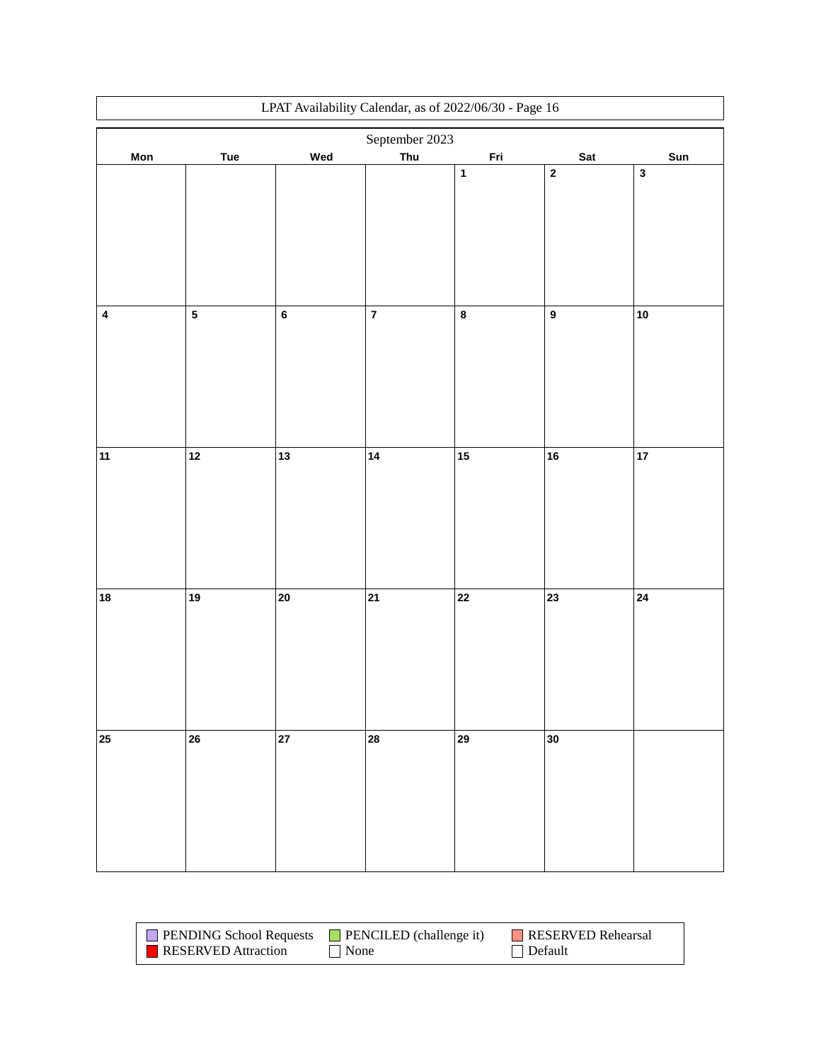| LPAT Availability Calendar, as of 2022/06/30 - Page 16 |                         |            |                         |             |                  |              |
|--------------------------------------------------------|-------------------------|------------|-------------------------|-------------|------------------|--------------|
|                                                        |                         |            | September 2023          |             |                  |              |
| Mon                                                    | Tue                     | Wed        | Thu                     | <u>Fri</u>  | Sat              | Sun          |
|                                                        |                         |            |                         | $\mathbf 1$ | $\mathbf 2$      | $\mathbf{3}$ |
|                                                        |                         |            |                         |             |                  |              |
|                                                        |                         |            |                         |             |                  |              |
|                                                        |                         |            |                         |             |                  |              |
|                                                        |                         |            |                         |             |                  |              |
|                                                        |                         |            |                         |             |                  |              |
|                                                        |                         |            |                         |             |                  |              |
|                                                        |                         |            |                         |             |                  |              |
|                                                        |                         |            |                         |             |                  |              |
| $\overline{\mathbf{4}}$                                | $\overline{\mathbf{5}}$ | $\bf 6$    | $\overline{\mathbf{7}}$ | $\bf 8$     | $\boldsymbol{9}$ | $10$         |
|                                                        |                         |            |                         |             |                  |              |
|                                                        |                         |            |                         |             |                  |              |
|                                                        |                         |            |                         |             |                  |              |
|                                                        |                         |            |                         |             |                  |              |
|                                                        |                         |            |                         |             |                  |              |
|                                                        |                         |            |                         |             |                  |              |
|                                                        |                         |            |                         |             |                  |              |
| 11                                                     | $12$                    | 13         | 14                      | 15          | 16               | $17\,$       |
|                                                        |                         |            |                         |             |                  |              |
|                                                        |                         |            |                         |             |                  |              |
|                                                        |                         |            |                         |             |                  |              |
|                                                        |                         |            |                         |             |                  |              |
|                                                        |                         |            |                         |             |                  |              |
|                                                        |                         |            |                         |             |                  |              |
|                                                        |                         |            |                         |             |                  |              |
|                                                        |                         |            |                         |             |                  |              |
| 18                                                     | 19                      | 20         | 21                      | 22          | $\overline{23}$  | 24           |
|                                                        |                         |            |                         |             |                  |              |
|                                                        |                         |            |                         |             |                  |              |
|                                                        |                         |            |                         |             |                  |              |
|                                                        |                         |            |                         |             |                  |              |
|                                                        |                         |            |                         |             |                  |              |
|                                                        |                         |            |                         |             |                  |              |
|                                                        |                         |            |                         |             |                  |              |
| 25                                                     | 26                      | ${\bf 27}$ | 28                      | 29          | 30               |              |
|                                                        |                         |            |                         |             |                  |              |
|                                                        |                         |            |                         |             |                  |              |
|                                                        |                         |            |                         |             |                  |              |
|                                                        |                         |            |                         |             |                  |              |
|                                                        |                         |            |                         |             |                  |              |
|                                                        |                         |            |                         |             |                  |              |
|                                                        |                         |            |                         |             |                  |              |

| <b>PENDING School Requests</b> | $\Box$ PENCILED (challenge it) | RESERVED Rehearsal |
|--------------------------------|--------------------------------|--------------------|
| <b>RESERVED</b> Attraction     | $\vert$ None                   | Default            |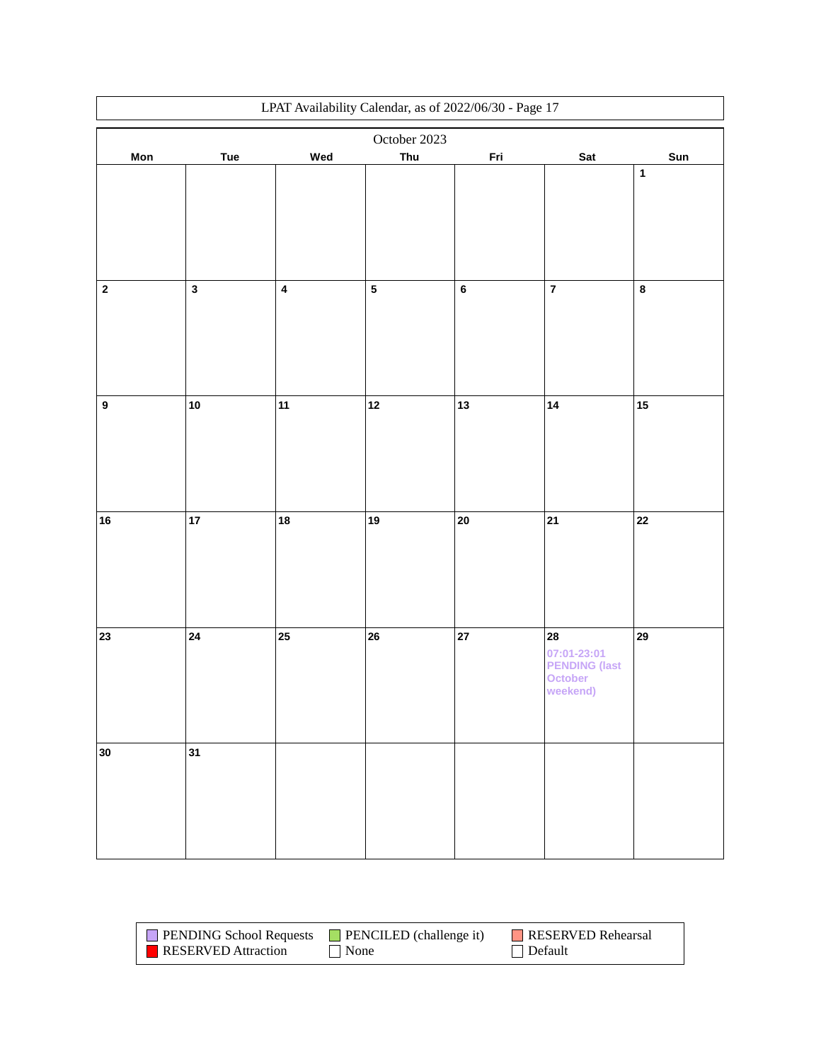|                  | LPAT Availability Calendar, as of 2022/06/30 - Page 17 |                         |              |                |                         |              |  |
|------------------|--------------------------------------------------------|-------------------------|--------------|----------------|-------------------------|--------------|--|
|                  |                                                        |                         | October 2023 |                |                         |              |  |
| <b>Mon</b>       | Tue                                                    | Wed                     | Thu          | <u>Fri</u>     | Sat                     | Sun          |  |
|                  |                                                        |                         |              |                |                         | $\mathbf{1}$ |  |
|                  |                                                        |                         |              |                |                         |              |  |
|                  |                                                        |                         |              |                |                         |              |  |
|                  |                                                        |                         |              |                |                         |              |  |
|                  |                                                        |                         |              |                |                         |              |  |
|                  |                                                        |                         |              |                |                         |              |  |
|                  |                                                        |                         |              |                |                         |              |  |
| $\mathbf 2$      | $\mathbf{3}$                                           | $\overline{\mathbf{4}}$ | ${\bf 5}$    | $6\phantom{a}$ | $\overline{\mathbf{7}}$ | $\pmb{8}$    |  |
|                  |                                                        |                         |              |                |                         |              |  |
|                  |                                                        |                         |              |                |                         |              |  |
|                  |                                                        |                         |              |                |                         |              |  |
|                  |                                                        |                         |              |                |                         |              |  |
|                  |                                                        |                         |              |                |                         |              |  |
| $\boldsymbol{9}$ | ${\bf 10}$                                             | 11                      | $12$         | 13             | 14                      | 15           |  |
|                  |                                                        |                         |              |                |                         |              |  |
|                  |                                                        |                         |              |                |                         |              |  |
|                  |                                                        |                         |              |                |                         |              |  |
|                  |                                                        |                         |              |                |                         |              |  |
|                  |                                                        |                         |              |                |                         |              |  |
|                  |                                                        |                         |              |                |                         |              |  |
| ${\bf 16}$       | 17                                                     | 18                      | $19$         | 20             | 21                      | $\bf 22$     |  |
|                  |                                                        |                         |              |                |                         |              |  |
|                  |                                                        |                         |              |                |                         |              |  |
|                  |                                                        |                         |              |                |                         |              |  |
|                  |                                                        |                         |              |                |                         |              |  |
|                  |                                                        |                         |              |                |                         |              |  |
|                  |                                                        |                         |              |                |                         |              |  |
| 23               | 24                                                     | 25                      | 26           | 27             | 28<br>07:01-23:01       | 29           |  |
|                  |                                                        |                         |              |                | <b>PENDING (last</b>    |              |  |
|                  |                                                        |                         |              |                | October                 |              |  |
|                  |                                                        |                         |              |                | weekend)                |              |  |
|                  |                                                        |                         |              |                |                         |              |  |
|                  |                                                        |                         |              |                |                         |              |  |
| 30               | 31                                                     |                         |              |                |                         |              |  |
|                  |                                                        |                         |              |                |                         |              |  |
|                  |                                                        |                         |              |                |                         |              |  |
|                  |                                                        |                         |              |                |                         |              |  |
|                  |                                                        |                         |              |                |                         |              |  |
|                  |                                                        |                         |              |                |                         |              |  |
|                  |                                                        |                         |              |                |                         |              |  |

| <b>PENDING School Requests</b> | <b>PENCILED</b> (challenge it) | RESERVED Rehearsal |
|--------------------------------|--------------------------------|--------------------|
| <b>RESERVED</b> Attraction     | None                           | $\Box$ Default     |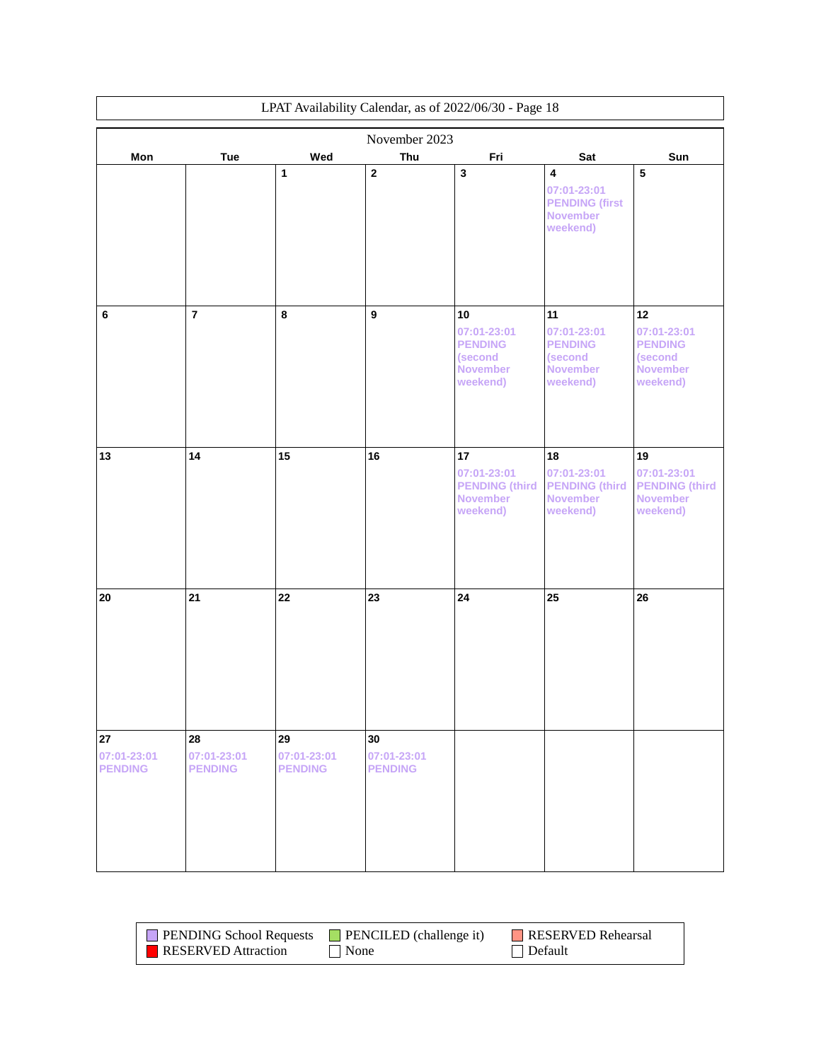| LPAT Availability Calendar, as of 2022/06/30 - Page 18 |                                     |                                     |                                     |                                                                               |                                                                                  |                                                                               |
|--------------------------------------------------------|-------------------------------------|-------------------------------------|-------------------------------------|-------------------------------------------------------------------------------|----------------------------------------------------------------------------------|-------------------------------------------------------------------------------|
|                                                        |                                     |                                     | November 2023                       |                                                                               |                                                                                  |                                                                               |
| Mon                                                    | <b>Tue</b>                          | Wed                                 | Thu                                 | Fri                                                                           | Sat                                                                              | Sun                                                                           |
|                                                        |                                     | 1                                   | $\mathbf 2$                         | $\mathbf 3$                                                                   | $\pmb{4}$<br>07:01-23:01<br><b>PENDING (first</b><br><b>November</b><br>weekend) | 5                                                                             |
| 6                                                      | $\overline{7}$                      | 8                                   | $\boldsymbol{9}$                    | 10<br>07:01-23:01<br><b>PENDING</b><br>(second<br><b>November</b><br>weekend) | 11<br>07:01-23:01<br><b>PENDING</b><br>(second<br><b>November</b><br>weekend)    | 12<br>07:01-23:01<br><b>PENDING</b><br>(second<br><b>November</b><br>weekend) |
| 13                                                     | 14                                  | 15                                  | 16                                  | 17<br>07:01-23:01<br><b>PENDING (third)</b><br><b>November</b><br>weekend)    | 18<br>07:01-23:01<br><b>PENDING (third</b><br><b>November</b><br>weekend)        | 19<br>07:01-23:01<br><b>PENDING (third)</b><br><b>November</b><br>weekend)    |
| 20                                                     | 21                                  | 22                                  | 23                                  | 24                                                                            | 25                                                                               | 26                                                                            |
| 27<br>07:01-23:01<br><b>PENDING</b>                    | 28<br>07:01-23:01<br><b>PENDING</b> | 29<br>07:01-23:01<br><b>PENDING</b> | 30<br>07:01-23:01<br><b>PENDING</b> |                                                                               |                                                                                  |                                                                               |

| <b>PENDING School Requests</b> | <b>PENCILED</b> (challenge it) | RESERVED Rehearsal |
|--------------------------------|--------------------------------|--------------------|
| <b>RESERVED</b> Attraction     | $\blacksquare$ None            | Default            |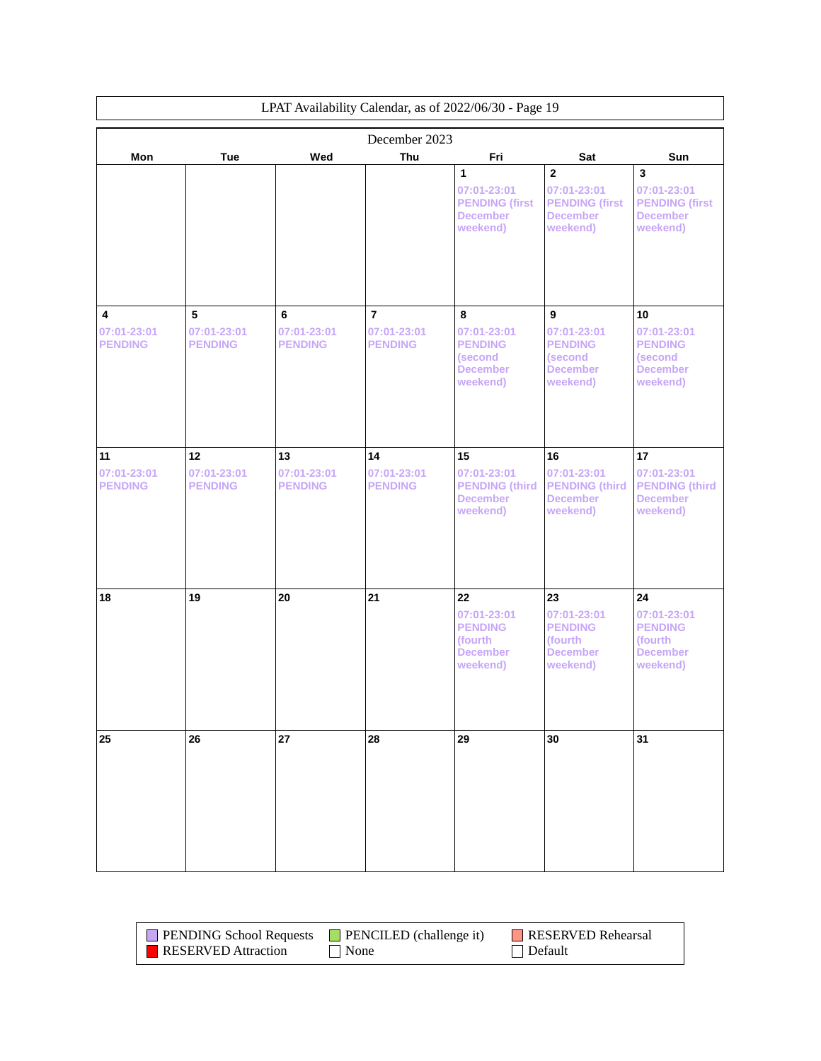| LPAT Availability Calendar, as of 2022/06/30 - Page 19 |                               |                               |                               |                                                                               |                                                                                       |                                                                                                |
|--------------------------------------------------------|-------------------------------|-------------------------------|-------------------------------|-------------------------------------------------------------------------------|---------------------------------------------------------------------------------------|------------------------------------------------------------------------------------------------|
|                                                        |                               |                               | December 2023                 |                                                                               |                                                                                       |                                                                                                |
| Mon                                                    | Tue                           | Wed                           | Thu                           | Fri                                                                           | Sat                                                                                   | Sun                                                                                            |
|                                                        |                               |                               |                               | 1<br>07:01-23:01<br><b>PENDING (first</b><br><b>December</b><br>weekend)      | $\overline{2}$<br>07:01-23:01<br><b>PENDING (first</b><br><b>December</b><br>weekend) | $\overline{\mathbf{3}}$<br>07:01-23:01<br><b>PENDING (first</b><br><b>December</b><br>weekend) |
| 4<br>07:01-23:01                                       | 5<br>07:01-23:01              | 6<br>07:01-23:01              | $\overline{7}$<br>07:01-23:01 | 8<br>07:01-23:01                                                              | 9<br>07:01-23:01                                                                      | 10<br>07:01-23:01                                                                              |
| <b>PENDING</b>                                         | <b>PENDING</b>                | <b>PENDING</b>                | <b>PENDING</b>                | <b>PENDING</b><br><i>(second)</i><br><b>December</b><br>weekend)              | <b>PENDING</b><br>(second<br><b>December</b><br>weekend)                              | <b>PENDING</b><br>(second<br><b>December</b><br>weekend)                                       |
| 11                                                     | 12                            | 13                            | 14                            | 15                                                                            | 16                                                                                    | 17                                                                                             |
| 07:01-23:01<br><b>PENDING</b>                          | 07:01-23:01<br><b>PENDING</b> | 07:01-23:01<br><b>PENDING</b> | 07:01-23:01<br><b>PENDING</b> | 07:01-23:01<br><b>PENDING (third)</b><br><b>December</b><br>weekend)          | 07:01-23:01<br><b>PENDING (third</b><br><b>December</b><br>weekend)                   | 07:01-23:01<br><b>PENDING (third)</b><br><b>December</b><br>weekend)                           |
| 18                                                     | 19                            | 20                            | 21                            | 22<br>07:01-23:01<br><b>PENDING</b><br>(fourth<br><b>December</b><br>weekend) | 23<br>07:01-23:01<br><b>PENDING</b><br>(fourth<br><b>December</b><br>weekend)         | 24<br>07:01-23:01<br><b>PENDING</b><br>(fourth<br><b>December</b><br>weekend)                  |
| 25                                                     | 26                            | 27                            | 28                            | 29                                                                            | 30                                                                                    | 31                                                                                             |

| <b>PENDING School Requests</b> | $\blacksquare$ PENCILED (challenge it) | RESERVED Rehearsal |
|--------------------------------|----------------------------------------|--------------------|
| RESERVED Attraction            | None                                   | Default            |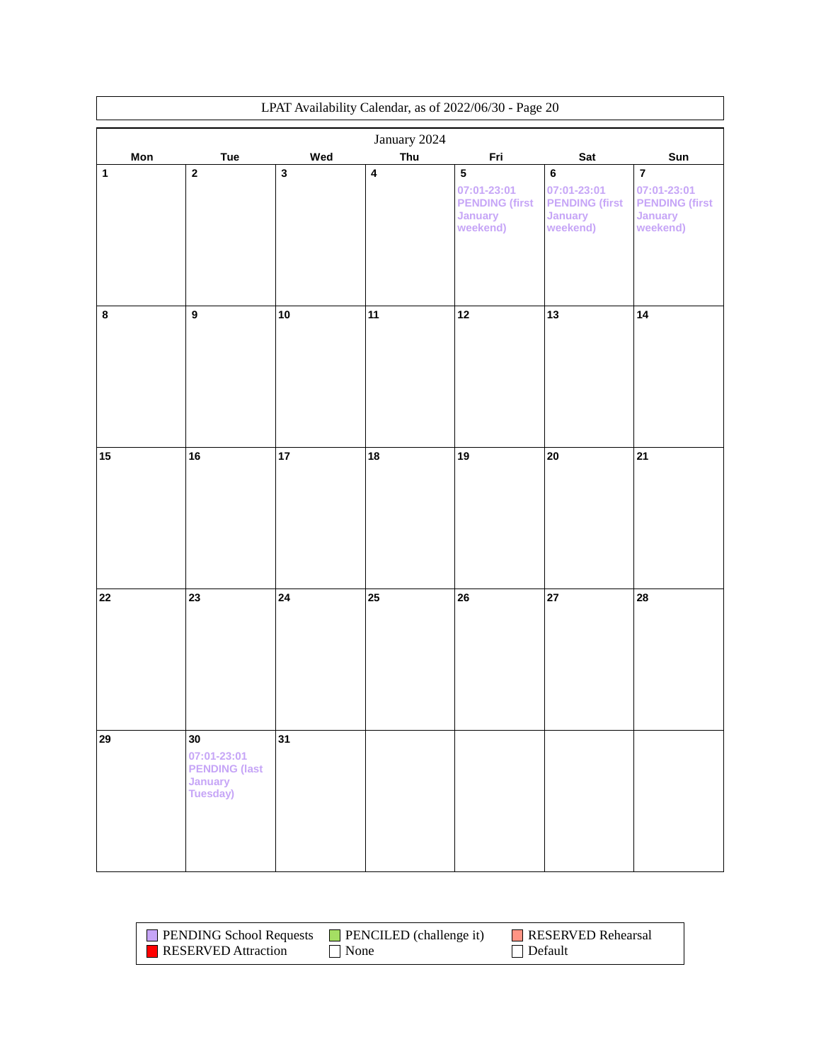|              | LPAT Availability Calendar, as of 2022/06/30 - Page 20           |             |           |                                                                                 |                                                                               |                                                                               |  |
|--------------|------------------------------------------------------------------|-------------|-----------|---------------------------------------------------------------------------------|-------------------------------------------------------------------------------|-------------------------------------------------------------------------------|--|
|              | January 2024                                                     |             |           |                                                                                 |                                                                               |                                                                               |  |
| Mon          | Tue                                                              | Wed         | Thu       | Fri                                                                             | Sat                                                                           | Sun                                                                           |  |
| $\mathbf{1}$ | $\mathbf 2$                                                      | $\mathbf 3$ | $\pmb{4}$ | ${\bf 5}$<br>07:01-23:01<br><b>PENDING (first</b><br><b>January</b><br>weekend) | $\bf 6$<br>07:01-23:01<br><b>PENDING (first</b><br><b>January</b><br>weekend) | $\bf 7$<br>07:01-23:01<br><b>PENDING (first</b><br><b>January</b><br>weekend) |  |
| $\bf 8$      | $\boldsymbol{9}$                                                 | ${\bf 10}$  | 11        | $\boxed{12}$                                                                    | 13                                                                            | 14                                                                            |  |
| $15\,$       | 16                                                               | 17          | 18        | 19                                                                              | 20                                                                            | 21                                                                            |  |
| ${\bf 22}$   | 23                                                               | ${\bf 24}$  | 25        | 26                                                                              | 27                                                                            | 28                                                                            |  |
| 29           | 30<br>07:01-23:01<br><b>PENDING (last</b><br>January<br>Tuesday) | 31          |           |                                                                                 |                                                                               |                                                                               |  |

| <b>PENDING School Requests</b> | $\blacksquare$ PENCILED (challenge it) | RESERVED Rehearsal |
|--------------------------------|----------------------------------------|--------------------|
| <b>RESERVED</b> Attraction     | $\blacksquare$ None                    | Default            |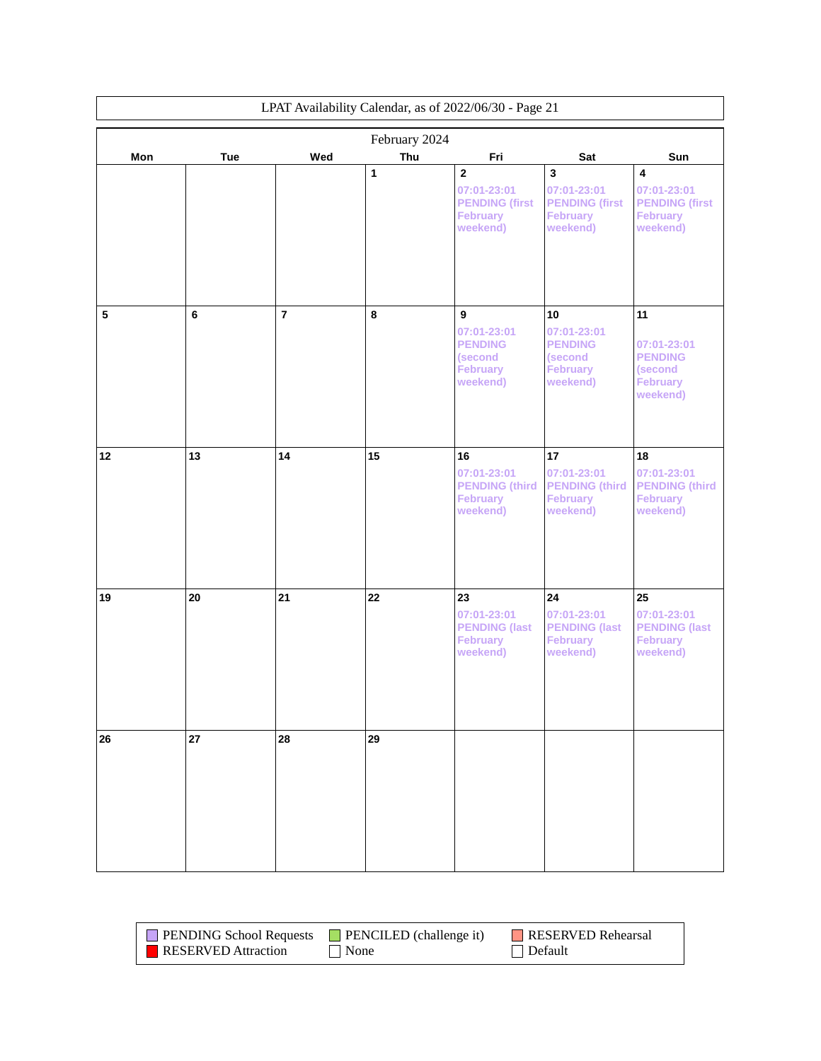| LPAT Availability Calendar, as of 2022/06/30 - Page 21 |     |                |               |                                                                          |                                                                           |                                                                            |
|--------------------------------------------------------|-----|----------------|---------------|--------------------------------------------------------------------------|---------------------------------------------------------------------------|----------------------------------------------------------------------------|
|                                                        |     |                | February 2024 |                                                                          |                                                                           |                                                                            |
| Mon                                                    | Tue | Wed            | Thu<br>1      | Fri<br>$\mathbf{2}$                                                      | Sat<br>$\overline{\mathbf{3}}$                                            | Sun<br>$\overline{4}$                                                      |
|                                                        |     |                |               | 07:01-23:01<br><b>PENDING (first</b><br><b>February</b><br>weekend)      | 07:01-23:01<br><b>PENDING (first</b><br><b>February</b><br>weekend)       | 07:01-23:01<br><b>PENDING (first</b><br><b>February</b><br>weekend)        |
| $\overline{\mathbf{5}}$                                | 6   | $\overline{7}$ | 8             | 9                                                                        | 10                                                                        | 11                                                                         |
|                                                        |     |                |               | 07:01-23:01<br><b>PENDING</b><br>(second<br><b>February</b><br>weekend)  | 07:01-23:01<br><b>PENDING</b><br>(second<br><b>February</b><br>weekend)   | 07:01-23:01<br><b>PENDING</b><br>(second<br><b>February</b><br>weekend)    |
| 12                                                     | 13  | 14             | 15            | 16<br>07:01-23:01<br><b>PENDING (third)</b><br>February<br>weekend)      | 17<br>07:01-23:01<br><b>PENDING (third</b><br><b>February</b><br>weekend) | 18<br>07:01-23:01<br><b>PENDING (third)</b><br><b>February</b><br>weekend) |
| 19                                                     | 20  | 21             | 22            | 23<br>07:01-23:01<br><b>PENDING (last</b><br><b>February</b><br>weekend) | 24<br>07:01-23:01<br><b>PENDING (last</b><br><b>February</b><br>weekend)  | 25<br>07:01-23:01<br><b>PENDING (last</b><br><b>February</b><br>weekend)   |
| 26                                                     | 27  | 28             | 29            |                                                                          |                                                                           |                                                                            |

| <b>PENDING School Requests</b> | $\blacksquare$ PENCILED (challenge it) | <b>RESERVED Rehearsal</b> |
|--------------------------------|----------------------------------------|---------------------------|
| <b>RESERVED</b> Attraction     | .   None                               | Default                   |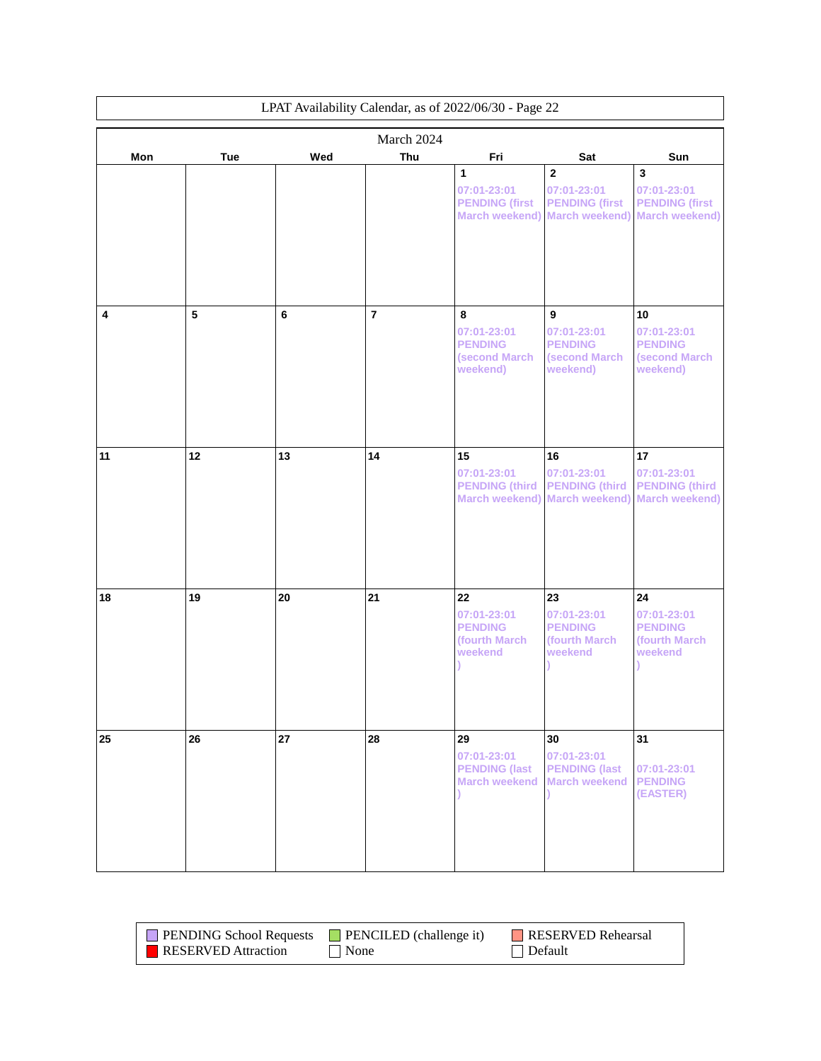|     | LPAT Availability Calendar, as of 2022/06/30 - Page 22 |     |                |                                                                      |                                                                                 |                                                                                          |
|-----|--------------------------------------------------------|-----|----------------|----------------------------------------------------------------------|---------------------------------------------------------------------------------|------------------------------------------------------------------------------------------|
|     |                                                        |     | March 2024     |                                                                      |                                                                                 |                                                                                          |
| Mon | Tue                                                    | Wed | Thu            | Fri                                                                  | Sat                                                                             | Sun                                                                                      |
|     |                                                        |     |                | 1<br>07:01-23:01<br><b>PENDING (first</b><br>March weekend)          | $\overline{2}$<br>07:01-23:01<br><b>PENDING (first</b><br><b>March weekend)</b> | $\overline{\mathbf{3}}$<br>07:01-23:01<br><b>PENDING (first</b><br><b>March weekend)</b> |
| 4   | 5                                                      | 6   | $\overline{7}$ | 8<br>07:01-23:01<br><b>PENDING</b><br>(second March                  | 9<br>07:01-23:01<br><b>PENDING</b><br>(second March                             | 10<br>07:01-23:01<br><b>PENDING</b><br><b>(second March</b>                              |
|     |                                                        |     |                | weekend)                                                             | weekend)                                                                        | weekend)                                                                                 |
| 11  | 12                                                     | 13  | 14             | 15<br>07:01-23:01<br><b>PENDING (third)</b><br><b>March weekend)</b> | 16<br>07:01-23:01<br><b>PENDING (third</b><br><b>March weekend)</b>             | 17<br>07:01-23:01<br><b>PENDING (third)</b><br><b>March weekend)</b>                     |
| 18  | 19                                                     | 20  | 21             | 22<br>07:01-23:01<br><b>PENDING</b><br>(fourth March<br>weekend      | 23<br>07:01-23:01<br><b>PENDING</b><br>(fourth March<br>weekend                 | 24<br>07:01-23:01<br><b>PENDING</b><br>(fourth March)<br>weekend                         |
| 25  | 26                                                     | 27  | 28             | 29<br>07:01-23:01<br><b>PENDING (last</b><br><b>March weekend</b>    | 30<br>07:01-23:01<br><b>PENDING (last</b><br><b>March weekend</b>               | 31<br>07:01-23:01<br><b>PENDING</b><br>(EASTER)                                          |

| <b>PENDING School Requests</b> | $\blacksquare$ PENCILED (challenge it) | RESERVED Rehearsal |
|--------------------------------|----------------------------------------|--------------------|
| <b>RESERVED</b> Attraction     | None                                   | Default            |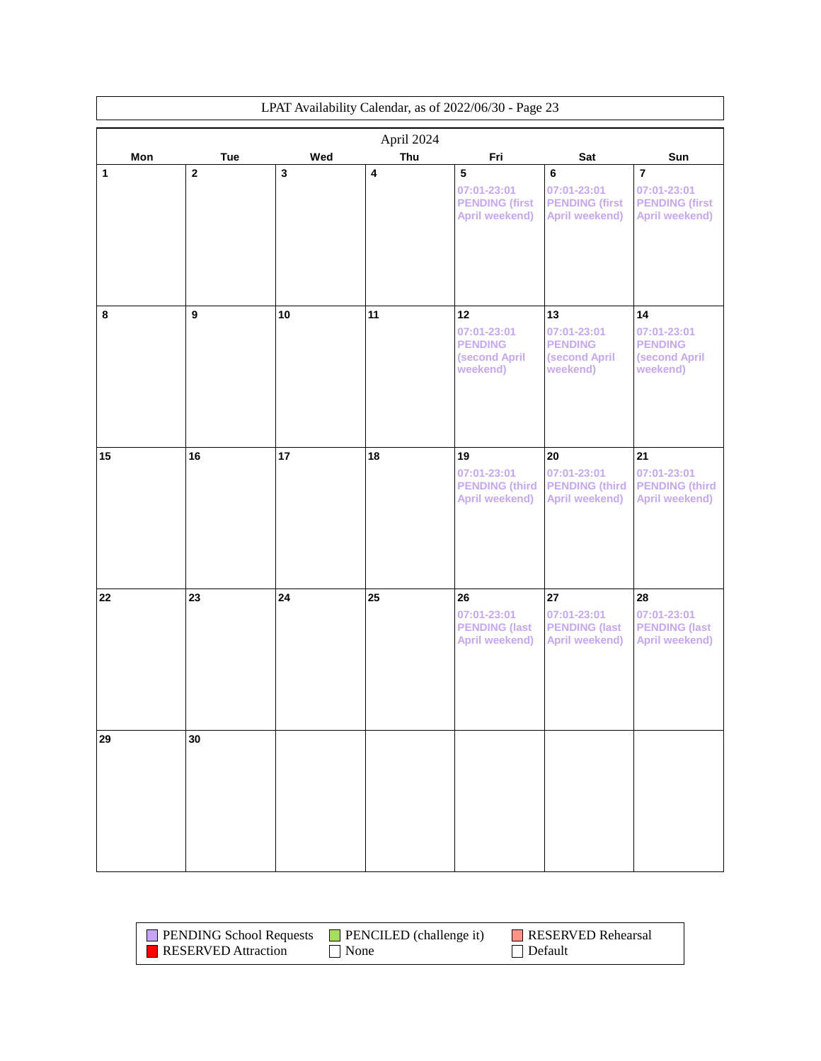|     | LPAT Availability Calendar, as of 2022/06/30 - Page 23 |     |     |                                                                     |                                                                    |                                                                          |  |
|-----|--------------------------------------------------------|-----|-----|---------------------------------------------------------------------|--------------------------------------------------------------------|--------------------------------------------------------------------------|--|
|     | April 2024                                             |     |     |                                                                     |                                                                    |                                                                          |  |
| Mon | <b>Tue</b>                                             | Wed | Thu | Fri                                                                 | Sat                                                                | Sun                                                                      |  |
| 1   | $\mathbf 2$                                            | 3   | 4   | ${\bf 5}$<br>07:01-23:01<br><b>PENDING (first</b><br>April weekend) | 6<br>07:01-23:01<br><b>PENDING (first</b><br><b>April weekend)</b> | $\overline{7}$<br>07:01-23:01<br><b>PENDING (first</b><br>April weekend) |  |
| 8   | $\mathbf{9}$                                           | 10  | 11  | 12<br>07:01-23:01<br><b>PENDING</b><br>(second April<br>weekend)    | 13<br>07:01-23:01<br><b>PENDING</b><br>(second April<br>weekend)   | 14<br>07:01-23:01<br><b>PENDING</b><br>(second April<br>weekend)         |  |
| 15  | 16                                                     | 17  | 18  | 19<br>07:01-23:01<br><b>PENDING (third)</b><br>April weekend)       | 20<br>07:01-23:01<br><b>PENDING (third</b><br>April weekend)       | 21<br>07:01-23:01<br><b>PENDING (third)</b><br>April weekend)            |  |
| 22  | 23                                                     | 24  | 25  | 26<br>07:01-23:01<br><b>PENDING (last</b><br>April weekend)         | 27<br>07:01-23:01<br><b>PENDING (last</b><br>April weekend)        | 28<br>07:01-23:01<br><b>PENDING (last</b><br>April weekend)              |  |
| 29  | 30                                                     |     |     |                                                                     |                                                                    |                                                                          |  |
|     |                                                        |     |     |                                                                     |                                                                    |                                                                          |  |

| <b>PENDING School Requests</b> | $\blacksquare$ PENCILED (challenge it) | <b>RESERVED Rehearsal</b> |
|--------------------------------|----------------------------------------|---------------------------|
| <b>RESERVED</b> Attraction     | None                                   | $\Box$ Default            |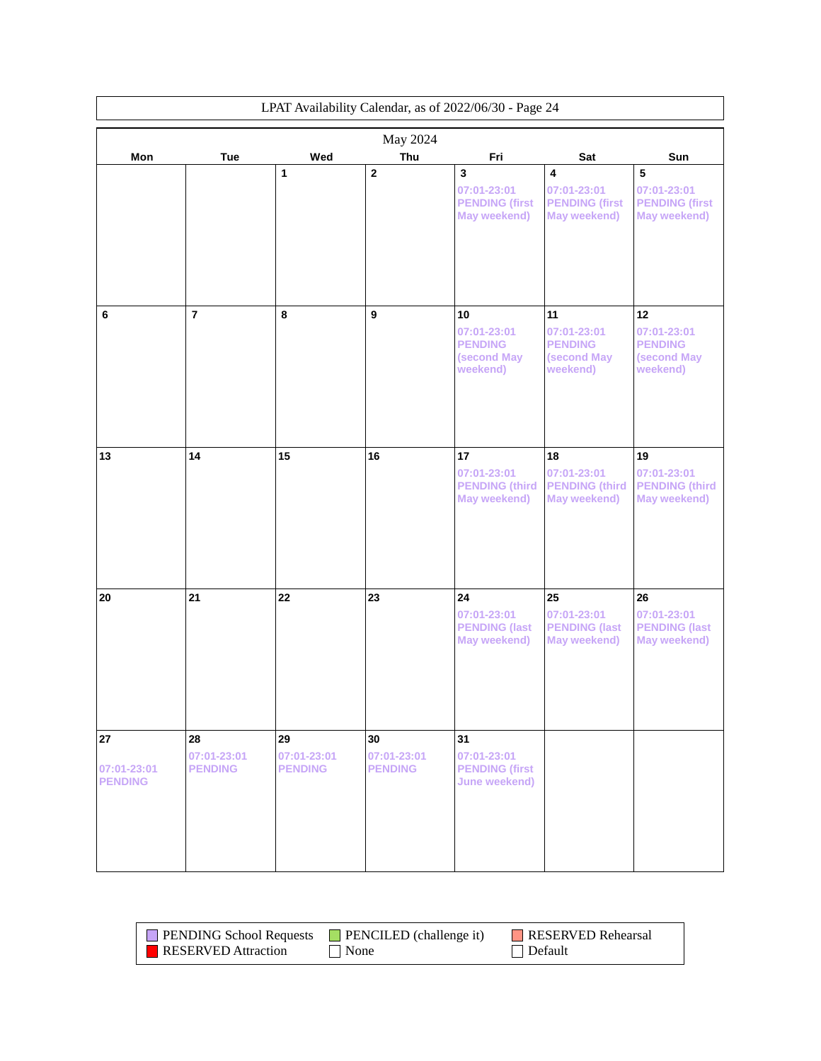| LPAT Availability Calendar, as of 2022/06/30 - Page 24 |                                     |                                     |                                     |                                                                             |                                                                                        |                                                             |
|--------------------------------------------------------|-------------------------------------|-------------------------------------|-------------------------------------|-----------------------------------------------------------------------------|----------------------------------------------------------------------------------------|-------------------------------------------------------------|
|                                                        |                                     |                                     | May 2024                            |                                                                             |                                                                                        |                                                             |
| Mon                                                    | Tue                                 | Wed                                 | Thu                                 | Fri                                                                         | Sat                                                                                    | Sun                                                         |
|                                                        |                                     | 1                                   | $\mathbf{2}$                        | $\mathbf{3}$<br>07:01-23:01<br><b>PENDING (first</b><br><b>May weekend)</b> | $\overline{\mathbf{4}}$<br>07:01-23:01<br><b>PENDING (first</b><br><b>May weekend)</b> | 5<br>07:01-23:01<br><b>PENDING (first</b><br>May weekend)   |
| 6                                                      | $\overline{7}$                      | 8                                   | 9                                   | 10<br>07:01-23:01                                                           | 11<br>07:01-23:01                                                                      | 12<br>07:01-23:01                                           |
|                                                        |                                     |                                     |                                     | <b>PENDING</b><br>(second May<br>weekend)                                   | <b>PENDING</b><br>(second May<br>weekend)                                              | <b>PENDING</b><br>(second May<br>weekend)                   |
| 13                                                     | 14                                  | 15                                  | 16                                  | 17<br>07:01-23:01<br><b>PENDING (third)</b><br>May weekend)                 | 18<br>07:01-23:01<br><b>PENDING (third</b><br>May weekend)                             | 19<br>07:01-23:01<br><b>PENDING (third)</b><br>May weekend) |
| 20                                                     | 21                                  | 22                                  | 23                                  | 24<br>07:01-23:01<br><b>PENDING (last</b><br><b>May weekend)</b>            | 25<br>07:01-23:01<br><b>PENDING (last</b><br>May weekend)                              | 26<br>07:01-23:01<br><b>PENDING (last</b><br>May weekend)   |
| 27<br>07:01-23:01<br><b>PENDING</b>                    | 28<br>07:01-23:01<br><b>PENDING</b> | 29<br>07:01-23:01<br><b>PENDING</b> | 30<br>07:01-23:01<br><b>PENDING</b> | 31<br>07:01-23:01<br><b>PENDING (first</b><br>June weekend)                 |                                                                                        |                                                             |

| <b>PENDING School Requests</b> | <b>PENCILED</b> (challenge it) | RESERVED Rehearsal |
|--------------------------------|--------------------------------|--------------------|
| <b>RESERVED</b> Attraction     | None                           | Default            |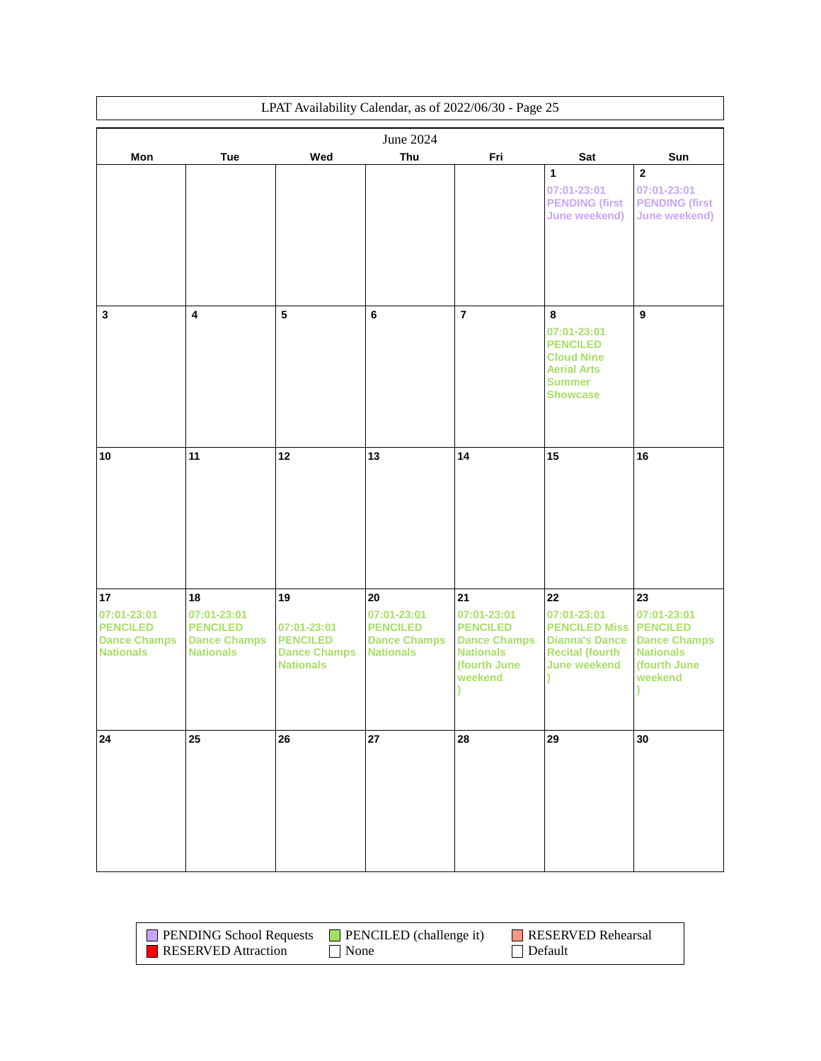|                                                                                 | LPAT Availability Calendar, as of 2022/06/30 - Page 25                          |                                                                                 |                                                                                 |                                                                                                            |                                                                                                                     |                                                                                                            |
|---------------------------------------------------------------------------------|---------------------------------------------------------------------------------|---------------------------------------------------------------------------------|---------------------------------------------------------------------------------|------------------------------------------------------------------------------------------------------------|---------------------------------------------------------------------------------------------------------------------|------------------------------------------------------------------------------------------------------------|
|                                                                                 |                                                                                 |                                                                                 | June 2024                                                                       |                                                                                                            |                                                                                                                     |                                                                                                            |
| Mon                                                                             | Tue                                                                             | Wed                                                                             | Thu                                                                             | Fri                                                                                                        | Sat                                                                                                                 | Sun                                                                                                        |
|                                                                                 |                                                                                 |                                                                                 |                                                                                 |                                                                                                            | 1<br>07:01-23:01<br><b>PENDING (first</b><br><b>June weekend)</b>                                                   | $\mathbf 2$<br>07:01-23:01<br><b>PENDING (first</b><br><b>June weekend)</b>                                |
| $\mathbf{3}$                                                                    | $\overline{\mathbf{4}}$                                                         | 5                                                                               | $\bf 6$                                                                         | $\overline{7}$                                                                                             | 8<br>07:01-23:01<br><b>PENCILED</b><br><b>Cloud Nine</b><br><b>Aerial Arts</b><br><b>Summer</b><br><b>Showcase</b>  | $\overline{9}$                                                                                             |
| 10                                                                              | 11                                                                              | 12                                                                              | 13                                                                              | 14                                                                                                         | 15                                                                                                                  | 16                                                                                                         |
| 17<br>07:01-23:01<br><b>PENCILED</b><br><b>Dance Champs</b><br><b>Nationals</b> | 18<br>07:01-23:01<br><b>PENCILED</b><br><b>Dance Champs</b><br><b>Nationals</b> | 19<br>07:01-23:01<br><b>PENCILED</b><br><b>Dance Champs</b><br><b>Nationals</b> | 20<br>07:01-23:01<br><b>PENCILED</b><br><b>Dance Champs</b><br><b>Nationals</b> | 21<br>07:01-23:01<br><b>PENCILED</b><br><b>Dance Champs</b><br><b>Nationals</b><br>(fourth June<br>weekend | 22<br>07:01-23:01<br><b>PENCILED Miss</b><br><b>Dianna's Dance</b><br><b>Recital (fourth</b><br><b>June weekend</b> | 23<br>07:01-23:01<br><b>PENCILED</b><br><b>Dance Champs</b><br><b>Nationals</b><br>(fourth June<br>weekend |
| 24                                                                              | 25                                                                              | 26                                                                              | 27                                                                              | 28                                                                                                         | 29                                                                                                                  | 30                                                                                                         |

| <b>PENDING School Requests</b> | $\Box$ PENCILED (challenge it) | RESERVED Rehearsal |
|--------------------------------|--------------------------------|--------------------|
| <b>RESERVED</b> Attraction     | None                           | Default            |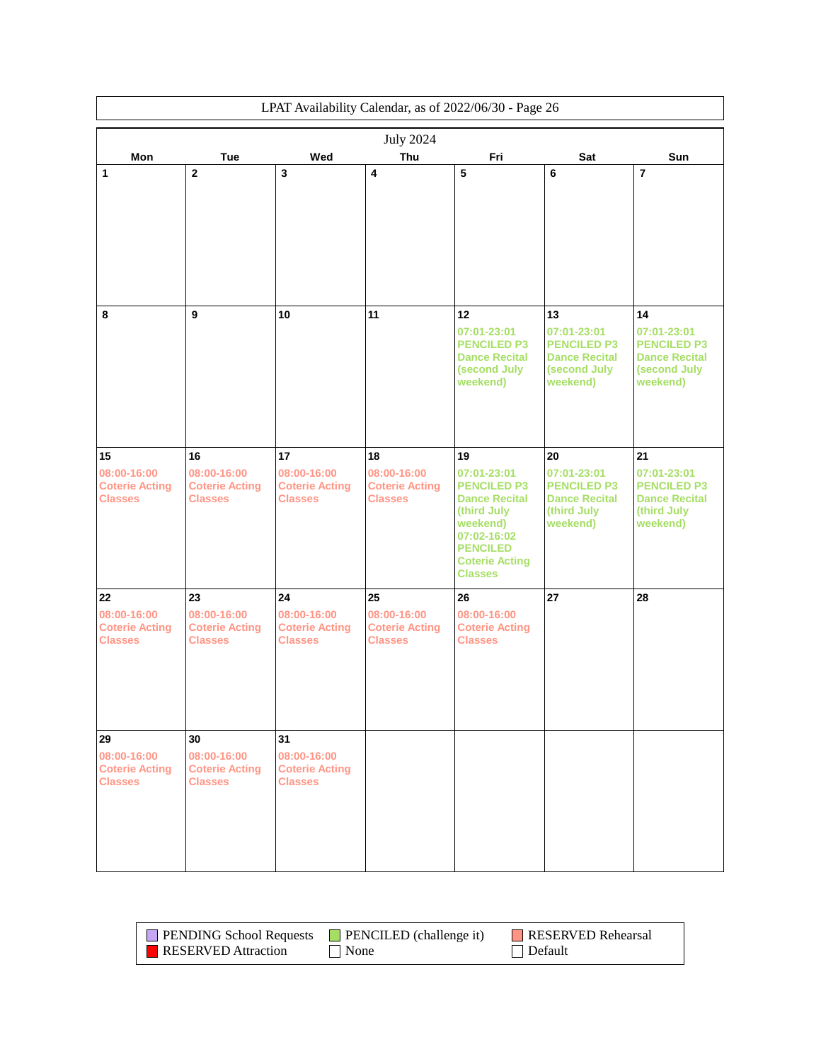|                                                        | LPAT Availability Calendar, as of 2022/06/30 - Page 26 |                                                        |                                                        |                                                                                                                                                                   |                                                                                       |                                                                                       |
|--------------------------------------------------------|--------------------------------------------------------|--------------------------------------------------------|--------------------------------------------------------|-------------------------------------------------------------------------------------------------------------------------------------------------------------------|---------------------------------------------------------------------------------------|---------------------------------------------------------------------------------------|
|                                                        |                                                        |                                                        | <b>July 2024</b>                                       |                                                                                                                                                                   |                                                                                       |                                                                                       |
| Mon                                                    | <b>Tue</b>                                             | Wed                                                    | Thu                                                    | Fri                                                                                                                                                               | Sat                                                                                   | Sun                                                                                   |
| 1                                                      | $\mathbf 2$                                            | 3                                                      | 4                                                      | 5                                                                                                                                                                 | 6                                                                                     | $\overline{7}$                                                                        |
|                                                        |                                                        |                                                        |                                                        |                                                                                                                                                                   |                                                                                       |                                                                                       |
| 8                                                      | 9                                                      | 10                                                     | 11                                                     | 12                                                                                                                                                                | 13                                                                                    | 14                                                                                    |
|                                                        |                                                        |                                                        |                                                        | 07:01-23:01<br><b>PENCILED P3</b><br><b>Dance Recital</b><br>(second July<br>weekend)                                                                             | 07:01-23:01<br><b>PENCILED P3</b><br><b>Dance Recital</b><br>(second July<br>weekend) | 07:01-23:01<br><b>PENCILED P3</b><br><b>Dance Recital</b><br>(second July<br>weekend) |
| 15                                                     | 16                                                     | 17                                                     | 18                                                     | 19                                                                                                                                                                | 20                                                                                    | 21                                                                                    |
| 08:00-16:00<br><b>Coterie Acting</b><br><b>Classes</b> | 08:00-16:00<br><b>Coterie Acting</b><br><b>Classes</b> | 08:00-16:00<br><b>Coterie Acting</b><br><b>Classes</b> | 08:00-16:00<br><b>Coterie Acting</b><br><b>Classes</b> | 07:01-23:01<br><b>PENCILED P3</b><br><b>Dance Recital</b><br>(third July<br>weekend)<br>07:02-16:02<br><b>PENCILED</b><br><b>Coterie Acting</b><br><b>Classes</b> | 07:01-23:01<br><b>PENCILED P3</b><br><b>Dance Recital</b><br>(third July<br>weekend)  | 07:01-23:01<br><b>PENCILED P3</b><br><b>Dance Recital</b><br>(third July<br>weekend)  |
| 22                                                     | 23                                                     | 24                                                     | 25                                                     | 26                                                                                                                                                                | 27                                                                                    | 28                                                                                    |
| 08:00-16:00<br><b>Coterie Acting</b><br><b>Classes</b> | 08:00-16:00<br><b>Coterie Acting</b><br><b>Classes</b> | 08:00-16:00<br><b>Coterie Acting</b><br><b>Classes</b> | 08:00-16:00<br><b>Coterie Acting</b><br><b>Classes</b> | 08:00-16:00<br><b>Coterie Acting</b><br><b>Classes</b>                                                                                                            |                                                                                       |                                                                                       |
| 29                                                     | 30                                                     | 31                                                     |                                                        |                                                                                                                                                                   |                                                                                       |                                                                                       |
| 08:00-16:00<br><b>Coterie Acting</b><br><b>Classes</b> | 08:00-16:00<br><b>Coterie Acting</b><br><b>Classes</b> | 08:00-16:00<br><b>Coterie Acting</b><br><b>Classes</b> |                                                        |                                                                                                                                                                   |                                                                                       |                                                                                       |

| <b>PENDING School Requests</b> | $\blacksquare$ PENCILED (challenge it) | RESERVED Rehearsal |
|--------------------------------|----------------------------------------|--------------------|
| <b>RESERVED</b> Attraction     | $\blacksquare$ None                    | Default            |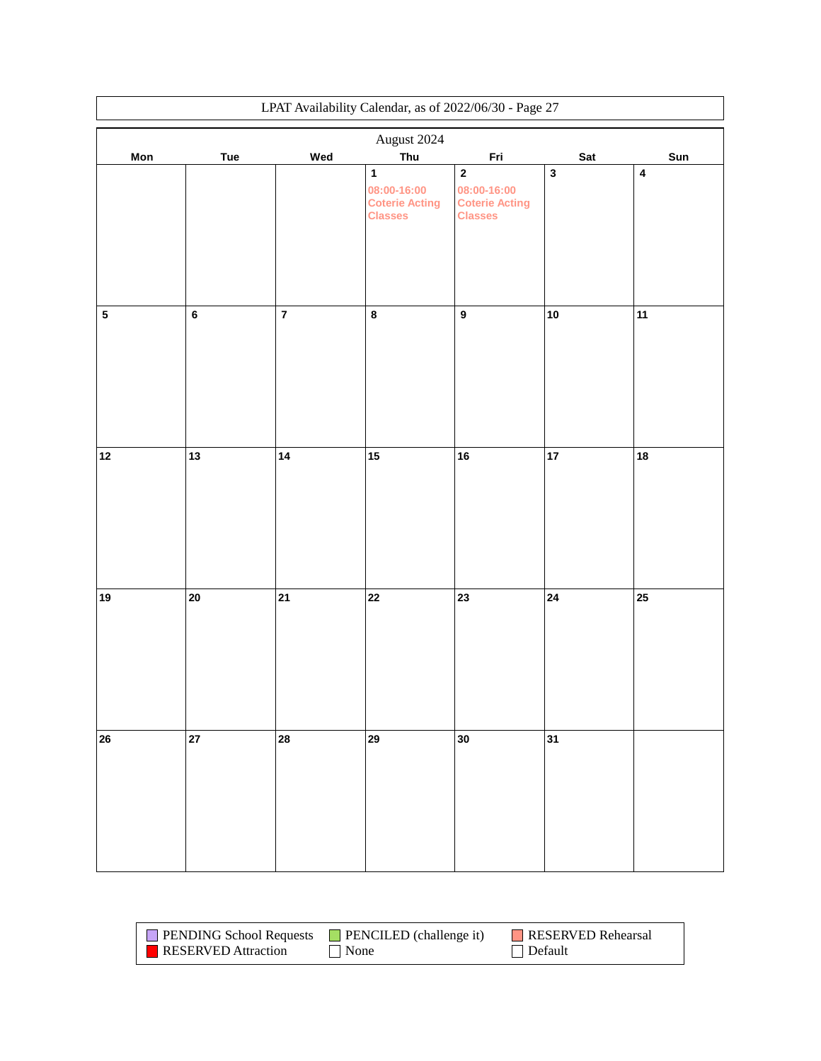| LPAT Availability Calendar, as of 2022/06/30 - Page 27 |             |         |                                                                        |                                                                       |             |                         |  |
|--------------------------------------------------------|-------------|---------|------------------------------------------------------------------------|-----------------------------------------------------------------------|-------------|-------------------------|--|
|                                                        | August 2024 |         |                                                                        |                                                                       |             |                         |  |
| Mon                                                    | Tue         | Wed     | Thu                                                                    | Fri                                                                   | Sat         | Sun                     |  |
|                                                        |             |         | $\mathbf{1}$<br>08:00-16:00<br><b>Coterie Acting</b><br><b>Classes</b> | $\mathbf 2$<br>08:00-16:00<br><b>Coterie Acting</b><br><b>Classes</b> | $\mathbf 3$ | $\overline{\mathbf{4}}$ |  |
| ${\bf 5}$                                              | $\bf 6$     | $\bf 7$ | $\bf 8$                                                                | $\boldsymbol{9}$                                                      | 10          | 11                      |  |
| 12                                                     | 13          | 14      | $15\,$                                                                 | 16                                                                    | 17          | 18                      |  |
| 19                                                     | $20\,$      | 21      | $\bf 22$                                                               | 23                                                                    | 24          | 25                      |  |
| 26                                                     | 27          | 28      | 29                                                                     | 30                                                                    | 31          |                         |  |

| <b>PENDING School Requests</b> | $\blacksquare$ PENCILED (challenge it) | RESERVED Rehearsal |
|--------------------------------|----------------------------------------|--------------------|
| <b>RESERVED</b> Attraction     | None                                   | $\vert$ Default    |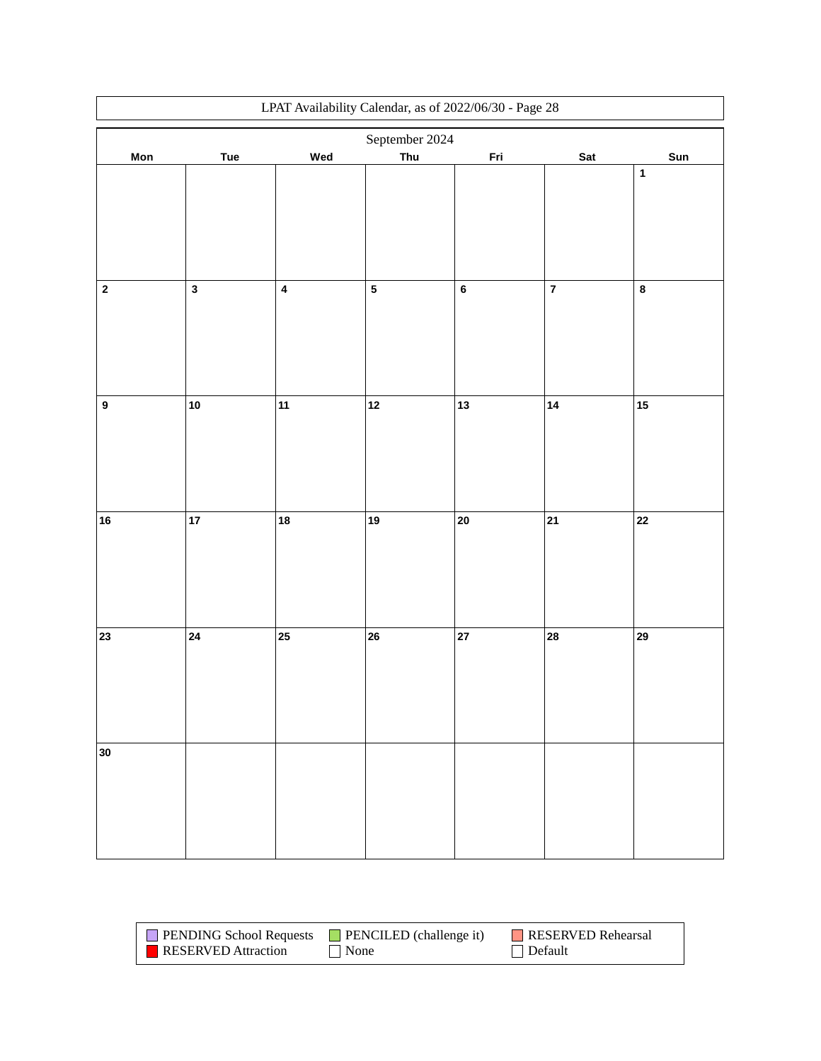|                  | LPAT Availability Calendar, as of 2022/06/30 - Page 28 |                         |           |         |                         |             |  |
|------------------|--------------------------------------------------------|-------------------------|-----------|---------|-------------------------|-------------|--|
|                  | September 2024                                         |                         |           |         |                         |             |  |
| Mon              | Tue                                                    | Wed                     | Thu       | Fri     | Sat                     | Sun         |  |
|                  |                                                        |                         |           |         |                         | $\mathbf 1$ |  |
|                  |                                                        |                         |           |         |                         |             |  |
|                  |                                                        |                         |           |         |                         |             |  |
|                  |                                                        |                         |           |         |                         |             |  |
|                  |                                                        |                         |           |         |                         |             |  |
|                  |                                                        |                         |           |         |                         |             |  |
| $\mathbf 2$      | $\mathbf{3}$                                           | $\overline{\mathbf{4}}$ | ${\bf 5}$ | $\bf 6$ | $\overline{\mathbf{7}}$ | $\bf 8$     |  |
|                  |                                                        |                         |           |         |                         |             |  |
|                  |                                                        |                         |           |         |                         |             |  |
|                  |                                                        |                         |           |         |                         |             |  |
|                  |                                                        |                         |           |         |                         |             |  |
|                  |                                                        |                         |           |         |                         |             |  |
|                  |                                                        |                         |           |         |                         |             |  |
| $\boldsymbol{9}$ | 10                                                     | 11                      | $12$      | 13      | 14                      | $15\,$      |  |
|                  |                                                        |                         |           |         |                         |             |  |
|                  |                                                        |                         |           |         |                         |             |  |
|                  |                                                        |                         |           |         |                         |             |  |
|                  |                                                        |                         |           |         |                         |             |  |
|                  |                                                        |                         |           |         |                         |             |  |
| ${\bf 16}$       | 17                                                     | 18                      | 19        | 20      | 21                      | 22          |  |
|                  |                                                        |                         |           |         |                         |             |  |
|                  |                                                        |                         |           |         |                         |             |  |
|                  |                                                        |                         |           |         |                         |             |  |
|                  |                                                        |                         |           |         |                         |             |  |
|                  |                                                        |                         |           |         |                         |             |  |
| 23               | 24                                                     | 25                      | 26        | 27      | 28                      | 29          |  |
|                  |                                                        |                         |           |         |                         |             |  |
|                  |                                                        |                         |           |         |                         |             |  |
|                  |                                                        |                         |           |         |                         |             |  |
|                  |                                                        |                         |           |         |                         |             |  |
|                  |                                                        |                         |           |         |                         |             |  |
| 30               |                                                        |                         |           |         |                         |             |  |
|                  |                                                        |                         |           |         |                         |             |  |
|                  |                                                        |                         |           |         |                         |             |  |
|                  |                                                        |                         |           |         |                         |             |  |
|                  |                                                        |                         |           |         |                         |             |  |
|                  |                                                        |                         |           |         |                         |             |  |

| <b>PENDING School Requests</b> | <b>PENCILED</b> (challenge it) | RESERVED Rehearsal |
|--------------------------------|--------------------------------|--------------------|
| <b>RESERVED</b> Attraction     | None                           | $\Box$ Default     |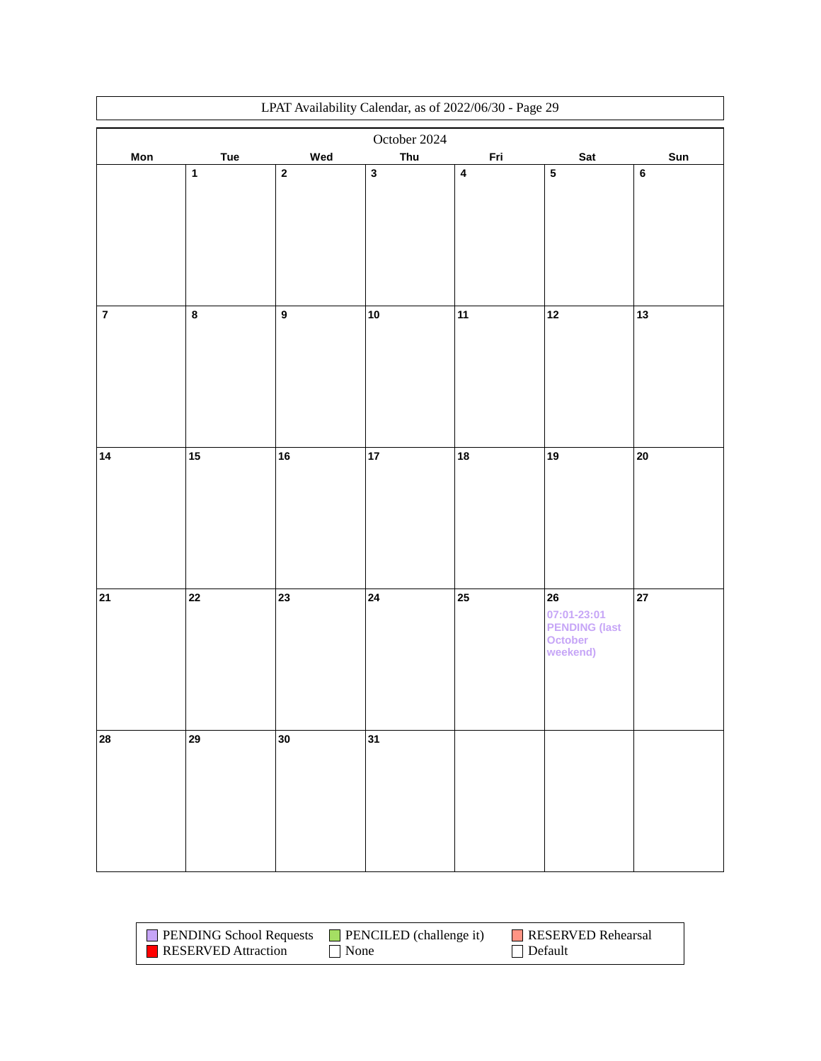|         | LPAT Availability Calendar, as of 2022/06/30 - Page 29 |                  |              |           |                      |            |  |
|---------|--------------------------------------------------------|------------------|--------------|-----------|----------------------|------------|--|
|         |                                                        |                  | October 2024 |           |                      |            |  |
| Mon     | Tue                                                    | Wed              | Thu          | Fri       | Sat                  | Sun        |  |
|         | $\mathbf 1$                                            | $\mathbf 2$      | $\mathbf{3}$ | $\pmb{4}$ | ${\bf 5}$            | $\bf 6$    |  |
|         |                                                        |                  |              |           |                      |            |  |
|         |                                                        |                  |              |           |                      |            |  |
|         |                                                        |                  |              |           |                      |            |  |
|         |                                                        |                  |              |           |                      |            |  |
|         |                                                        |                  |              |           |                      |            |  |
|         |                                                        |                  |              |           |                      |            |  |
| $\bf 7$ | $\pmb{8}$                                              | $\boldsymbol{9}$ | 10           | 11        | $12$                 | 13         |  |
|         |                                                        |                  |              |           |                      |            |  |
|         |                                                        |                  |              |           |                      |            |  |
|         |                                                        |                  |              |           |                      |            |  |
|         |                                                        |                  |              |           |                      |            |  |
|         |                                                        |                  |              |           |                      |            |  |
|         |                                                        |                  |              |           |                      |            |  |
| 14      | 15                                                     | ${\bf 16}$       | $17\,$       | 18        | 19                   | ${\bf 20}$ |  |
|         |                                                        |                  |              |           |                      |            |  |
|         |                                                        |                  |              |           |                      |            |  |
|         |                                                        |                  |              |           |                      |            |  |
|         |                                                        |                  |              |           |                      |            |  |
|         |                                                        |                  |              |           |                      |            |  |
|         |                                                        |                  |              |           |                      |            |  |
| 21      | 22                                                     | 23               | 24           | 25        | 26                   | 27         |  |
|         |                                                        |                  |              |           | 07:01-23:01          |            |  |
|         |                                                        |                  |              |           | <b>PENDING (last</b> |            |  |
|         |                                                        |                  |              |           | October<br>weekend)  |            |  |
|         |                                                        |                  |              |           |                      |            |  |
|         |                                                        |                  |              |           |                      |            |  |
|         |                                                        |                  |              |           |                      |            |  |
|         |                                                        |                  |              |           |                      |            |  |
| 28      | 29                                                     | 30               | 31           |           |                      |            |  |
|         |                                                        |                  |              |           |                      |            |  |
|         |                                                        |                  |              |           |                      |            |  |
|         |                                                        |                  |              |           |                      |            |  |
|         |                                                        |                  |              |           |                      |            |  |
|         |                                                        |                  |              |           |                      |            |  |
|         |                                                        |                  |              |           |                      |            |  |

| <b>PENDING School Requests</b> | $\blacksquare$ PENCILED (challenge it) | RESERVED Rehearsal |
|--------------------------------|----------------------------------------|--------------------|
| RESERVED Attraction            | $\vert$ None                           | $\vert$ Default    |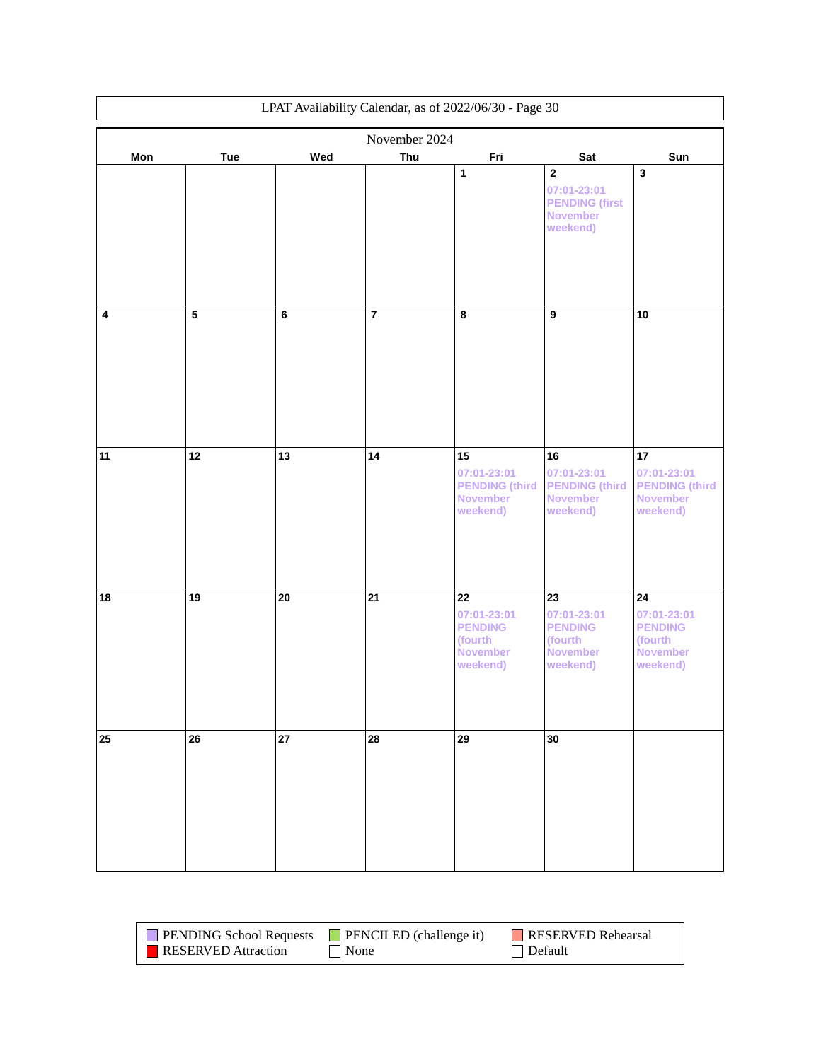| LPAT Availability Calendar, as of 2022/06/30 - Page 30 |                         |         |                |                                                                               |                                                                                    |                                                                                       |  |
|--------------------------------------------------------|-------------------------|---------|----------------|-------------------------------------------------------------------------------|------------------------------------------------------------------------------------|---------------------------------------------------------------------------------------|--|
|                                                        | November 2024           |         |                |                                                                               |                                                                                    |                                                                                       |  |
| Mon                                                    | <b>Tue</b>              | Wed     | Thu            | Fri                                                                           | Sat                                                                                | Sun                                                                                   |  |
|                                                        |                         |         |                | 1                                                                             | $\mathbf 2$<br>07:01-23:01<br><b>PENDING</b> (first<br><b>November</b><br>weekend) | $\overline{\mathbf{3}}$                                                               |  |
| 4                                                      | $\overline{\mathbf{5}}$ | $\bf 6$ | $\overline{7}$ | 8                                                                             | $\boldsymbol{9}$                                                                   | 10                                                                                    |  |
| 11                                                     | 12                      | 13      | 14             | 15<br>07:01-23:01<br><b>PENDING (third)</b><br><b>November</b><br>weekend)    | 16<br>07:01-23:01<br><b>PENDING (third</b><br><b>November</b><br>weekend)          | 17<br>07:01-23:01<br><b>PENDING (third)</b><br><b>November</b><br>weekend)            |  |
| 18                                                     | 19                      | 20      | 21             | 22<br>07:01-23:01<br><b>PENDING</b><br>(fourth<br><b>November</b><br>weekend) | 23<br>07:01-23:01<br><b>PENDING</b><br>(fourth<br><b>November</b><br>weekend)      | ${\bf 24}$<br>07:01-23:01<br><b>PENDING</b><br>(fourth<br><b>November</b><br>weekend) |  |
| 25                                                     | 26                      | 27      | 28             | 29                                                                            | 30                                                                                 |                                                                                       |  |

| <b>PENDING School Requests</b> | $\blacksquare$ PENCILED (challenge it) | RESERVED Rehearsal |
|--------------------------------|----------------------------------------|--------------------|
| <b>RESERVED</b> Attraction     | $\vert$ None                           | $\Box$ Default     |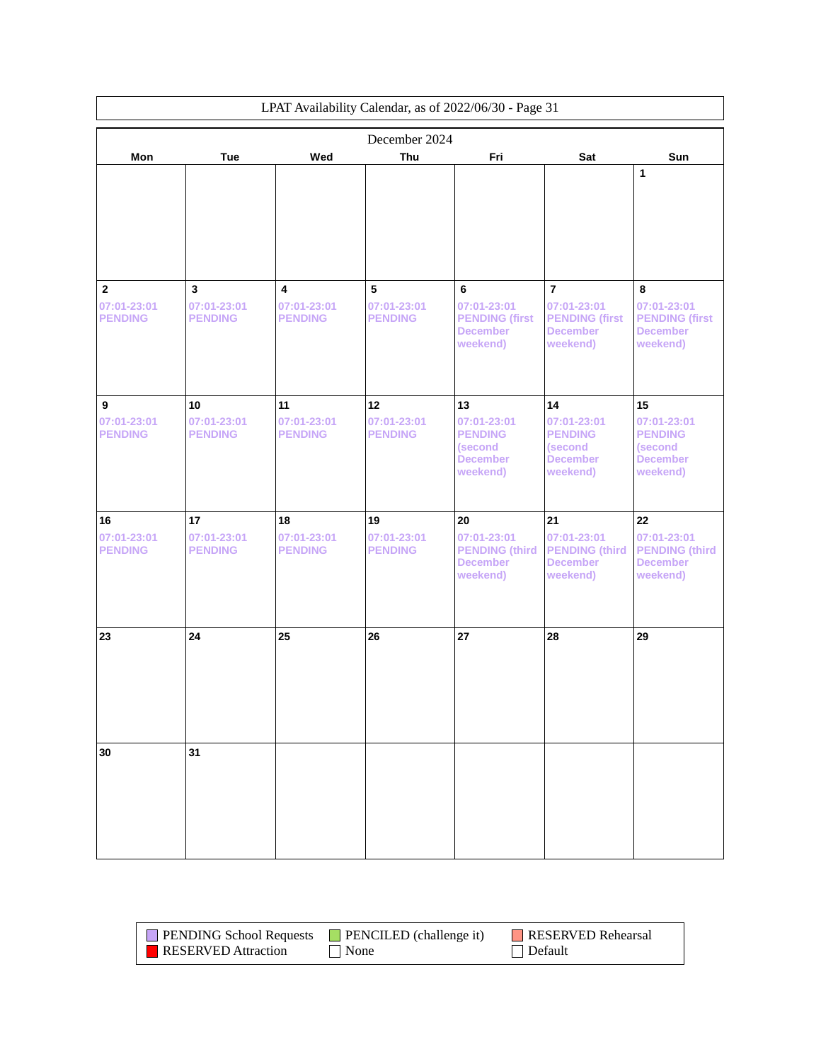| LPAT Availability Calendar, as of 2022/06/30 - Page 31 |                                               |                                                          |                                     |                                                                               |                                                                                       |                                                                               |
|--------------------------------------------------------|-----------------------------------------------|----------------------------------------------------------|-------------------------------------|-------------------------------------------------------------------------------|---------------------------------------------------------------------------------------|-------------------------------------------------------------------------------|
| Mon                                                    | <b>Tue</b>                                    | Wed                                                      | December 2024<br>Thu                | Fri                                                                           | Sat                                                                                   | Sun                                                                           |
|                                                        |                                               |                                                          |                                     |                                                                               |                                                                                       | 1                                                                             |
| $\mathbf{2}$<br>07:01-23:01<br><b>PENDING</b>          | $\mathbf{3}$<br>07:01-23:01<br><b>PENDING</b> | $\overline{\mathbf{4}}$<br>07:01-23:01<br><b>PENDING</b> | 5<br>07:01-23:01<br><b>PENDING</b>  | 6<br>07:01-23:01<br><b>PENDING (first</b><br><b>December</b><br>weekend)      | $\overline{7}$<br>07:01-23:01<br><b>PENDING (first</b><br><b>December</b><br>weekend) | 8<br>07:01-23:01<br><b>PENDING (first</b><br><b>December</b><br>weekend)      |
| 9<br>07:01-23:01<br><b>PENDING</b>                     | 10<br>07:01-23:01<br><b>PENDING</b>           | 11<br>07:01-23:01<br><b>PENDING</b>                      | 12<br>07:01-23:01<br><b>PENDING</b> | 13<br>07:01-23:01<br><b>PENDING</b><br>(second<br><b>December</b><br>weekend) | 14<br>07:01-23:01<br><b>PENDING</b><br>(second<br><b>December</b><br>weekend)         | 15<br>07:01-23:01<br><b>PENDING</b><br>(second<br><b>December</b><br>weekend) |
| 16<br>07:01-23:01<br><b>PENDING</b>                    | 17<br>07:01-23:01<br><b>PENDING</b>           | 18<br>07:01-23:01<br><b>PENDING</b>                      | 19<br>07:01-23:01<br><b>PENDING</b> | 20<br>07:01-23:01<br><b>PENDING (third)</b><br><b>December</b><br>weekend)    | 21<br>07:01-23:01<br><b>PENDING (third</b><br><b>December</b><br>weekend)             | 22<br>07:01-23:01<br><b>PENDING (third</b><br><b>December</b><br>weekend)     |
| 23                                                     | 24                                            | 25                                                       | 26                                  | 27                                                                            | 28                                                                                    | 29                                                                            |
| 30                                                     | 31                                            |                                                          |                                     |                                                                               |                                                                                       |                                                                               |

| <b>PENDING School Requests</b> | $\blacksquare$ PENCILED (challenge it) | RESERVED Rehearsal |
|--------------------------------|----------------------------------------|--------------------|
| <b>RESERVED</b> Attraction     | None                                   | $\vert$ Default    |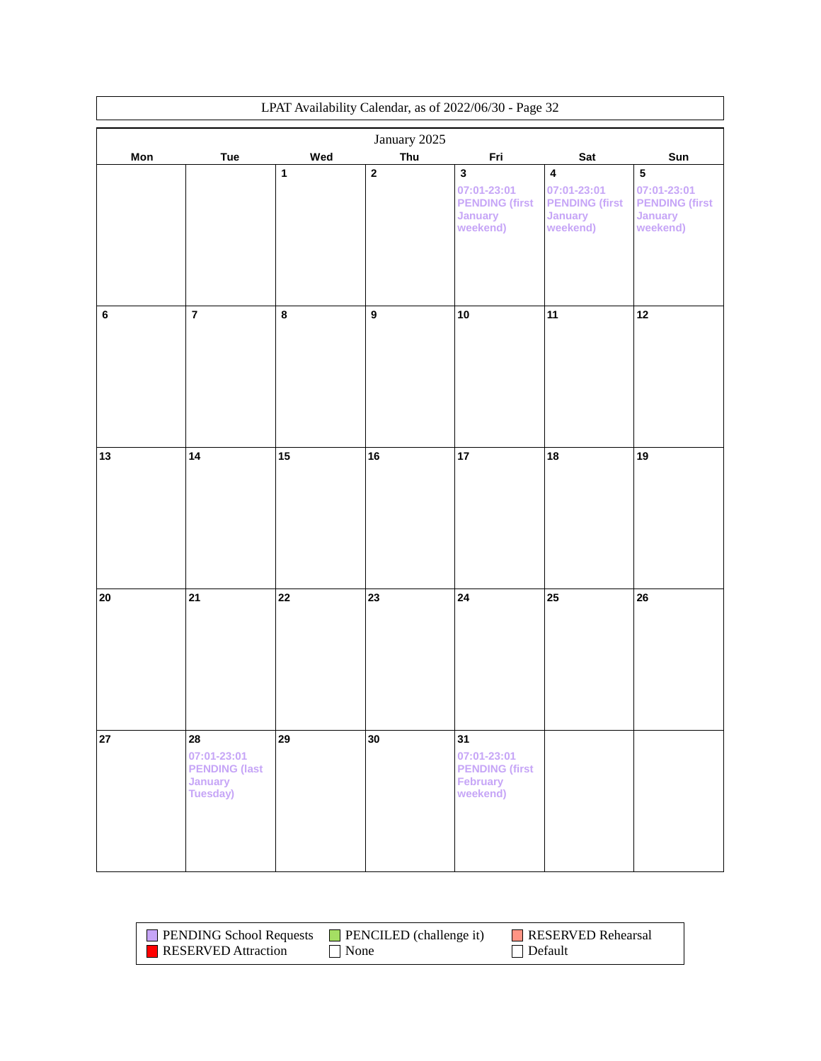|            | LPAT Availability Calendar, as of 2022/06/30 - Page 32                  |              |                  |                                                                                   |                                                                                 |                                                                                 |  |
|------------|-------------------------------------------------------------------------|--------------|------------------|-----------------------------------------------------------------------------------|---------------------------------------------------------------------------------|---------------------------------------------------------------------------------|--|
|            |                                                                         |              | January 2025     |                                                                                   |                                                                                 |                                                                                 |  |
| Mon        | Tue                                                                     | Wed          | Thu              | Fri                                                                               | Sat                                                                             | Sun                                                                             |  |
|            |                                                                         | $\mathbf{1}$ | $\mathbf 2$      | $\mathbf 3$<br>07:01-23:01<br><b>PENDING (first</b><br><b>January</b><br>weekend) | $\pmb{4}$<br>07:01-23:01<br><b>PENDING (first</b><br><b>January</b><br>weekend) | ${\bf 5}$<br>07:01-23:01<br><b>PENDING (first</b><br><b>January</b><br>weekend) |  |
| $\bf 6$    | $\overline{7}$                                                          | $\bf 8$      | $\boldsymbol{9}$ | 10                                                                                | 11                                                                              | 12                                                                              |  |
| 13         | 14                                                                      | 15           | 16               | 17                                                                                | 18                                                                              | 19                                                                              |  |
| ${\bf 20}$ | 21                                                                      | 22           | 23               | 24                                                                                | 25                                                                              | 26                                                                              |  |
| 27         | 28<br>07:01-23:01<br><b>PENDING (last</b><br><b>January</b><br>Tuesday) | 29           | 30               | 31<br>07:01-23:01<br><b>PENDING (first</b><br>February<br>weekend)                |                                                                                 |                                                                                 |  |

| <b>PENDING School Requests</b> | <b>PENCILED</b> (challenge it) | RESERVED Rehearsal |
|--------------------------------|--------------------------------|--------------------|
| <b>RESERVED</b> Attraction     | $\Delta$ None                  | Default            |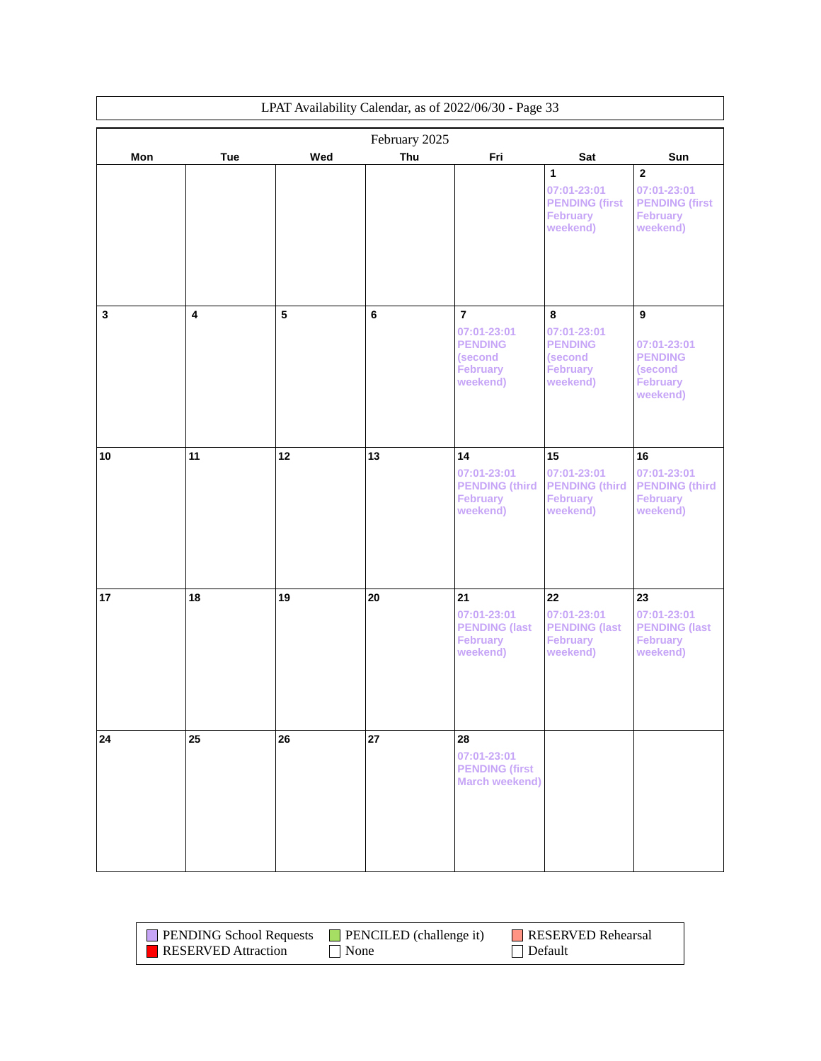| LPAT Availability Calendar, as of 2022/06/30 - Page 33 |                         |     |                      |                                                                                           |                                                                                 |                                                                                                |
|--------------------------------------------------------|-------------------------|-----|----------------------|-------------------------------------------------------------------------------------------|---------------------------------------------------------------------------------|------------------------------------------------------------------------------------------------|
|                                                        |                         | Wed | February 2025<br>Thu | Fri                                                                                       |                                                                                 | Sun                                                                                            |
| Mon                                                    | Tue                     |     |                      |                                                                                           | Sat<br>1<br>07:01-23:01<br><b>PENDING (first</b><br><b>February</b><br>weekend) | $\overline{\mathbf{2}}$<br>07:01-23:01<br><b>PENDING (first</b><br><b>February</b><br>weekend) |
| $\mathbf{3}$                                           | $\overline{\mathbf{4}}$ | 5   | $\bf 6$              | $\overline{7}$<br>07:01-23:01<br><b>PENDING</b><br>(second<br><b>February</b><br>weekend) | 8<br>07:01-23:01<br><b>PENDING</b><br>(second<br><b>February</b><br>weekend)    | 9<br>07:01-23:01<br><b>PENDING</b><br>(second<br><b>February</b><br>weekend)                   |
| 10                                                     | 11                      | 12  | 13                   | 14<br>07:01-23:01<br><b>PENDING (third)</b><br>February<br>weekend)                       | 15<br>07:01-23:01<br><b>PENDING (third</b><br><b>February</b><br>weekend)       | 16<br>07:01-23:01<br><b>PENDING (third)</b><br><b>February</b><br>weekend)                     |
| 17                                                     | 18                      | 19  | 20                   | 21<br>07:01-23:01<br><b>PENDING (last</b><br><b>February</b><br>weekend)                  | 22<br>07:01-23:01<br><b>PENDING (last</b><br><b>February</b><br>weekend)        | 23<br>07:01-23:01<br><b>PENDING (last</b><br><b>February</b><br>weekend)                       |
| 24                                                     | 25                      | 26  | 27                   | 28<br>07:01-23:01<br><b>PENDING (first</b><br><b>March weekend)</b>                       |                                                                                 |                                                                                                |

| <b>PENDING School Requests</b> | $\Box$ PENCILED (challenge it) | <b>RESERVED Rehearsal</b> |
|--------------------------------|--------------------------------|---------------------------|
| <b>RESERVED</b> Attraction     | $\vert$ None                   | $\Box$ Default            |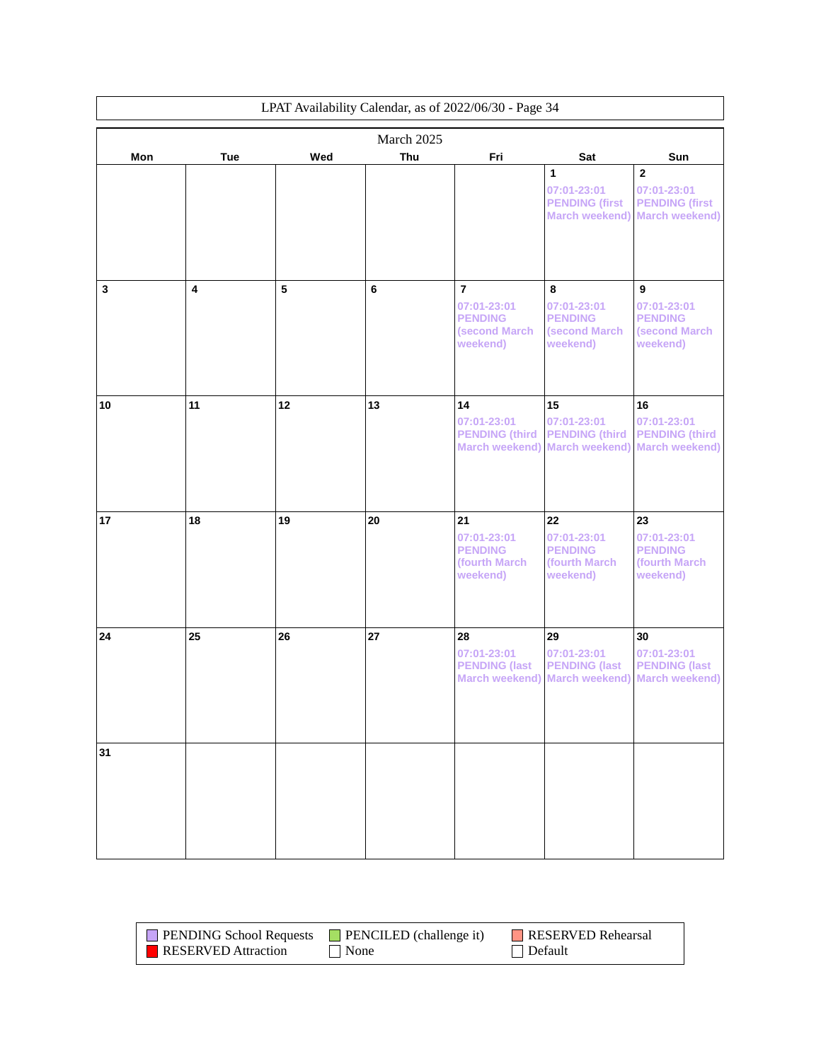| LPAT Availability Calendar, as of 2022/06/30 - Page 34 |                         |     |            |                                                                              |                                                                                           |                                                                                          |
|--------------------------------------------------------|-------------------------|-----|------------|------------------------------------------------------------------------------|-------------------------------------------------------------------------------------------|------------------------------------------------------------------------------------------|
|                                                        |                         |     | March 2025 |                                                                              |                                                                                           |                                                                                          |
| Mon                                                    | Tue                     | Wed | Thu        | Fri                                                                          | Sat                                                                                       | Sun                                                                                      |
|                                                        |                         |     |            |                                                                              | 1<br>07:01-23:01<br><b>PENDING (first</b><br><b>March weekend)</b>                        | $\overline{\mathbf{2}}$<br>07:01-23:01<br><b>PENDING (first</b><br><b>March weekend)</b> |
| $\mathbf 3$                                            | $\overline{\mathbf{4}}$ | 5   | 6          | $\overline{7}$<br>07:01-23:01<br><b>PENDING</b><br>(second March<br>weekend) | 8<br>07:01-23:01<br><b>PENDING</b><br>(second March<br>weekend)                           | $\boldsymbol{9}$<br>07:01-23:01<br><b>PENDING</b><br><b>(second March)</b><br>weekend)   |
| 10                                                     | 11                      | 12  | 13         | 14<br>07:01-23:01<br><b>PENDING (third)</b>                                  | 15<br>07:01-23:01<br><b>PENDING (third</b><br>March weekend) March weekend)               | 16<br>07:01-23:01<br><b>PENDING (third</b><br><b>March weekend)</b>                      |
| 17                                                     | 18                      | 19  | 20         | 21<br>07:01-23:01<br><b>PENDING</b><br>(fourth March<br>weekend)             | 22<br>07:01-23:01<br><b>PENDING</b><br>(fourth March<br>weekend)                          | 23<br>07:01-23:01<br><b>PENDING</b><br>(fourth March<br>weekend)                         |
| 24                                                     | 25                      | 26  | 27         | 28<br>07:01-23:01<br><b>PENDING (last</b>                                    | 29<br>07:01-23:01<br><b>PENDING (last</b><br>March weekend) March weekend) March weekend) | 30<br>07:01-23:01<br><b>PENDING (last</b>                                                |
| 31                                                     |                         |     |            |                                                                              |                                                                                           |                                                                                          |

| <b>PENDING School Requests</b> | $\blacksquare$ PENCILED (challenge it) | RESERVED Rehearsal |
|--------------------------------|----------------------------------------|--------------------|
| <b>RESERVED</b> Attraction     | None                                   | $\Box$ Default     |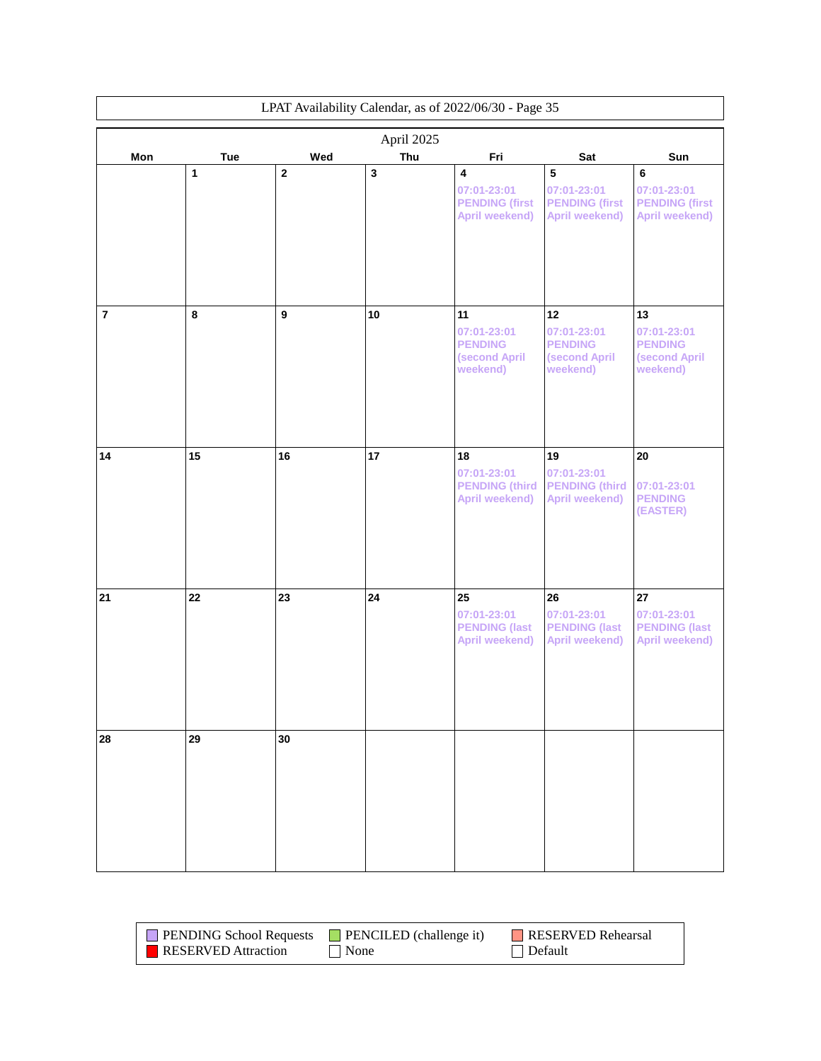|                | LPAT Availability Calendar, as of 2022/06/30 - Page 35 |                         |                         |                                                                                   |                                                                             |                                                                  |
|----------------|--------------------------------------------------------|-------------------------|-------------------------|-----------------------------------------------------------------------------------|-----------------------------------------------------------------------------|------------------------------------------------------------------|
| April 2025     |                                                        |                         |                         |                                                                                   |                                                                             |                                                                  |
| Mon            | <b>Tue</b>                                             | Wed                     | Thu                     | Fri                                                                               | Sat                                                                         | Sun                                                              |
|                | 1                                                      | $\overline{\mathbf{2}}$ | $\overline{\mathbf{3}}$ | $\overline{\mathbf{4}}$<br>07:01-23:01<br><b>PENDING (first</b><br>April weekend) | $\sqrt{5}$<br>07:01-23:01<br><b>PENDING (first</b><br><b>April weekend)</b> | 6<br>07:01-23:01<br><b>PENDING (first</b><br>April weekend)      |
| $\overline{7}$ | 8                                                      | $\boldsymbol{9}$        | 10                      | 11<br>07:01-23:01<br><b>PENDING</b><br>(second April<br>weekend)                  | 12<br>07:01-23:01<br><b>PENDING</b><br>(second April<br>weekend)            | 13<br>07:01-23:01<br><b>PENDING</b><br>(second April<br>weekend) |
| 14             | 15                                                     | 16                      | 17                      | 18<br>07:01-23:01<br><b>PENDING (third)</b><br>April weekend)                     | 19<br>07:01-23:01<br><b>PENDING (third</b><br>April weekend)                | $20\,$<br>07:01-23:01<br><b>PENDING</b>                          |
| 21             | 22                                                     | 23                      | 24                      | 25<br>07:01-23:01                                                                 | 26<br>07:01-23:01                                                           | (EASTER)<br>27<br>07:01-23:01                                    |
|                |                                                        |                         |                         | <b>PENDING (last</b><br>April weekend)                                            | <b>PENDING (last</b><br><b>April weekend)</b>                               | <b>PENDING (last</b><br><b>April weekend)</b>                    |
| 28             | 29                                                     | 30                      |                         |                                                                                   |                                                                             |                                                                  |

| <b>PENDING School Requests</b> | <b>PENCILED</b> (challenge it) | RESERVED Rehearsal |
|--------------------------------|--------------------------------|--------------------|
| <b>RESERVED Attraction</b>     | None                           | Default            |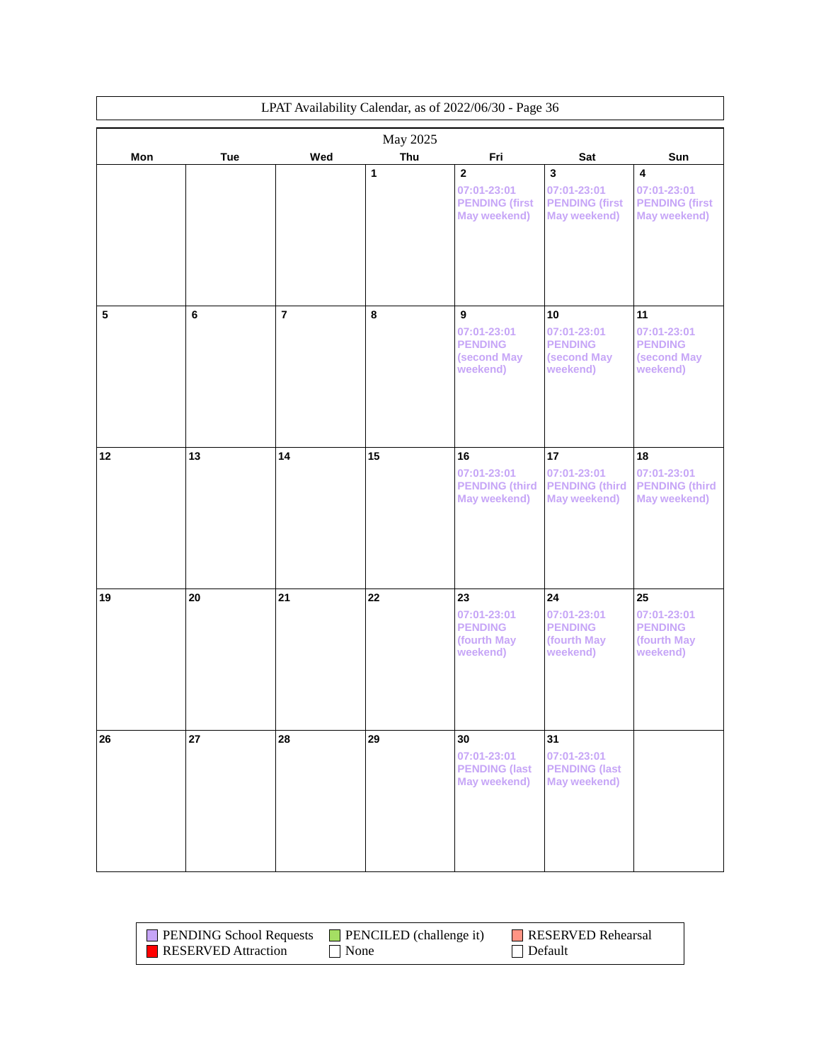| LPAT Availability Calendar, as of 2022/06/30 - Page 36 |            |                |     |                                                                        |                                                                  |                                                                                 |
|--------------------------------------------------------|------------|----------------|-----|------------------------------------------------------------------------|------------------------------------------------------------------|---------------------------------------------------------------------------------|
| May 2025                                               |            |                |     |                                                                        |                                                                  |                                                                                 |
| Mon                                                    | <b>Tue</b> | Wed            | Thu | Fri                                                                    | Sat                                                              | Sun                                                                             |
|                                                        |            |                | 1   | $\overline{2}$<br>07:01-23:01<br><b>PENDING (first</b><br>May weekend) | 3<br>07:01-23:01<br><b>PENDING (first</b><br><b>May weekend)</b> | $\overline{\mathbf{4}}$<br>07:01-23:01<br><b>PENDING (first</b><br>May weekend) |
| 5                                                      | 6          | $\overline{7}$ | 8   | 9<br>07:01-23:01<br><b>PENDING</b><br>(second May                      | 10<br>07:01-23:01<br><b>PENDING</b><br>(second May               | 11<br>07:01-23:01<br><b>PENDING</b><br>(second May                              |
|                                                        |            |                |     | weekend)                                                               | weekend)                                                         | weekend)                                                                        |
| 12                                                     | 13         | 14             | 15  | 16<br>07:01-23:01<br><b>PENDING (third)</b><br>May weekend)            | 17<br>07:01-23:01<br><b>PENDING (third</b><br>May weekend)       | 18<br>07:01-23:01<br><b>PENDING (third)</b><br>May weekend)                     |
| 19                                                     | 20         | 21             | 22  | 23<br>07:01-23:01<br><b>PENDING</b><br>(fourth May<br>weekend)         | 24<br>07:01-23:01<br><b>PENDING</b><br>(fourth May<br>weekend)   | 25<br>07:01-23:01<br><b>PENDING</b><br>(fourth May<br>weekend)                  |
| 26                                                     | 27         | 28             | 29  | 30<br>07:01-23:01<br><b>PENDING (last</b><br>May weekend)              | 31<br>07:01-23:01<br><b>PENDING (last</b><br><b>May weekend)</b> |                                                                                 |

| <b>PENDING School Requests</b> | $\Box$ PENCILED (challenge it) | <b>RESERVED Rehearsal</b> |
|--------------------------------|--------------------------------|---------------------------|
| <b>RESERVED</b> Attraction     | None                           | Default                   |